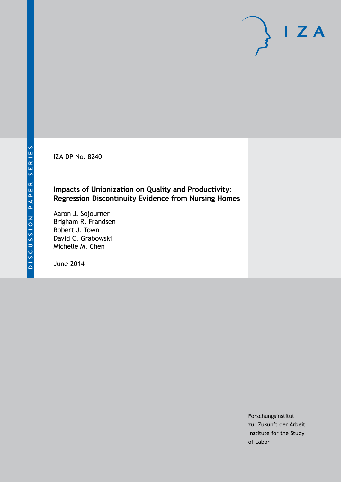IZA DP No. 8240

## **Impacts of Unionization on Quality and Productivity: Regression Discontinuity Evidence from Nursing Homes**

Aaron J. Sojourner Brigham R. Frandsen Robert J. Town David C. Grabowski Michelle M. Chen

June 2014

Forschungsinstitut zur Zukunft der Arbeit Institute for the Study of Labor

 $I Z A$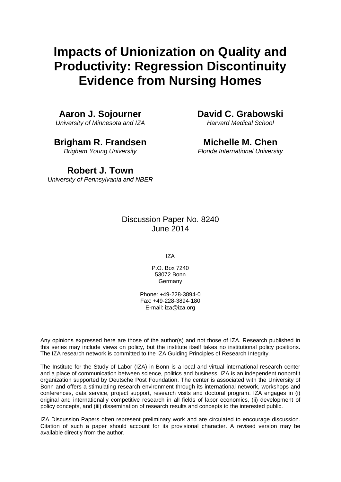# **Impacts of Unionization on Quality and Productivity: Regression Discontinuity Evidence from Nursing Homes**

**Aaron J. Sojourner**

*University of Minnesota and IZA*

**Brigham R. Frandsen**

*Brigham Young University*

**David C. Grabowski** *Harvard Medical School*

**Michelle M. Chen** *Florida International University*

# **Robert J. Town**

*University of Pennsylvania and NBER*

## Discussion Paper No. 8240 June 2014

IZA

P.O. Box 7240 53072 Bonn **Germany** 

Phone: +49-228-3894-0 Fax: +49-228-3894-180 E-mail: [iza@iza.org](mailto:iza@iza.org)

Any opinions expressed here are those of the author(s) and not those of IZA. Research published in this series may include views on policy, but the institute itself takes no institutional policy positions. The IZA research network is committed to the IZA Guiding Principles of Research Integrity.

The Institute for the Study of Labor (IZA) in Bonn is a local and virtual international research center and a place of communication between science, politics and business. IZA is an independent nonprofit organization supported by Deutsche Post Foundation. The center is associated with the University of Bonn and offers a stimulating research environment through its international network, workshops and conferences, data service, project support, research visits and doctoral program. IZA engages in (i) original and internationally competitive research in all fields of labor economics, (ii) development of policy concepts, and (iii) dissemination of research results and concepts to the interested public.

<span id="page-1-0"></span>IZA Discussion Papers often represent preliminary work and are circulated to encourage discussion. Citation of such a paper should account for its provisional character. A revised version may be available directly from the author.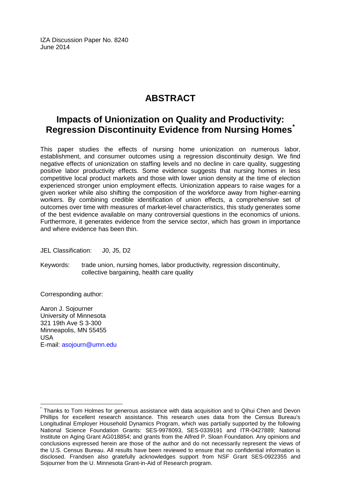IZA Discussion Paper No. 8240 June 2014

# **ABSTRACT**

# **Impacts of Unionization on Quality and Productivity: Regression Discontinuity Evidence from Nursing Homes[\\*](#page-1-0)**

This paper studies the effects of nursing home unionization on numerous labor, establishment, and consumer outcomes using a regression discontinuity design. We find negative effects of unionization on staffing levels and no decline in care quality, suggesting positive labor productivity effects. Some evidence suggests that nursing homes in less competitive local product markets and those with lower union density at the time of election experienced stronger union employment effects. Unionization appears to raise wages for a given worker while also shifting the composition of the workforce away from higher-earning workers. By combining credible identification of union effects, a comprehensive set of outcomes over time with measures of market-level characteristics, this study generates some of the best evidence available on many controversial questions in the economics of unions. Furthermore, it generates evidence from the service sector, which has grown in importance and where evidence has been thin.

JEL Classification: J0, J5, D2

Keywords: trade union, nursing homes, labor productivity, regression discontinuity, collective bargaining, health care quality

Corresponding author:

Aaron J. Sojourner University of Minnesota 321 19th Ave S 3-300 Minneapolis, MN 55455 USA E-mail: [asojourn@umn.edu](mailto:asojourn@umn.edu)

\* Thanks to Tom Holmes for generous assistance with data acquisition and to Qihui Chen and Devon Phillips for excellent research assistance. This research uses data from the Census Bureau's Longitudinal Employer Household Dynamics Program, which was partially supported by the following National Science Foundation Grants: SES-9978093, SES-0339191 and ITR-0427889; National Institute on Aging Grant AG018854; and grants from the Alfred P. Sloan Foundation. Any opinions and conclusions expressed herein are those of the author and do not necessarily represent the views of the U.S. Census Bureau. All results have been reviewed to ensure that no confidential information is disclosed. Frandsen also gratefully acknowledges support from NSF Grant SES-0922355 and Sojourner from the U. Minnesota Grant-in-Aid of Research program.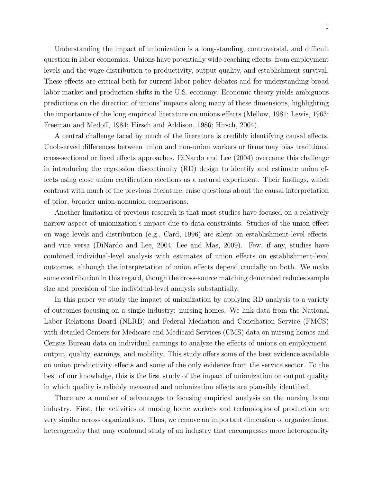Understanding the impact of unionization is a long-standing, controversial, and difficult question in labor economics. Unions have potentially wide-reaching effects, from employment levels and the wage distribution to productivity, output quality, and establishment survival. These effects are critical both for current labor policy debates and for understanding broad labor market and production shifts in the U.S. economy. Economic theory yields ambiguous predictions on the direction of unions' impacts along many of these dimensions, highlighting the importance of the long empirical literature on unions effects [\(Mellow,](#page-28-0) [1981;](#page-28-0) [Lewis,](#page-28-1) [1963;](#page-28-1) [Freeman and Medoff,](#page-27-0) [1984;](#page-27-0) [Hirsch and Addison,](#page-27-1) [1986;](#page-27-1) [Hirsch,](#page-27-2) [2004\)](#page-27-2).

A central challenge faced by much of the literature is credibly identifying causal effects. Unobserved differences between union and non-union workers or firms may bias traditional cross-sectional or fixed effects approaches. [DiNardo and Lee](#page-26-0) [\(2004\)](#page-26-0) overcame this challenge in introducing the regression discontinuity (RD) design to identify and estimate union effects using close union certification elections as a natural experiment. Their findings, which contrast with much of the previous literature, raise questions about the causal interpretation of prior, broader union-nonunion comparisons.

Another limitation of previous research is that most studies have focused on a relatively narrow aspect of unionization's impact due to data constraints. Studies of the union effect on wage levels and distribution (e.g., Card, 1996) are silent on establishment-level effects, and vice versa [\(DiNardo and Lee,](#page-26-0) [2004;](#page-26-0) [Lee and Mas,](#page-28-2) [2009\)](#page-28-2). Few, if any, studies have combined individual-level analysis with estimates of union effects on establishment-level outcomes, although the interpretation of union effects depend crucially on both. We make some contribution in this regard, though the cross-source matching demanded reduces sample size and precision of the individual-level analysis substantially.

In this paper we study the impact of unionization by applying RD analysis to a variety of outcomes focusing on a single industry: nursing homes. We link data from the National Labor Relations Board (NLRB) and Federal Mediation and Conciliation Service (FMCS) with detailed Centers for Medicare and Medicaid Services (CMS) data on nursing homes and Census Bureau data on individual earnings to analyze the effects of unions on employment, output, quality, earnings, and mobility. This study offers some of the best evidence available on union productivity effects and some of the only evidence from the service sector. To the best of our knowledge, this is the first study of the impact of unionization on output quality in which quality is reliably measured and unionization effects are plausibly identified.

There are a number of advantages to focusing empirical analysis on the nursing home industry. First, the activities of nursing home workers and technologies of production are very similar across organizations. Thus, we remove an important dimension of organizational heterogeneity that may confound study of an industry that encompasses more heterogeneity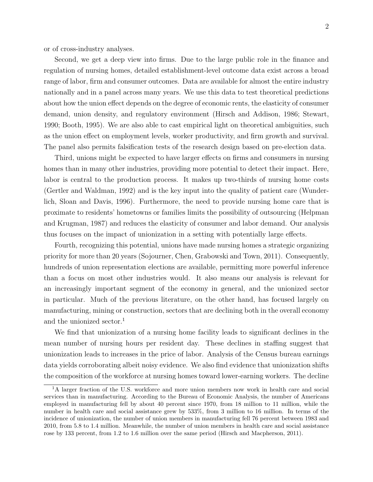or of cross-industry analyses.

Second, we get a deep view into firms. Due to the large public role in the finance and regulation of nursing homes, detailed establishment-level outcome data exist across a broad range of labor, firm and consumer outcomes. Data are available for almost the entire industry nationally and in a panel across many years. We use this data to test theoretical predictions about how the union effect depends on the degree of economic rents, the elasticity of consumer demand, union density, and regulatory environment [\(Hirsch and Addison,](#page-27-1) [1986;](#page-27-1) [Stewart,](#page-29-0) [1990;](#page-29-0) [Booth,](#page-26-1) [1995\)](#page-26-1). We are also able to cast empirical light on theoretical ambiguities, such as the union effect on employment levels, worker productivity, and firm growth and survival. The panel also permits falsification tests of the research design based on pre-election data.

Third, unions might be expected to have larger effects on firms and consumers in nursing homes than in many other industries, providing more potential to detect their impact. Here, labor is central to the production process. It makes up two-thirds of nursing home costs [\(Gertler and Waldman,](#page-27-3) [1992\)](#page-27-3) and is the key input into the quality of patient care [\(Wunder](#page-29-1)[lich, Sloan and Davis,](#page-29-1) [1996\)](#page-29-1). Furthermore, the need to provide nursing home care that is proximate to residents' hometowns or families limits the possibility of outsourcing [\(Helpman](#page-27-4) [and Krugman,](#page-27-4) [1987\)](#page-27-4) and reduces the elasticity of consumer and labor demand. Our analysis thus focuses on the impact of unionization in a setting with potentially large effects.

Fourth, recognizing this potential, unions have made nursing homes a strategic organizing priority for more than 20 years [\(Sojourner, Chen, Grabowski and Town,](#page-29-2) [2011\)](#page-29-2). Consequently, hundreds of union representation elections are available, permitting more powerful inference than a focus on most other industries would. It also means our analysis is relevant for an increasingly important segment of the economy in general, and the unionized sector in particular. Much of the previous literature, on the other hand, has focused largely on manufacturing, mining or construction, sectors that are declining both in the overall economy and the unionized sector.<sup>[1](#page-4-0)</sup>

We find that unionization of a nursing home facility leads to significant declines in the mean number of nursing hours per resident day. These declines in staffing suggest that unionization leads to increases in the price of labor. Analysis of the Census bureau earnings data yields corroborating albeit noisy evidence. We also find evidence that unionization shifts the composition of the workforce at nursing homes toward lower-earning workers. The decline

<span id="page-4-0"></span><sup>&</sup>lt;sup>1</sup>A larger fraction of the U.S. workforce and more union members now work in health care and social services than in manufacturing. According to the Bureau of Economic Analysis, the number of Americans employed in manufacturing fell by about 40 percent since 1970, from 18 million to 11 million, while the number in health care and social assistance grew by 533%, from 3 million to 16 million. In terms of the incidence of unionization, the number of union members in manufacturing fell 76 percent between 1983 and 2010, from 5.8 to 1.4 million. Meanwhile, the number of union members in health care and social assistance rose by 133 percent, from 1.2 to 1.6 million over the same period [\(Hirsch and Macpherson,](#page-27-5) [2011\)](#page-27-5).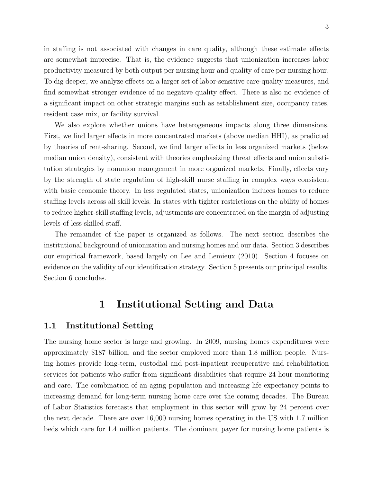in staffing is not associated with changes in care quality, although these estimate effects are somewhat imprecise. That is, the evidence suggests that unionization increases labor productivity measured by both output per nursing hour and quality of care per nursing hour. To dig deeper, we analyze effects on a larger set of labor-sensitive care-quality measures, and find somewhat stronger evidence of no negative quality effect. There is also no evidence of a significant impact on other strategic margins such as establishment size, occupancy rates, resident case mix, or facility survival.

We also explore whether unions have heterogeneous impacts along three dimensions. First, we find larger effects in more concentrated markets (above median HHI), as predicted by theories of rent-sharing. Second, we find larger effects in less organized markets (below median union density), consistent with theories emphasizing threat effects and union substitution strategies by nonunion management in more organized markets. Finally, effects vary by the strength of state regulation of high-skill nurse staffing in complex ways consistent with basic economic theory. In less regulated states, unionization induces homes to reduce staffing levels across all skill levels. In states with tighter restrictions on the ability of homes to reduce higher-skill staffing levels, adjustments are concentrated on the margin of adjusting levels of less-skilled staff.

The remainder of the paper is organized as follows. The next section describes the institutional background of unionization and nursing homes and our data. Section 3 describes our empirical framework, based largely on [Lee and Lemieux](#page-28-3) [\(2010\)](#page-28-3). Section 4 focuses on evidence on the validity of our identification strategy. Section 5 presents our principal results. Section 6 concludes.

## 1 Institutional Setting and Data

### 1.1 Institutional Setting

The nursing home sector is large and growing. In 2009, nursing homes expenditures were approximately \$187 billion, and the sector employed more than 1.8 million people. Nursing homes provide long-term, custodial and post-inpatient recuperative and rehabilitation services for patients who suffer from significant disabilities that require 24-hour monitoring and care. The combination of an aging population and increasing life expectancy points to increasing demand for long-term nursing home care over the coming decades. The Bureau of Labor Statistics forecasts that employment in this sector will grow by 24 percent over the next decade. There are over 16,000 nursing homes operating in the US with 1.7 million beds which care for 1.4 million patients. The dominant payer for nursing home patients is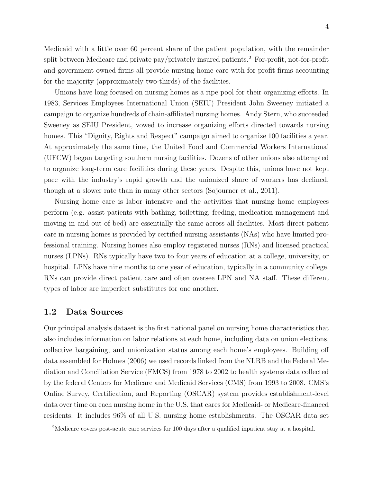Medicaid with a little over 60 percent share of the patient population, with the remainder split between Medicare and private pay/privately insured patients.<sup>[2](#page-6-0)</sup> For-profit, not-for-profit and government owned firms all provide nursing home care with for-profit firms accounting for the majority (approximately two-thirds) of the facilities.

Unions have long focused on nursing homes as a ripe pool for their organizing efforts. In 1983, Services Employees International Union (SEIU) President John Sweeney initiated a campaign to organize hundreds of chain-affiliated nursing homes. Andy Stern, who succeeded Sweeney as SEIU President, vowed to increase organizing efforts directed towards nursing homes. This "Dignity, Rights and Respect" campaign aimed to organize 100 facilities a year. At approximately the same time, the United Food and Commercial Workers International (UFCW) began targeting southern nursing facilities. Dozens of other unions also attempted to organize long-term care facilities during these years. Despite this, unions have not kept pace with the industry's rapid growth and the unionized share of workers has declined, though at a slower rate than in many other sectors [\(Sojourner et al.,](#page-29-2) [2011\)](#page-29-2).

Nursing home care is labor intensive and the activities that nursing home employees perform (e.g. assist patients with bathing, toiletting, feeding, medication management and moving in and out of bed) are essentially the same across all facilities. Most direct patient care in nursing homes is provided by certified nursing assistants (NAs) who have limited professional training. Nursing homes also employ registered nurses (RNs) and licensed practical nurses (LPNs). RNs typically have two to four years of education at a college, university, or hospital. LPNs have nine months to one year of education, typically in a community college. RNs can provide direct patient care and often oversee LPN and NA staff. These different types of labor are imperfect substitutes for one another.

#### 1.2 Data Sources

Our principal analysis dataset is the first national panel on nursing home characteristics that also includes information on labor relations at each home, including data on union elections, collective bargaining, and unionization status among each home's employees. Building off data assembled for [Holmes](#page-27-6) [\(2006\)](#page-27-6) we used records linked from the NLRB and the Federal Mediation and Conciliation Service (FMCS) from 1978 to 2002 to health systems data collected by the federal Centers for Medicare and Medicaid Services (CMS) from 1993 to 2008. CMS's Online Survey, Certification, and Reporting (OSCAR) system provides establishment-level data over time on each nursing home in the U.S. that cares for Medicaid- or Medicare-financed residents. It includes 96% of all U.S. nursing home establishments. The OSCAR data set

<span id="page-6-0"></span><sup>&</sup>lt;sup>2</sup>Medicare covers post-acute care services for 100 days after a qualified inpatient stay at a hospital.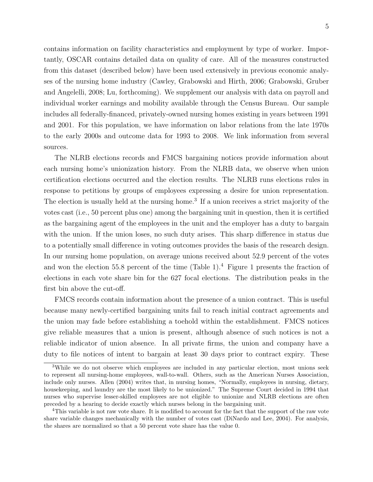contains information on facility characteristics and employment by type of worker. Importantly, OSCAR contains detailed data on quality of care. All of the measures constructed from this dataset (described below) have been used extensively in previous economic analyses of the nursing home industry [\(Cawley, Grabowski and Hirth,](#page-26-2) [2006;](#page-26-2) [Grabowski, Gruber](#page-27-7) [and Angelelli,](#page-27-7) [2008;](#page-27-7) [Lu,](#page-28-4) [forthcoming\)](#page-28-4). We supplement our analysis with data on payroll and individual worker earnings and mobility available through the Census Bureau. Our sample includes all federally-financed, privately-owned nursing homes existing in years between 1991 and 2001. For this population, we have information on labor relations from the late 1970s to the early 2000s and outcome data for 1993 to 2008. We link information from several sources.

The NLRB elections records and FMCS bargaining notices provide information about each nursing home's unionization history. From the NLRB data, we observe when union certification elections occurred and the election results. The NLRB runs elections rules in response to petitions by groups of employees expressing a desire for union representation. The election is usually held at the nursing home.<sup>[3](#page-7-0)</sup> If a union receives a strict majority of the votes cast (i.e., 50 percent plus one) among the bargaining unit in question, then it is certified as the bargaining agent of the employees in the unit and the employer has a duty to bargain with the union. If the union loses, no such duty arises. This sharp difference in status due to a potentially small difference in voting outcomes provides the basis of the research design. In our nursing home population, on average unions received about 52.9 percent of the votes and won the election 55.8 percent of the time (Table [1\)](#page-30-0).<sup>[4](#page-7-1)</sup> Figure [1](#page-40-0) presents the fraction of elections in each vote share bin for the 627 focal elections. The distribution peaks in the first bin above the cut-off.

FMCS records contain information about the presence of a union contract. This is useful because many newly-certified bargaining units fail to reach initial contract agreements and the union may fade before establishing a toehold within the establishment. FMCS notices give reliable measures that a union is present, although absence of such notices is not a reliable indicator of union absence. In all private firms, the union and company have a duty to file notices of intent to bargain at least 30 days prior to contract expiry. These

<span id="page-7-0"></span><sup>&</sup>lt;sup>3</sup>While we do not observe which employees are included in any particular election, most unions seek to represent all nursing-home employees, wall-to-wall. Others, such as the American Nurses Association, include only nurses. [Allen](#page-26-3) [\(2004\)](#page-26-3) writes that, in nursing homes, "Normally, employees in nursing, dietary, housekeeping, and laundry are the most likely to be unionized." The Supreme Court decided in 1994 that nurses who supervise lesser-skilled employees are not eligible to unionize and NLRB elections are often preceded by a hearing to decide exactly which nurses belong in the bargaining unit.

<span id="page-7-1"></span><sup>4</sup>This variable is not raw vote share. It is modified to account for the fact that the support of the raw vote share variable changes mechanically with the number of votes cast [\(DiNardo and Lee,](#page-26-0) [2004\)](#page-26-0). For analysis, the shares are normalized so that a 50 percent vote share has the value 0.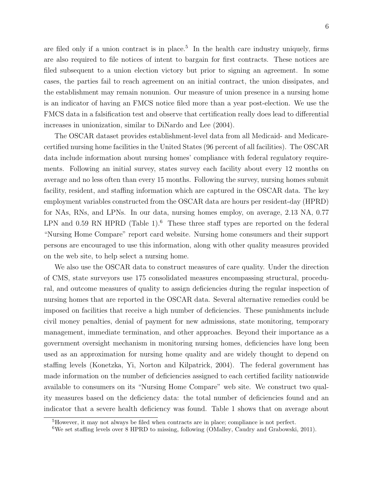are filed only if a union contract is in place.<sup>[5](#page-8-0)</sup> In the health care industry uniquely, firms are also required to file notices of intent to bargain for first contracts. These notices are filed subsequent to a union election victory but prior to signing an agreement. In some cases, the parties fail to reach agreement on an initial contract, the union dissipates, and the establishment may remain nonunion. Our measure of union presence in a nursing home is an indicator of having an FMCS notice filed more than a year post-election. We use the FMCS data in a falsification test and observe that certification really does lead to differential increases in unionization, similar to [DiNardo and Lee](#page-26-0) [\(2004\)](#page-26-0).

The OSCAR dataset provides establishment-level data from all Medicaid- and Medicarecertified nursing home facilities in the United States (96 percent of all facilities). The OSCAR data include information about nursing homes' compliance with federal regulatory requirements. Following an initial survey, states survey each facility about every 12 months on average and no less often than every 15 months. Following the survey, nursing homes submit facility, resident, and staffing information which are captured in the OSCAR data. The key employment variables constructed from the OSCAR data are hours per resident-day (HPRD) for NAs, RNs, and LPNs. In our data, nursing homes employ, on average, 2.13 NA, 0.77 LPN and 0.59 RN HPRD (Table [1\)](#page-30-0).<sup>[6](#page-8-1)</sup> These three staff types are reported on the federal "Nursing Home Compare" report card website. Nursing home consumers and their support persons are encouraged to use this information, along with other quality measures provided on the web site, to help select a nursing home.

We also use the OSCAR data to construct measures of care quality. Under the direction of CMS, state surveyors use 175 consolidated measures encompassing structural, procedural, and outcome measures of quality to assign deficiencies during the regular inspection of nursing homes that are reported in the OSCAR data. Several alternative remedies could be imposed on facilities that receive a high number of deficiencies. These punishments include civil money penalties, denial of payment for new admissions, state monitoring, temporary management, immediate termination, and other approaches. Beyond their importance as a government oversight mechanism in monitoring nursing homes, deficiencies have long been used as an approximation for nursing home quality and are widely thought to depend on staffing levels [\(Konetzka, Yi, Norton and Kilpatrick,](#page-28-5) [2004\)](#page-28-5). The federal government has made information on the number of deficiencies assigned to each certified facility nationwide available to consumers on its "Nursing Home Compare" web site. We construct two quality measures based on the deficiency data: the total number of deficiencies found and an indicator that a severe health deficiency was found. Table [1](#page-30-0) shows that on average about

<span id="page-8-0"></span><sup>5</sup>However, it may not always be filed when contracts are in place; compliance is not perfect.

<span id="page-8-1"></span> $6\text{We set stating levels over } 8 \text{ HPRD to missing, following (OMalley, Caudry and Grabowski, 2011).}$  $6\text{We set stating levels over } 8 \text{ HPRD to missing, following (OMalley, Caudry and Grabowski, 2011).}$  $6\text{We set stating levels over } 8 \text{ HPRD to missing, following (OMalley, Caudry and Grabowski, 2011).}$  $6\text{We set stating levels over } 8 \text{ HPRD to missing, following (OMalley, Caudry and Grabowski, 2011).}$  $6\text{We set stating levels over } 8 \text{ HPRD to missing, following (OMalley, Caudry and Grabowski, 2011).}$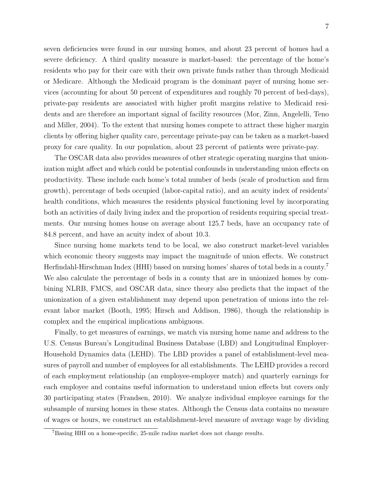seven deficiencies were found in our nursing homes, and about 23 percent of homes had a severe deficiency. A third quality measure is market-based: the percentage of the home's residents who pay for their care with their own private funds rather than through Medicaid or Medicare. Although the Medicaid program is the dominant payer of nursing home services (accounting for about 50 percent of expenditures and roughly 70 percent of bed-days), private-pay residents are associated with higher profit margins relative to Medicaid residents and are therefore an important signal of facility resources [\(Mor, Zinn, Angelelli, Teno](#page-28-7) [and Miller,](#page-28-7) [2004\)](#page-28-7). To the extent that nursing homes compete to attract these higher margin clients by offering higher quality care, percentage private-pay can be taken as a market-based proxy for care quality. In our population, about 23 percent of patients were private-pay.

The OSCAR data also provides measures of other strategic operating margins that unionization might affect and which could be potential confounds in understanding union effects on productivity. These include each home's total number of beds (scale of production and firm growth), percentage of beds occupied (labor-capital ratio), and an acuity index of residents' health conditions, which measures the residents physical functioning level by incorporating both an activities of daily living index and the proportion of residents requiring special treatments. Our nursing homes house on average about 125.7 beds, have an occupancy rate of 84.8 percent, and have an acuity index of about 10.3.

Since nursing home markets tend to be local, we also construct market-level variables which economic theory suggests may impact the magnitude of union effects. We construct Herfindahl-Hirschman Index (HHI) based on nursing homes' shares of total beds in a county.[7](#page-9-0) We also calculate the percentage of beds in a county that are in unionized homes by combining NLRB, FMCS, and OSCAR data, since theory also predicts that the impact of the unionization of a given establishment may depend upon penetration of unions into the relevant labor market [\(Booth,](#page-26-1) [1995;](#page-26-1) [Hirsch and Addison,](#page-27-1) [1986\)](#page-27-1), though the relationship is complex and the empirical implications ambiguous.

Finally, to get measures of earnings, we match via nursing home name and address to the U.S. Census Bureau's Longitudinal Business Database (LBD) and Longitudinal Employer-Household Dynamics data (LEHD). The LBD provides a panel of establishment-level measures of payroll and number of employees for all establishments. The LEHD provides a record of each employment relationship (an employee-employer match) and quarterly earnings for each employee and contains useful information to understand union effects but covers only 30 participating states [\(Frandsen,](#page-27-8) [2010\)](#page-27-8). We analyze individual employee earnings for the subsample of nursing homes in these states. Although the Census data contains no measure of wages or hours, we construct an establishment-level measure of average wage by dividing

<span id="page-9-0"></span><sup>7</sup>Basing HHI on a home-specific, 25-mile radius market does not change results.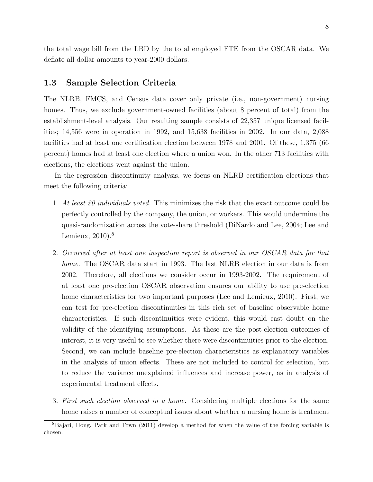the total wage bill from the LBD by the total employed FTE from the OSCAR data. We deflate all dollar amounts to year-2000 dollars.

## 1.3 Sample Selection Criteria

The NLRB, FMCS, and Census data cover only private (i.e., non-government) nursing homes. Thus, we exclude government-owned facilities (about 8 percent of total) from the establishment-level analysis. Our resulting sample consists of 22,357 unique licensed facilities; 14,556 were in operation in 1992, and 15,638 facilities in 2002. In our data, 2,088 facilities had at least one certification election between 1978 and 2001. Of these, 1,375 (66 percent) homes had at least one election where a union won. In the other 713 facilities with elections, the elections went against the union.

In the regression discontinuity analysis, we focus on NLRB certification elections that meet the following criteria:

- 1. At least 20 individuals voted. This minimizes the risk that the exact outcome could be perfectly controlled by the company, the union, or workers. This would undermine the quasi-randomization across the vote-share threshold [\(DiNardo and Lee,](#page-26-0) [2004;](#page-26-0) [Lee and](#page-28-3) [Lemieux,](#page-28-3) [2010\)](#page-28-3).<sup>[8](#page-10-0)</sup>
- 2. Occurred after at least one inspection report is observed in our OSCAR data for that home. The OSCAR data start in 1993. The last NLRB election in our data is from 2002. Therefore, all elections we consider occur in 1993-2002. The requirement of at least one pre-election OSCAR observation ensures our ability to use pre-election home characteristics for two important purposes [\(Lee and Lemieux,](#page-28-3) [2010\)](#page-28-3). First, we can test for pre-election discontinuities in this rich set of baseline observable home characteristics. If such discontinuities were evident, this would cast doubt on the validity of the identifying assumptions. As these are the post-election outcomes of interest, it is very useful to see whether there were discontinuities prior to the election. Second, we can include baseline pre-election characteristics as explanatory variables in the analysis of union effects. These are not included to control for selection, but to reduce the variance unexplained influences and increase power, as in analysis of experimental treatment effects.
- 3. First such election observed in a home. Considering multiple elections for the same home raises a number of conceptual issues about whether a nursing home is treatment

<span id="page-10-0"></span><sup>8</sup>[Bajari, Hong, Park and Town](#page-26-4) [\(2011\)](#page-26-4) develop a method for when the value of the forcing variable is chosen.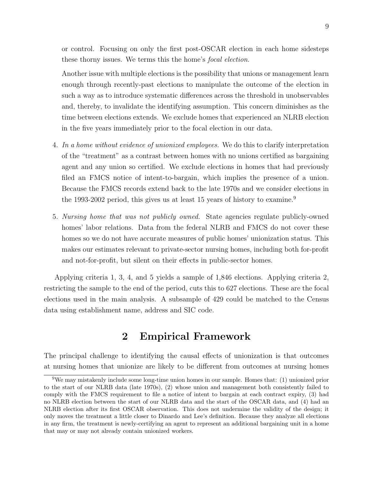or control. Focusing on only the first post-OSCAR election in each home sidesteps these thorny issues. We terms this the home's focal election.

Another issue with multiple elections is the possibility that unions or management learn enough through recently-past elections to manipulate the outcome of the election in such a way as to introduce systematic differences across the threshold in unobservables and, thereby, to invalidate the identifying assumption. This concern diminishes as the time between elections extends. We exclude homes that experienced an NLRB election in the five years immediately prior to the focal election in our data.

- 4. In a home without evidence of unionized employees. We do this to clarify interpretation of the "treatment" as a contrast between homes with no unions certified as bargaining agent and any union so certified. We exclude elections in homes that had previously filed an FMCS notice of intent-to-bargain, which implies the presence of a union. Because the FMCS records extend back to the late 1970s and we consider elections in the 1[9](#page-11-0)93-2002 period, this gives us at least 15 years of history to examine.<sup>9</sup>
- 5. Nursing home that was not publicly owned. State agencies regulate publicly-owned homes' labor relations. Data from the federal NLRB and FMCS do not cover these homes so we do not have accurate measures of public homes' unionization status. This makes our estimates relevant to private-sector nursing homes, including both for-profit and not-for-profit, but silent on their effects in public-sector homes.

Applying criteria 1, 3, 4, and 5 yields a sample of 1,846 elections. Applying criteria 2, restricting the sample to the end of the period, cuts this to 627 elections. These are the focal elections used in the main analysis. A subsample of 429 could be matched to the Census data using establishment name, address and SIC code.

## 2 Empirical Framework

The principal challenge to identifying the causal effects of unionization is that outcomes at nursing homes that unionize are likely to be different from outcomes at nursing homes

<span id="page-11-0"></span><sup>9</sup>We may mistakenly include some long-time union homes in our sample. Homes that: (1) unionized prior to the start of our NLRB data (late 1970s), (2) whose union and management both consistently failed to comply with the FMCS requirement to file a notice of intent to bargain at each contract expiry, (3) had no NLRB election between the start of our NLRB data and the start of the OSCAR data, and (4) had an NLRB election after its first OSCAR observation. This does not undermine the validity of the design; it only moves the treatment a little closer to Dinardo and Lee's definition. Because they analyze all elections in any firm, the treatment is newly-certifying an agent to represent an additional bargaining unit in a home that may or may not already contain unionized workers.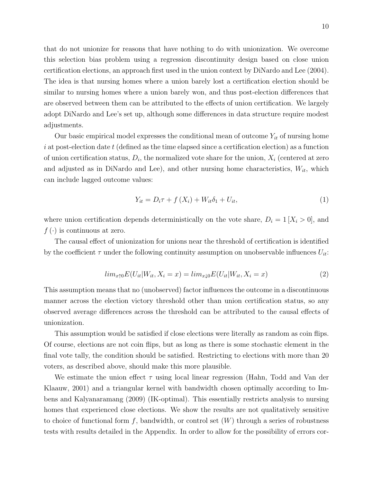that do not unionize for reasons that have nothing to do with unionization. We overcome this selection bias problem using a regression discontinuity design based on close union certification elections, an approach first used in the union context by [DiNardo and Lee](#page-26-0) [\(2004\)](#page-26-0). The idea is that nursing homes where a union barely lost a certification election should be similar to nursing homes where a union barely won, and thus post-election differences that are observed between them can be attributed to the effects of union certification. We largely adopt DiNardo and Lee's set up, although some differences in data structure require modest adjustments.

Our basic empirical model expresses the conditional mean of outcome  $Y_{it}$  of nursing home  $i$  at post-election date  $t$  (defined as the time elapsed since a certification election) as a function of union certification status,  $D_i$ , the normalized vote share for the union,  $X_i$  (centered at zero and adjusted as in DiNardo and Lee), and other nursing home characteristics,  $W_{it}$ , which can include lagged outcome values:

$$
Y_{it} = D_i \tau + f(X_i) + W_{it} \delta_1 + U_{it}, \qquad (1)
$$

where union certification depends deterministically on the vote share,  $D_i = 1$  [ $X_i > 0$ ], and  $f(\cdot)$  is continuous at zero.

The causal effect of unionization for unions near the threshold of certification is identified by the coefficient  $\tau$  under the following continuity assumption on unobservable influences  $U_{it}$ :

$$
lim_{x \uparrow 0} E(U_{it}|W_{it}, X_i = x) = lim_{x \downarrow 0} E(U_{it}|W_{it}, X_i = x)
$$
\n
$$
(2)
$$

This assumption means that no (unobserved) factor influences the outcome in a discontinuous manner across the election victory threshold other than union certification status, so any observed average differences across the threshold can be attributed to the causal effects of unionization.

This assumption would be satisfied if close elections were literally as random as coin flips. Of course, elections are not coin flips, but as long as there is some stochastic element in the final vote tally, the condition should be satisfied. Restricting to elections with more than 20 voters, as described above, should make this more plausible.

We estimate the union effect  $\tau$  using local linear regression [\(Hahn, Todd and Van der](#page-27-9) [Klaauw,](#page-27-9) [2001\)](#page-27-9) and a triangular kernel with bandwidth chosen optimally according to [Im](#page-28-8)[bens and Kalyanaramang](#page-28-8) [\(2009\)](#page-28-8) (IK-optimal). This essentially restricts analysis to nursing homes that experienced close elections. We show the results are not qualitatively sensitive to choice of functional form f, bandwidth, or control set  $(W)$  through a series of robustness tests with results detailed in the Appendix. In order to allow for the possibility of errors cor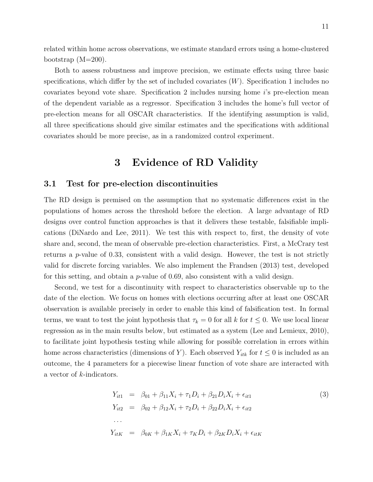related within home across observations, we estimate standard errors using a home-clustered bootstrap (M=200).

Both to assess robustness and improve precision, we estimate effects using three basic specifications, which differ by the set of included covariates  $(W)$ . Specification 1 includes no covariates beyond vote share. Specification 2 includes nursing home i's pre-election mean of the dependent variable as a regressor. Specification 3 includes the home's full vector of pre-election means for all OSCAR characteristics. If the identifying assumption is valid, all three specifications should give similar estimates and the specifications with additional covariates should be more precise, as in a randomized control experiment.

## 3 Evidence of RD Validity

### 3.1 Test for pre-election discontinuities

The RD design is premised on the assumption that no systematic differences exist in the populations of homes across the threshold before the election. A large advantage of RD designs over control function approaches is that it delivers these testable, falsifiable implications [\(DiNardo and Lee,](#page-26-5) [2011\)](#page-26-5). We test this with respect to, first, the density of vote share and, second, the mean of observable pre-election characteristics. First, a McCrary test returns a  $p$ -value of 0.33, consistent with a valid design. However, the test is not strictly valid for discrete forcing variables. We also implement the [Frandsen](#page-27-10) [\(2013\)](#page-27-10) test, developed for this setting, and obtain a  $p$ -value of 0.69, also consistent with a valid design.

Second, we test for a discontinuity with respect to characteristics observable up to the date of the election. We focus on homes with elections occurring after at least one OSCAR observation is available precisely in order to enable this kind of falsification test. In formal terms, we want to test the joint hypothesis that  $\tau_k = 0$  for all k for  $t \leq 0$ . We use local linear regression as in the main results below, but estimated as a system [\(Lee and Lemieux,](#page-28-3) [2010\)](#page-28-3), to facilitate joint hypothesis testing while allowing for possible correlation in errors within home across characteristics (dimensions of Y). Each observed  $Y_{itk}$  for  $t \leq 0$  is included as an outcome, the 4 parameters for a piecewise linear function of vote share are interacted with a vector of k-indicators.

<span id="page-13-0"></span>
$$
Y_{it1} = \beta_{01} + \beta_{11}X_i + \tau_1 D_i + \beta_{21}D_iX_i + \epsilon_{it1}
$$
  
\n
$$
Y_{it2} = \beta_{02} + \beta_{12}X_i + \tau_2 D_i + \beta_{22}D_iX_i + \epsilon_{it2}
$$
  
\n...  
\n
$$
Y_{itK} = \beta_{0K} + \beta_{1K}X_i + \tau_K D_i + \beta_{2K}D_iX_i + \epsilon_{itK}
$$
  
\n(3)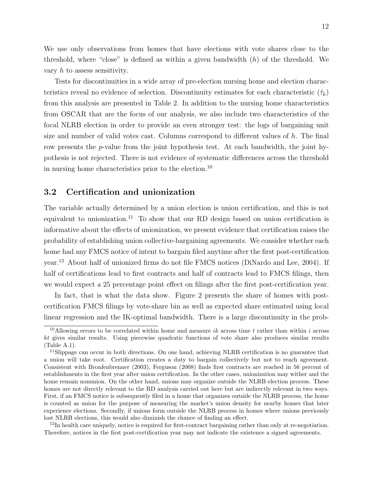We use only observations from homes that have elections with vote shares close to the threshold, where "close" is defined as within a given bandwidth  $(h)$  of the threshold. We vary h to assess sensitivity.

Tests for discontinuities in a wide array of pre-election nursing home and election characteristics reveal no evidence of selection. Discontinuity estimates for each characteristic  $(\hat{\tau}_k)$ from this analysis are presented in Table [2.](#page-31-0) In addition to the nursing home characteristics from OSCAR that are the focus of our analysis, we also include two characteristics of the focal NLRB election in order to provide an even stronger test: the logs of bargaining unit size and number of valid votes cast. Columns correspond to different values of  $h$ . The final row presents the p-value from the joint hypothesis test. At each bandwidth, the joint hypothesis is not rejected. There is not evidence of systematic differences across the threshold in nursing home characteristics prior to the election.[10](#page-14-0)

### 3.2 Certification and unionization

The variable actually determined by a union election is union certification, and this is not equivalent to unionization.<sup>[11](#page-14-1)</sup> To show that our RD design based on union certification is informative about the effects of unionization, we present evidence that certification raises the probability of establishing union collective-bargaining agreements. We consider whether each home had any FMCS notice of intent to bargain filed anytime after the first post-certification year.[12](#page-14-2) About half of unionized firms do not file FMCS notices [\(DiNardo and Lee,](#page-26-0) [2004\)](#page-26-0). If half of certifications lead to first contracts and half of contracts lead to FMCS filings, then we would expect a 25 percentage point effect on filings after the first post-certification year.

In fact, that is what the data show. Figure [2](#page-40-1) presents the share of homes with postcertification FMCS filings by vote-share bin as well as expected share estimated using local linear regression and the IK-optimal bandwidth. There is a large discontinuity in the prob-

<span id="page-14-2"></span><sup>12</sup>In health care uniquely, notice is required for first-contract bargaining rather than only at re-negotiation. Therefore, notices in the first post-certification year may not indicate the existence a signed agreements.

<span id="page-14-0"></span><sup>&</sup>lt;sup>10</sup>Allowing errors to be correlated within home and measure ik across time t rather than within i across kt gives similar results. Using piecewise quadratic functions of vote share also produces similar results (Table [A.1\)](#page-30-0).

<span id="page-14-1"></span><sup>&</sup>lt;sup>11</sup>Slippage can occur in both directions. On one hand, achieving NLRB certification is no guarantee that a union will take root. Certification creates a duty to bargain collectively but not to reach agreement. Consistent with [Bronfenbrenner](#page-26-6) [\(2003\)](#page-26-6), [Ferguson](#page-27-11) [\(2008\)](#page-27-11) finds first contracts are reached in 56 percent of establishments in the first year after union certification. In the other cases, unionization may wither and the home remain nonunion. On the other hand, unions may organize outside the NLRB election process. These homes are not directly relevant to the RD analysis carried out here but are indirectly relevant in two ways. First, if an FMCS notice is subsequently filed in a home that organizes outside the NLRB process, the home is counted as union for the purpose of measuring the market's union density for nearby homes that later experience elections. Secondly, if unions form outside the NLRB process in homes where unions previously lost NLRB elections, this would also diminish the chance of finding an effect.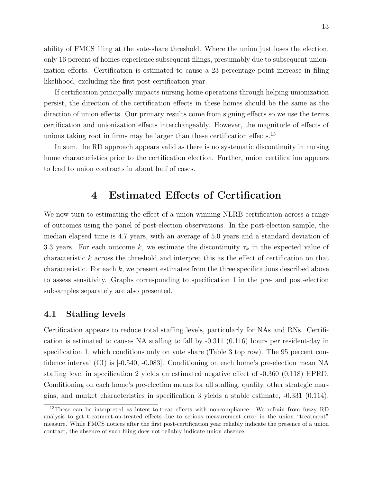ability of FMCS filing at the vote-share threshold. Where the union just loses the election, only 16 percent of homes experience subsequent filings, presumably due to subsequent unionization efforts. Certification is estimated to cause a 23 percentage point increase in filing likelihood, excluding the first post-certification year.

If certification principally impacts nursing home operations through helping unionization persist, the direction of the certification effects in these homes should be the same as the direction of union effects. Our primary results come from signing effects so we use the terms certification and unionization effects interchangeably. However, the magnitude of effects of unions taking root in firms may be larger than these certification effects.<sup>[13](#page-15-0)</sup>

In sum, the RD approach appears valid as there is no systematic discontinuity in nursing home characteristics prior to the certification election. Further, union certification appears to lead to union contracts in about half of cases.

## 4 Estimated Effects of Certification

We now turn to estimating the effect of a union winning NLRB certification across a range of outcomes using the panel of post-election observations. In the post-election sample, the median elapsed time is 4.7 years, with an average of 5.0 years and a standard deviation of 3.3 years. For each outcome k, we estimate the discontinuity  $\tau_k$  in the expected value of characteristic k across the threshold and interpret this as the effect of certification on that characteristic. For each  $k$ , we present estimates from the three specifications described above to assess sensitivity. Graphs corresponding to specification 1 in the pre- and post-election subsamples separately are also presented.

### 4.1 Staffing levels

Certification appears to reduce total staffing levels, particularly for NAs and RNs. Certification is estimated to causes NA staffing to fall by -0.311 (0.116) hours per resident-day in specification 1, which conditions only on vote share (Table [3](#page-32-0) top row). The 95 percent confidence interval (CI) is [-0.540, -0.083]. Conditioning on each home's pre-election mean NA staffing level in specification 2 yields an estimated negative effect of -0.360 (0.118) HPRD. Conditioning on each home's pre-election means for all staffing, quality, other strategic margins, and market characteristics in specification 3 yields a stable estimate, -0.331 (0.114).

<span id="page-15-0"></span><sup>&</sup>lt;sup>13</sup>These can be interpreted as intent-to-treat effects with noncompliance. We refrain from fuzzy RD analysis to get treatment-on-treated effects due to serious measurement error in the union "treatment" measure. While FMCS notices after the first post-certification year reliably indicate the presence of a union contract, the absence of such filing does not reliably indicate union absence.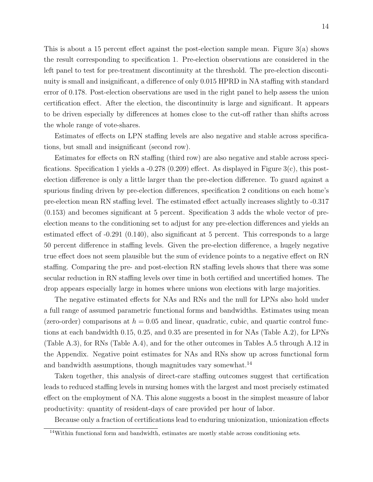This is about a 15 percent effect against the post-election sample mean. Figure [3\(a\)](#page-41-0) shows the result corresponding to specification 1. Pre-election observations are considered in the left panel to test for pre-treatment discontinuity at the threshold. The pre-election discontinuity is small and insignificant, a difference of only 0.015 HPRD in NA staffing with standard error of 0.178. Post-election observations are used in the right panel to help assess the union certification effect. After the election, the discontinuity is large and significant. It appears to be driven especially by differences at homes close to the cut-off rather than shifts across the whole range of vote-shares.

Estimates of effects on LPN staffing levels are also negative and stable across specifications, but small and insignificant (second row).

Estimates for effects on RN staffing (third row) are also negative and stable across specifications. Specification 1 yields a  $-0.278$  (0.209) effect. As displayed in Figure [3\(c\),](#page-41-1) this postelection difference is only a little larger than the pre-election difference. To guard against a spurious finding driven by pre-election differences, specification 2 conditions on each home's pre-election mean RN staffing level. The estimated effect actually increases slightly to -0.317 (0.153) and becomes significant at 5 percent. Specification 3 adds the whole vector of preelection means to the conditioning set to adjust for any pre-election differences and yields an estimated effect of -0.291 (0.140), also significant at 5 percent. This corresponds to a large 50 percent difference in staffing levels. Given the pre-election difference, a hugely negative true effect does not seem plausible but the sum of evidence points to a negative effect on RN staffing. Comparing the pre- and post-election RN staffing levels shows that there was some secular reduction in RN staffing levels over time in both certified and uncertified homes. The drop appears especially large in homes where unions won elections with large majorities.

The negative estimated effects for NAs and RNs and the null for LPNs also hold under a full range of assumed parametric functional forms and bandwidths. Estimates using mean (zero-order) comparisons at  $h = 0.05$  and linear, quadratic, cubic, and quartic control functions at each bandwidth 0.15, 0.25, and 0.35 are presented in for NAs (Table [A.2\)](#page-31-0), for LPNs (Table [A.3\)](#page-32-0), for RNs (Table [A.4\)](#page-33-0), and for the other outcomes in Tables [A.5](#page-34-0) through [A.12](#page-56-0) in the Appendix. Negative point estimates for NAs and RNs show up across functional form and bandwidth assumptions, though magnitudes vary somewhat.<sup>[14](#page-16-0)</sup>

Taken together, this analysis of direct-care staffing outcomes suggest that certification leads to reduced staffing levels in nursing homes with the largest and most precisely estimated effect on the employment of NA. This alone suggests a boost in the simplest measure of labor productivity: quantity of resident-days of care provided per hour of labor.

Because only a fraction of certifications lead to enduring unionization, unionization effects

<span id="page-16-0"></span> $14$ Within functional form and bandwidth, estimates are mostly stable across conditioning sets.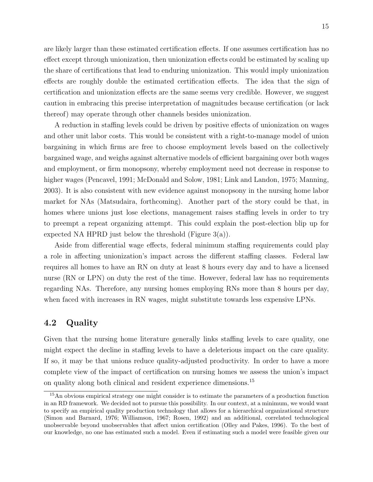are likely larger than these estimated certification effects. If one assumes certification has no effect except through unionization, then unionization effects could be estimated by scaling up the share of certifications that lead to enduring unionization. This would imply unionization effects are roughly double the estimated certification effects. The idea that the sign of certification and unionization effects are the same seems very credible. However, we suggest caution in embracing this precise interpretation of magnitudes because certification (or lack thereof) may operate through other channels besides unionization.

A reduction in staffing levels could be driven by positive effects of unionization on wages and other unit labor costs. This would be consistent with a right-to-manage model of union bargaining in which firms are free to choose employment levels based on the collectively bargained wage, and weighs against alternative models of efficient bargaining over both wages and employment, or firm monopsony, whereby employment need not decrease in response to higher wages [\(Pencavel,](#page-28-9) [1991;](#page-28-9) [McDonald and Solow,](#page-28-10) [1981;](#page-28-10) [Link and Landon,](#page-28-11) [1975;](#page-28-11) [Manning,](#page-28-12) [2003\)](#page-28-12). It is also consistent with new evidence against monopsony in the nursing home labor market for NAs [\(Matsudaira,](#page-28-13) [forthcoming\)](#page-28-13). Another part of the story could be that, in homes where unions just lose elections, management raises staffing levels in order to try to preempt a repeat organizing attempt. This could explain the post-election blip up for expected NA HPRD just below the threshold (Figure  $3(a)$ ).

Aside from differential wage effects, federal minimum staffing requirements could play a role in affecting unionization's impact across the different staffing classes. Federal law requires all homes to have an RN on duty at least 8 hours every day and to have a licensed nurse (RN or LPN) on duty the rest of the time. However, federal law has no requirements regarding NAs. Therefore, any nursing homes employing RNs more than 8 hours per day, when faced with increases in RN wages, might substitute towards less expensive LPNs.

### 4.2 Quality

Given that the nursing home literature generally links staffing levels to care quality, one might expect the decline in staffing levels to have a deleterious impact on the care quality. If so, it may be that unions reduce quality-adjusted productivity. In order to have a more complete view of the impact of certification on nursing homes we assess the union's impact on quality along both clinical and resident experience dimensions.<sup>[15](#page-17-0)</sup>

<span id="page-17-0"></span><sup>&</sup>lt;sup>15</sup>An obvious empirical strategy one might consider is to estimate the parameters of a production function in an RD framework. We decided not to pursue this possibility. In our context, at a minimum, we would want to specify an empirical quality production technology that allows for a hierarchical organizational structure [\(Simon and Barnard,](#page-29-3) [1976;](#page-29-3) [Williamson,](#page-29-4) [1967;](#page-29-4) [Rosen,](#page-29-5) [1992\)](#page-29-5) and an additional, correlated technological unobservable beyond unobservables that affect union certification [\(Olley and Pakes,](#page-28-14) [1996\)](#page-28-14). To the best of our knowledge, no one has estimated such a model. Even if estimating such a model were feasible given our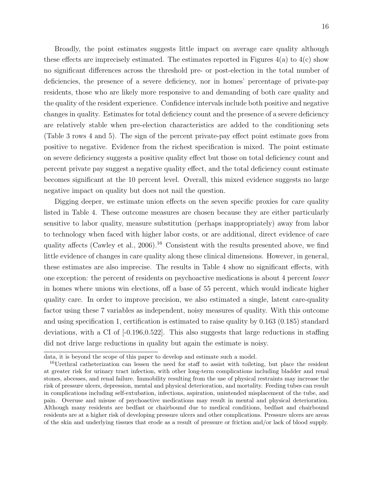Broadly, the point estimates suggests little impact on average care quality although these effects are imprecisely estimated. The estimates reported in Figures  $4(a)$  to  $4(c)$  show no significant differences across the threshold pre- or post-election in the total number of deficiencies, the presence of a severe deficiency, nor in homes' percentage of private-pay residents, those who are likely more responsive to and demanding of both care quality and the quality of the resident experience. Confidence intervals include both positive and negative changes in quality. Estimates for total deficiency count and the presence of a severe deficiency are relatively stable when pre-election characteristics are added to the conditioning sets (Table [3](#page-32-0) rows 4 and 5). The sign of the percent private-pay effect point estimate goes from positive to negative. Evidence from the richest specification is mixed. The point estimate on severe deficiency suggests a positive quality effect but those on total deficiency count and percent private pay suggest a negative quality effect, and the total deficiency count estimate becomes significant at the 10 percent level. Overall, this mixed evidence suggests no large negative impact on quality but does not nail the question.

Digging deeper, we estimate union effects on the seven specific proxies for care quality listed in Table [4.](#page-33-0) These outcome measures are chosen because they are either particularly sensitive to labor quality, measure substitution (perhaps inappropriately) away from labor to technology when faced with higher labor costs, or are additional, direct evidence of care quality affects [\(Cawley et al.,](#page-26-2)  $2006$ ).<sup>[16](#page-18-0)</sup> Consistent with the results presented above, we find little evidence of changes in care quality along these clinical dimensions. However, in general, these estimates are also imprecise. The results in Table [4](#page-33-0) show no significant effects, with one exception: the percent of residents on psychoactive medications is about 4 percent lower in homes where unions win elections, off a base of 55 percent, which would indicate higher quality care. In order to improve precision, we also estimated a single, latent care-quality factor using these 7 variables as independent, noisy measures of quality. With this outcome and using specification 1, certification is estimated to raise quality by 0.163 (0.185) standard deviations, with a CI of  $[-0.196, 0.522]$ . This also suggests that large reductions in staffing did not drive large reductions in quality but again the estimate is noisy.

data, it is beyond the scope of this paper to develop and estimate such a model.

<span id="page-18-0"></span><sup>&</sup>lt;sup>16</sup>Urethral catheterization can lessen the need for staff to assist with toileting, but place the resident at greater risk for urinary tract infection, with other long-term complications including bladder and renal stones, abcesses, and renal failure. Immobility resulting from the use of physical restraints may increase the risk of pressure ulcers, depression, mental and physical deterioration, and mortality. Feeding tubes can result in complications including self-extubation, infections, aspiration, unintended misplacement of the tube, and pain. Overuse and misuse of psychoactive medications may result in mental and physical deterioration. Although many residents are bedfast or chairbound due to medical conditions, bedfast and chairbound residents are at a higher risk of developing pressure ulcers and other complications. Pressure ulcers are areas of the skin and underlying tissues that erode as a result of pressure or friction and/or lack of blood supply.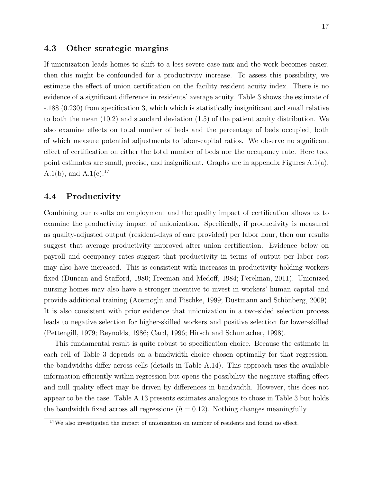#### 4.3 Other strategic margins

If unionization leads homes to shift to a less severe case mix and the work becomes easier, then this might be confounded for a productivity increase. To assess this possibility, we estimate the effect of union certification on the facility resident acuity index. There is no evidence of a significant difference in residents' average acuity. Table [3](#page-32-0) shows the estimate of -.188 (0.230) from specification 3, which which is statistically insignificant and small relative to both the mean (10.2) and standard deviation (1.5) of the patient acuity distribution. We also examine effects on total number of beds and the percentage of beds occupied, both of which measure potential adjustments to labor-capital ratios. We observe no significant effect of certification on either the total number of beds nor the occupancy rate. Here too, point estimates are small, precise, and insignificant. Graphs are in appendix Figures A[.1\(a\),](#page-64-0) A[.1\(b\),](#page-64-1) and A[.1\(c\).](#page-64-2)<sup>[17](#page-19-0)</sup>

## 4.4 Productivity

Combining our results on employment and the quality impact of certification allows us to examine the productivity impact of unionization. Specifically, if productivity is measured as quality-adjusted output (resident-days of care provided) per labor hour, then our results suggest that average productivity improved after union certification. Evidence below on payroll and occupancy rates suggest that productivity in terms of output per labor cost may also have increased. This is consistent with increases in productivity holding workers fixed [\(Duncan and Stafford,](#page-26-7) [1980;](#page-26-7) [Freeman and Medoff,](#page-27-0) [1984;](#page-27-0) [Perelman,](#page-28-15) [2011\)](#page-28-15). Unionized nursing homes may also have a stronger incentive to invest in workers' human capital and provide additional training [\(Acemoglu and Pischke,](#page-26-8) [1999;](#page-26-8) Dustmann and Schönberg, [2009\)](#page-26-9). It is also consistent with prior evidence that unionization in a two-sided selection process leads to negative selection for higher-skilled workers and positive selection for lower-skilled [\(Pettengill,](#page-29-6) [1979;](#page-29-6) [Reynolds,](#page-29-7) [1986;](#page-29-7) [Card,](#page-26-10) [1996;](#page-26-10) [Hirsch and Schumacher,](#page-27-12) [1998\)](#page-27-12).

This fundamental result is quite robust to specification choice. Because the estimate in each cell of Table [3](#page-32-0) depends on a bandwidth choice chosen optimally for that regression, the bandwidths differ across cells (details in Table [A.14\)](#page-58-0). This approach uses the available information efficiently within regression but opens the possibility the negative staffing effect and null quality effect may be driven by differences in bandwidth. However, this does not appear to be the case. Table [A.13](#page-57-0) presents estimates analogous to those in Table [3](#page-32-0) but holds the bandwidth fixed across all regressions  $(h = 0.12)$ . Nothing changes meaningfully.

<span id="page-19-0"></span><sup>&</sup>lt;sup>17</sup>We also investigated the impact of unionization on number of residents and found no effect.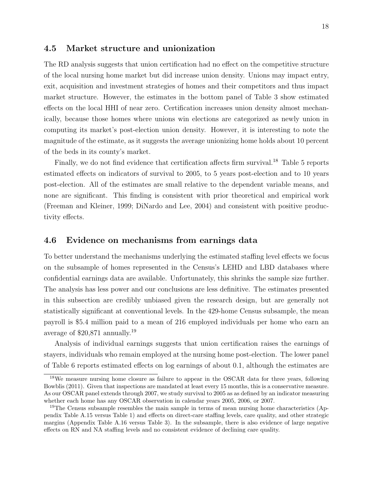#### 4.5 Market structure and unionization

The RD analysis suggests that union certification had no effect on the competitive structure of the local nursing home market but did increase union density. Unions may impact entry, exit, acquisition and investment strategies of homes and their competitors and thus impact market structure. However, the estimates in the bottom panel of Table [3](#page-32-0) show estimated effects on the local HHI of near zero. Certification increases union density almost mechanically, because those homes where unions win elections are categorized as newly union in computing its market's post-election union density. However, it is interesting to note the magnitude of the estimate, as it suggests the average unionizing home holds about 10 percent of the beds in its county's market.

Finally, we do not find evidence that certification affects firm survival.<sup>[18](#page-20-0)</sup> Table [5](#page-34-0) reports estimated effects on indicators of survival to 2005, to 5 years post-election and to 10 years post-election. All of the estimates are small relative to the dependent variable means, and none are significant. This finding is consistent with prior theoretical and empirical work [\(Freeman and Kleiner,](#page-27-13) [1999;](#page-27-13) [DiNardo and Lee,](#page-26-0) [2004\)](#page-26-0) and consistent with positive productivity effects.

#### 4.6 Evidence on mechanisms from earnings data

To better understand the mechanisms underlying the estimated staffing level effects we focus on the subsample of homes represented in the Census's LEHD and LBD databases where confidential earnings data are available. Unfortunately, this shrinks the sample size further. The analysis has less power and our conclusions are less definitive. The estimates presented in this subsection are credibly unbiased given the research design, but are generally not statistically significant at conventional levels. In the 429-home Census subsample, the mean payroll is \$5.4 million paid to a mean of 216 employed individuals per home who earn an average of \$20,871 annually.[19](#page-20-1)

Analysis of individual earnings suggests that union certification raises the earnings of stayers, individuals who remain employed at the nursing home post-election. The lower panel of Table [6](#page-35-0) reports estimated effects on log earnings of about 0.1, although the estimates are

<span id="page-20-0"></span><sup>&</sup>lt;sup>18</sup>We measure nursing home closure as failure to appear in the OSCAR data for three years, following [Bowblis](#page-26-11) [\(2011\)](#page-26-11). Given that inspections are mandated at least every 15 months, this is a conservative measure. As our OSCAR panel extends through 2007, we study survival to 2005 as as defined by an indicator measuring whether each home has any OSCAR observation in calendar years 2005, 2006, or 2007.

<span id="page-20-1"></span><sup>&</sup>lt;sup>19</sup>The Census subsample resembles the main sample in terms of mean nursing home characteristics (Appendix Table [A.15](#page-62-0) versus Table [1\)](#page-30-0) and effects on direct-care staffing levels, care quality, and other strategic margins (Appendix Table [A.16](#page-63-0) versus Table [3\)](#page-32-0). In the subsample, there is also evidence of large negative effects on RN and NA staffing levels and no consistent evidence of declining care quality.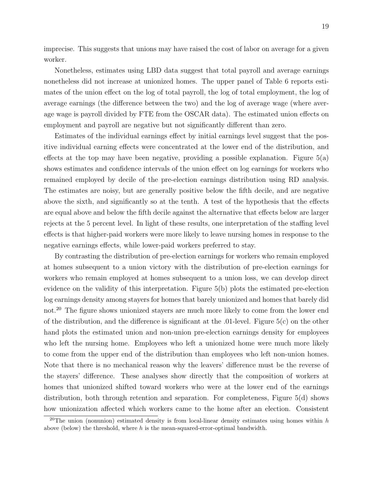imprecise. This suggests that unions may have raised the cost of labor on average for a given worker.

Nonetheless, estimates using LBD data suggest that total payroll and average earnings nonetheless did not increase at unionized homes. The upper panel of Table [6](#page-35-0) reports estimates of the union effect on the log of total payroll, the log of total employment, the log of average earnings (the difference between the two) and the log of average wage (where average wage is payroll divided by FTE from the OSCAR data). The estimated union effects on employment and payroll are negative but not significantly different than zero.

Estimates of the individual earnings effect by initial earnings level suggest that the positive individual earning effects were concentrated at the lower end of the distribution, and effects at the top may have been negative, providing a possible explanation. Figure  $5(a)$ shows estimates and confidence intervals of the union effect on log earnings for workers who remained employed by decile of the pre-election earnings distribution using RD analysis. The estimates are noisy, but are generally positive below the fifth decile, and are negative above the sixth, and significantly so at the tenth. A test of the hypothesis that the effects are equal above and below the fifth decile against the alternative that effects below are larger rejects at the 5 percent level. In light of these results, one interpretation of the staffing level effects is that higher-paid workers were more likely to leave nursing homes in response to the negative earnings effects, while lower-paid workers preferred to stay.

By contrasting the distribution of pre-election earnings for workers who remain employed at homes subsequent to a union victory with the distribution of pre-election earnings for workers who remain employed at homes subsequent to a union loss, we can develop direct evidence on the validity of this interpretation. Figure [5\(b\)](#page-43-1) plots the estimated pre-election log earnings density among stayers for homes that barely unionized and homes that barely did not.<sup>[20](#page-21-0)</sup> The figure shows unionized stayers are much more likely to come from the lower end of the distribution, and the difference is significant at the  $.01$ -level. Figure  $5(c)$  on the other hand plots the estimated union and non-union pre-election earnings density for employees who left the nursing home. Employees who left a unionized home were much more likely to come from the upper end of the distribution than employees who left non-union homes. Note that there is no mechanical reason why the leavers' difference must be the reverse of the stayers' difference. These analyses show directly that the composition of workers at homes that unionized shifted toward workers who were at the lower end of the earnings distribution, both through retention and separation. For completeness, Figure  $5(d)$  shows how unionization affected which workers came to the home after an election. Consistent

<span id="page-21-0"></span><sup>&</sup>lt;sup>20</sup>The union (nonunion) estimated density is from local-linear density estimates using homes within  $h$ above (below) the threshold, where  $h$  is the mean-squared-error-optimal bandwidth.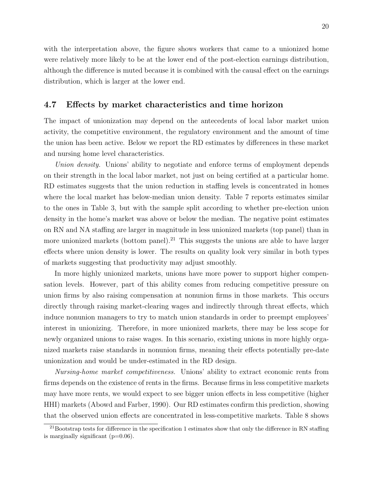with the interpretation above, the figure shows workers that came to a unionized home were relatively more likely to be at the lower end of the post-election earnings distribution, although the difference is muted because it is combined with the causal effect on the earnings distribution, which is larger at the lower end.

#### 4.7 Effects by market characteristics and time horizon

The impact of unionization may depend on the antecedents of local labor market union activity, the competitive environment, the regulatory environment and the amount of time the union has been active. Below we report the RD estimates by differences in these market and nursing home level characteristics.

Union density. Unions' ability to negotiate and enforce terms of employment depends on their strength in the local labor market, not just on being certified at a particular home. RD estimates suggests that the union reduction in staffing levels is concentrated in homes where the local market has below-median union density. Table [7](#page-36-0) reports estimates similar to the ones in Table [3,](#page-32-0) but with the sample split according to whether pre-election union density in the home's market was above or below the median. The negative point estimates on RN and NA staffing are larger in magnitude in less unionized markets (top panel) than in more unionized markets (bottom panel).<sup>[21](#page-22-0)</sup> This suggests the unions are able to have larger effects where union density is lower. The results on quality look very similar in both types of markets suggesting that productivity may adjust smoothly.

In more highly unionized markets, unions have more power to support higher compensation levels. However, part of this ability comes from reducing competitive pressure on union firms by also raising compensation at nonunion firms in those markets. This occurs directly through raising market-clearing wages and indirectly through threat effects, which induce nonunion managers to try to match union standards in order to preempt employees' interest in unionizing. Therefore, in more unionized markets, there may be less scope for newly organized unions to raise wages. In this scenario, existing unions in more highly organized markets raise standards in nonunion firms, meaning their effects potentially pre-date unionization and would be under-estimated in the RD design.

Nursing-home market competitiveness. Unions' ability to extract economic rents from firms depends on the existence of rents in the firms. Because firms in less competitive markets may have more rents, we would expect to see bigger union effects in less competitive (higher HHI) markets [\(Abowd and Farber,](#page-26-12) [1990\)](#page-26-12). Our RD estimates confirm this prediction, showing that the observed union effects are concentrated in less-competitive markets. Table [8](#page-37-0) shows

<span id="page-22-0"></span> $^{21}$ Bootstrap tests for difference in the specification 1 estimates show that only the difference in RN staffing is marginally significant  $(p=0.06)$ .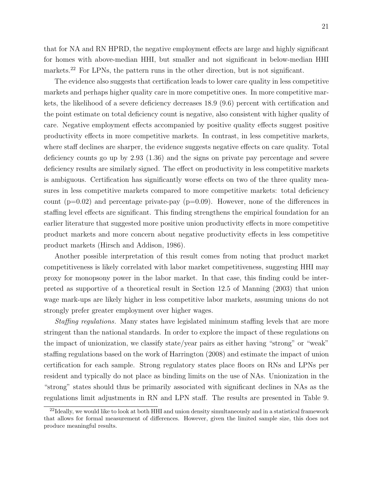that for NA and RN HPRD, the negative employment effects are large and highly significant for homes with above-median HHI, but smaller and not significant in below-median HHI markets.<sup>[22](#page-23-0)</sup> For LPNs, the pattern runs in the other direction, but is not significant.

The evidence also suggests that certification leads to lower care quality in less competitive markets and perhaps higher quality care in more competitive ones. In more competitive markets, the likelihood of a severe deficiency decreases 18.9 (9.6) percent with certification and the point estimate on total deficiency count is negative, also consistent with higher quality of care. Negative employment effects accompanied by positive quality effects suggest positive productivity effects in more competitive markets. In contrast, in less competitive markets, where staff declines are sharper, the evidence suggests negative effects on care quality. Total deficiency counts go up by 2.93 (1.36) and the signs on private pay percentage and severe deficiency results are similarly signed. The effect on productivity in less competitive markets is ambiguous. Certification has significantly worse effects on two of the three quality measures in less competitive markets compared to more competitive markets: total deficiency count  $(p=0.02)$  and percentage private-pay  $(p=0.09)$ . However, none of the differences in staffing level effects are significant. This finding strengthens the empirical foundation for an earlier literature that suggested more positive union productivity effects in more competitive product markets and more concern about negative productivity effects in less competitive product markets [\(Hirsch and Addison,](#page-27-1) [1986\)](#page-27-1).

Another possible interpretation of this result comes from noting that product market competitiveness is likely correlated with labor market competitiveness, suggesting HHI may proxy for monopsony power in the labor market. In that case, this finding could be interpreted as supportive of a theoretical result in Section 12.5 of [Manning](#page-28-12) [\(2003\)](#page-28-12) that union wage mark-ups are likely higher in less competitive labor markets, assuming unions do not strongly prefer greater employment over higher wages.

Staffing regulations. Many states have legislated minimum staffing levels that are more stringent than the national standards. In order to explore the impact of these regulations on the impact of unionization, we classify state/year pairs as either having "strong" or "weak" staffing regulations based on the work of [Harrington](#page-27-14) [\(2008\)](#page-27-14) and estimate the impact of union certification for each sample. Strong regulatory states place floors on RNs and LPNs per resident and typically do not place as binding limits on the use of NAs. Unionization in the "strong" states should thus be primarily associated with significant declines in NAs as the regulations limit adjustments in RN and LPN staff. The results are presented in Table [9.](#page-38-0)

<span id="page-23-0"></span><sup>&</sup>lt;sup>22</sup>Ideally, we would like to look at both HHI and union density simultaneously and in a statistical framework that allows for formal measurement of differences. However, given the limited sample size, this does not produce meaningful results.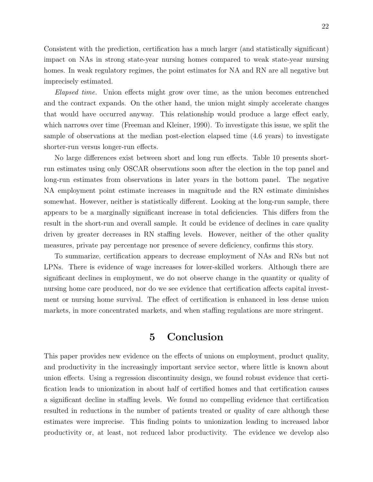Consistent with the prediction, certification has a much larger (and statistically significant) impact on NAs in strong state-year nursing homes compared to weak state-year nursing homes. In weak regulatory regimes, the point estimates for NA and RN are all negative but imprecisely estimated.

Elapsed time. Union effects might grow over time, as the union becomes entrenched and the contract expands. On the other hand, the union might simply accelerate changes that would have occurred anyway. This relationship would produce a large effect early, which narrows over time [\(Freeman and Kleiner,](#page-27-15) [1990\)](#page-27-15). To investigate this issue, we split the sample of observations at the median post-election elapsed time (4.6 years) to investigate shorter-run versus longer-run effects.

No large differences exist between short and long run effects. Table [10](#page-39-0) presents shortrun estimates using only OSCAR observations soon after the election in the top panel and long-run estimates from observations in later years in the bottom panel. The negative NA employment point estimate increases in magnitude and the RN estimate diminishes somewhat. However, neither is statistically different. Looking at the long-run sample, there appears to be a marginally significant increase in total deficiencies. This differs from the result in the short-run and overall sample. It could be evidence of declines in care quality driven by greater decreases in RN staffing levels. However, neither of the other quality measures, private pay percentage nor presence of severe deficiency, confirms this story.

To summarize, certification appears to decrease employment of NAs and RNs but not LPNs. There is evidence of wage increases for lower-skilled workers. Although there are significant declines in employment, we do not observe change in the quantity or quality of nursing home care produced, nor do we see evidence that certification affects capital investment or nursing home survival. The effect of certification is enhanced in less dense union markets, in more concentrated markets, and when staffing regulations are more stringent.

## 5 Conclusion

This paper provides new evidence on the effects of unions on employment, product quality, and productivity in the increasingly important service sector, where little is known about union effects. Using a regression discontinuity design, we found robust evidence that certification leads to unionization in about half of certified homes and that certification causes a significant decline in staffing levels. We found no compelling evidence that certification resulted in reductions in the number of patients treated or quality of care although these estimates were imprecise. This finding points to unionization leading to increased labor productivity or, at least, not reduced labor productivity. The evidence we develop also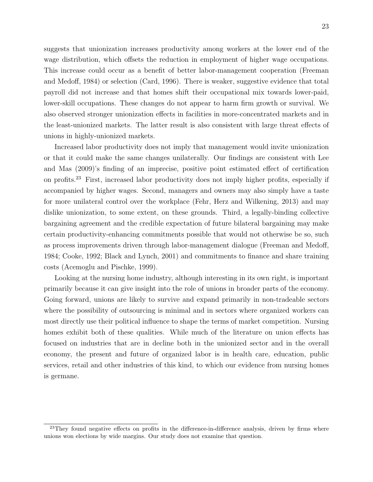suggests that unionization increases productivity among workers at the lower end of the wage distribution, which offsets the reduction in employment of higher wage occupations. This increase could occur as a benefit of better labor-management cooperation [\(Freeman](#page-27-0) [and Medoff,](#page-27-0) [1984\)](#page-27-0) or selection [\(Card,](#page-26-10) [1996\)](#page-26-10). There is weaker, suggestive evidence that total payroll did not increase and that homes shift their occupational mix towards lower-paid, lower-skill occupations. These changes do not appear to harm firm growth or survival. We also observed stronger unionization effects in facilities in more-concentrated markets and in the least-unionized markets. The latter result is also consistent with large threat effects of unions in highly-unionized markets.

Increased labor productivity does not imply that management would invite unionization or that it could make the same changes unilaterally. Our findings are consistent with [Lee](#page-28-2) [and Mas](#page-28-2) [\(2009\)](#page-28-2)'s finding of an imprecise, positive point estimated effect of certification on profits.[23](#page-25-0) First, increased labor productivity does not imply higher profits, especially if accompanied by higher wages. Second, managers and owners may also simply have a taste for more unilateral control over the workplace [\(Fehr, Herz and Wilkening,](#page-26-13) [2013\)](#page-26-13) and may dislike unionization, to some extent, on these grounds. Third, a legally-binding collective bargaining agreement and the credible expectation of future bilateral bargaining may make certain productivity-enhancing commitments possible that would not otherwise be so, such as process improvements driven through labor-management dialogue [\(Freeman and Medoff,](#page-27-0) [1984;](#page-27-0) [Cooke,](#page-26-14) [1992;](#page-26-14) [Black and Lynch,](#page-26-15) [2001\)](#page-26-15) and commitments to finance and share training costs [\(Acemoglu and Pischke,](#page-26-8) [1999\)](#page-26-8).

Looking at the nursing home industry, although interesting in its own right, is important primarily because it can give insight into the role of unions in broader parts of the economy. Going forward, unions are likely to survive and expand primarily in non-tradeable sectors where the possibility of outsourcing is minimal and in sectors where organized workers can most directly use their political influence to shape the terms of market competition. Nursing homes exhibit both of these qualities. While much of the literature on union effects has focused on industries that are in decline both in the unionized sector and in the overall economy, the present and future of organized labor is in health care, education, public services, retail and other industries of this kind, to which our evidence from nursing homes is germane.

<span id="page-25-0"></span> $^{23}$ They found negative effects on profits in the difference-in-difference analysis, driven by firms where unions won elections by wide margins. Our study does not examine that question.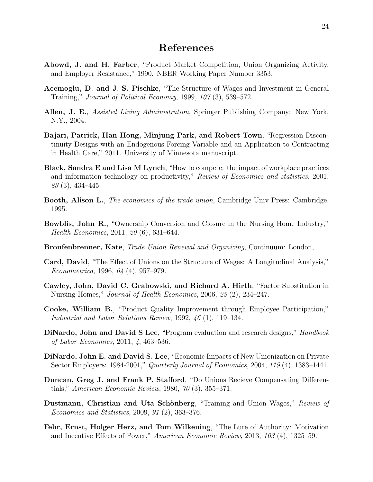## References

- <span id="page-26-12"></span>Abowd, J. and H. Farber, "Product Market Competition, Union Organizing Activity, and Employer Resistance," 1990. NBER Working Paper Number 3353.
- <span id="page-26-8"></span>Acemoglu, D. and J.-S. Pischke, "The Structure of Wages and Investment in General Training," Journal of Political Economy, 1999, 107 (3), 539–572.
- <span id="page-26-3"></span>Allen, J. E., *Assisted Living Administration*, Springer Publishing Company: New York, N.Y., 2004.
- <span id="page-26-4"></span>Bajari, Patrick, Han Hong, Minjung Park, and Robert Town, "Regression Discontinuity Designs with an Endogenous Forcing Variable and an Application to Contracting in Health Care," 2011. University of Minnesota manuscript.
- <span id="page-26-15"></span>Black, Sandra E and Lisa M Lynch, "How to compete: the impact of workplace practices and information technology on productivity," Review of Economics and statistics, 2001, 83 (3), 434–445.
- <span id="page-26-1"></span>**Booth, Alison L.**, *The economics of the trade union*, Cambridge Univ Press: Cambridge, 1995.
- <span id="page-26-11"></span>Bowblis, John R., "Ownership Conversion and Closure in the Nursing Home Industry," Health Economics, 2011, 20 (6), 631–644.
- <span id="page-26-6"></span>Bronfenbrenner, Kate, Trade Union Renewal and Organizing, Continuum: London,
- <span id="page-26-10"></span>Card, David, "The Effect of Unions on the Structure of Wages: A Longitudinal Analysis," Econometrica, 1996, 64 (4), 957–979.
- <span id="page-26-2"></span>Cawley, John, David C. Grabowski, and Richard A. Hirth, "Factor Substitution in Nursing Homes," Journal of Health Economics, 2006, 25 (2), 234–247.
- <span id="page-26-14"></span>Cooke, William B., "Product Quality Improvement through Employee Participation," Industrial and Labor Relations Review, 1992, 46 (1), 119–134.
- <span id="page-26-5"></span>DiNardo, John and David S Lee, "Program evaluation and research designs," *Handbook* of Labor Economics, 2011, 4, 463–536.
- <span id="page-26-0"></span>DiNardo, John E. and David S. Lee, "Economic Impacts of New Unionization on Private Sector Employers: 1984-2001," Quarterly Journal of Economics, 2004, 119 (4), 1383–1441.
- <span id="page-26-7"></span>Duncan, Greg J. and Frank P. Stafford, "Do Unions Recieve Compensating Differentials," American Economic Review, 1980, 70 (3), 355–371.
- <span id="page-26-9"></span>Dustmann, Christian and Uta Schönberg, "Training and Union Wages," Review of Economics and Statistics, 2009, 91 (2), 363–376.
- <span id="page-26-13"></span>Fehr, Ernst, Holger Herz, and Tom Wilkening, "The Lure of Authority: Motivation and Incentive Effects of Power," American Economic Review, 2013, 103 (4), 1325–59.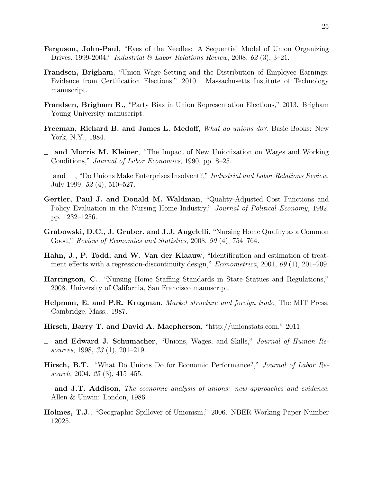- <span id="page-27-11"></span>Ferguson, John-Paul, "Eyes of the Needles: A Sequential Model of Union Organizing Drives, 1999-2004," Industrial & Labor Relations Review, 2008, 62 (3), 3-21.
- <span id="page-27-8"></span>Frandsen, Brigham, "Union Wage Setting and the Distribution of Employee Earnings: Evidence from Certification Elections," 2010. Massachusetts Institute of Technology manuscript.
- <span id="page-27-10"></span>Frandsen, Brigham R., "Party Bias in Union Representation Elections," 2013. Brigham Young University manuscript.
- <span id="page-27-0"></span>Freeman, Richard B. and James L. Medoff, What do unions do?, Basic Books: New York, N.Y., 1984.
- <span id="page-27-15"></span>and Morris M. Kleiner, "The Impact of New Unionization on Wages and Working Conditions," Journal of Labor Economics, 1990, pp. 8–25.
- <span id="page-27-13"></span> $\Delta$  and  $\Delta$ , "Do Unions Make Enterprises Insolvent?," Industrial and Labor Relations Review, July 1999, 52 (4), 510–527.
- <span id="page-27-3"></span>Gertler, Paul J. and Donald M. Waldman, "Quality-Adjusted Cost Functions and Policy Evaluation in the Nursing Home Industry," Journal of Political Economy, 1992, pp. 1232–1256.
- <span id="page-27-7"></span>Grabowski, D.C., J. Gruber, and J.J. Angelelli, "Nursing Home Quality as a Common Good," Review of Economics and Statistics, 2008, 90 (4), 754–764.
- <span id="page-27-9"></span>Hahn, J., P. Todd, and W. Van der Klaauw, "Identification and estimation of treatment effects with a regression-discontinuity design," *Econometrica*, 2001, 69 (1), 201–209.
- <span id="page-27-14"></span>Harrington, C., "Nursing Home Staffing Standards in State Statues and Regulations," 2008. University of California, San Francisco manuscript.
- <span id="page-27-4"></span>Helpman, E. and P.R. Krugman, Market structure and foreign trade, The MIT Press: Cambridge, Mass., 1987.
- <span id="page-27-5"></span>Hirsch, Barry T. and David A. Macpherson, "http://unionstats.com," 2011.
- <span id="page-27-12"></span> $\equiv$  and Edward J. Schumacher, "Unions, Wages, and Skills," *Journal of Human Re*sources, 1998, 33 (1), 201–219.
- <span id="page-27-2"></span>Hirsch, B.T., "What Do Unions Do for Economic Performance?," Journal of Labor Research, 2004, 25 (3), 415–455.
- <span id="page-27-1"></span> $\equiv$  and J.T. Addison, The economic analysis of unions: new approaches and evidence, Allen & Unwin: London, 1986.
- <span id="page-27-6"></span>Holmes, T.J., "Geographic Spillover of Unionism," 2006. NBER Working Paper Number 12025.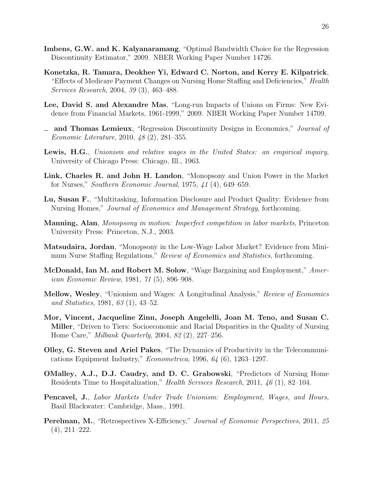- <span id="page-28-8"></span>Imbens, G.W. and K. Kalyanaramang, "Optimal Bandwidth Choice for the Regression Discontinuity Estimator," 2009. NBER Working Paper Number 14726.
- <span id="page-28-5"></span>Konetzka, R. Tamara, Deokhee Yi, Edward C. Norton, and Kerry E. Kilpatrick, "Effects of Medicare Payment Changes on Nursing Home Staffing and Deficiencies," Health Services Research, 2004, 39 (3), 463–488.
- <span id="page-28-2"></span>Lee, David S. and Alexandre Mas, "Long-run Impacts of Unions on Firms: New Evidence from Financial Markets, 1961-1999," 2009. NBER Working Paper Number 14709.
- <span id="page-28-3"></span> $\Box$  and Thomas Lemieux, "Regression Discontinuity Designs in Economics," *Journal of* Economic Literature, 2010, 48 (2), 281–355.
- <span id="page-28-1"></span>Lewis, H.G., Unionism and relative wages in the United States: an empirical inquiry, University of Chicago Press: Chicago, Ill., 1963.
- <span id="page-28-11"></span>Link, Charles R. and John H. Landon, "Monopsony and Union Power in the Market for Nurses," Southern Economic Journal, 1975, 41 (4), 649–659.
- <span id="page-28-4"></span>Lu, Susan F., "Multitasking, Information Disclosure and Product Quality: Evidence from Nursing Homes," Journal of Economics and Management Strategy, forthcoming.
- <span id="page-28-12"></span>Manning, Alan, Monopsony in motion: Imperfect competition in labor markets, Princeton University Press: Princeton, N.J., 2003.
- <span id="page-28-13"></span>Matsudaira, Jordan, "Monopsony in the Low-Wage Labor Market? Evidence from Minimum Nurse Staffing Regulations," Review of Economics and Statistics, forthcoming.
- <span id="page-28-10"></span>McDonald, Ian M. and Robert M. Solow, "Wage Bargaining and Employment," American Economic Review, 1981, 71 (5), 896–908.
- <span id="page-28-0"></span>Mellow, Wesley, "Unionism and Wages: A Longitudinal Analysis," Review of Economics and Statistics, 1981, 63 (1), 43–52.
- <span id="page-28-7"></span>Mor, Vincent, Jacqueline Zinn, Joseph Angelelli, Joan M. Teno, and Susan C. Miller, "Driven to Tiers: Socioeconomic and Racial Disparities in the Quality of Nursing Home Care," Milbank Quarterly, 2004, 82 (2), 227–256.
- <span id="page-28-14"></span>Olley, G. Steven and Ariel Pakes, "The Dynamics of Productivity in the Telecommunications Equipment Industry," Econometrica, 1996, 64 (6), 1263–1297.
- <span id="page-28-6"></span>OMalley, A.J., D.J. Caudry, and D. C. Grabowski, "Predictors of Nursing Home Residents Time to Hospitalization," Health Services Research, 2011, 46 (1), 82–104.
- <span id="page-28-9"></span>Pencavel, J., Labor Markets Under Trade Unionism: Employment, Wages, and Hours, Basil Blackwater: Cambridge, Mass., 1991.
- <span id="page-28-15"></span>Perelman, M., "Retrospectives X-Efficiency," Journal of Economic Perspectives, 2011, 25 (4), 211–222.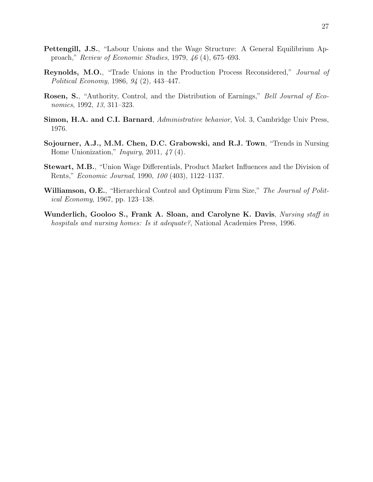- <span id="page-29-6"></span>Pettengill, J.S., "Labour Unions and the Wage Structure: A General Equilibrium Approach," Review of Economic Studies, 1979, 46 (4), 675–693.
- <span id="page-29-7"></span>Reynolds, M.O., "Trade Unions in the Production Process Reconsidered," Journal of Political Economy, 1986, 94 (2), 443–447.
- <span id="page-29-5"></span>Rosen, S., "Authority, Control, and the Distribution of Earnings," Bell Journal of Economics, 1992, 13, 311–323.
- <span id="page-29-3"></span>Simon, H.A. and C.I. Barnard, Administrative behavior, Vol. 3, Cambridge Univ Press, 1976.
- <span id="page-29-2"></span>Sojourner, A.J., M.M. Chen, D.C. Grabowski, and R.J. Town, "Trends in Nursing Home Unionization,"  $Inquiry$ , 2011, 47(4).
- <span id="page-29-0"></span>Stewart, M.B., "Union Wage Differentials, Product Market Influences and the Division of Rents," Economic Journal, 1990, 100 (403), 1122–1137.
- <span id="page-29-4"></span>Williamson, O.E., "Hierarchical Control and Optimum Firm Size," The Journal of Political Economy, 1967, pp. 123–138.
- <span id="page-29-1"></span>Wunderlich, Gooloo S., Frank A. Sloan, and Carolyne K. Davis, Nursing staff in hospitals and nursing homes: Is it adequate?, National Academies Press, 1996.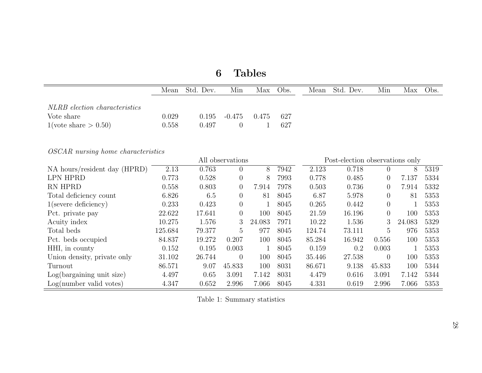|                                           | Mean    | Std. Dev. | Min              | Max          | Obs. | Mean   | Std. Dev.                       | Min            | Max    | Obs. |
|-------------------------------------------|---------|-----------|------------------|--------------|------|--------|---------------------------------|----------------|--------|------|
| NLRB election characteristics             |         |           |                  |              |      |        |                                 |                |        |      |
| Vote share                                | 0.029   | 0.195     | $-0.475$         | 0.475        | 627  |        |                                 |                |        |      |
| $1(\text{vote share} > 0.50)$             | 0.558   | 0.497     | $\theta$         | $\mathbf{1}$ | 627  |        |                                 |                |        |      |
| <i>OSCAR</i> nursing home characteristics |         |           |                  |              |      |        |                                 |                |        |      |
|                                           |         |           | All observations |              |      |        | Post-election observations only |                |        |      |
| NA hours/resident day (HPRD)              | 2.13    | 0.763     | $\overline{0}$   | 8            | 7942 | 2.123  | 0.718                           | $\overline{0}$ | 8      | 5319 |
| <b>LPN HPRD</b>                           | 0.773   | 0.528     | $\overline{0}$   | 8            | 7993 | 0.778  | 0.485                           | $\overline{0}$ | 7.137  | 5334 |
| RN HPRD                                   | 0.558   | 0.803     | $\overline{0}$   | 7.914        | 7978 | 0.503  | 0.736                           | $\overline{0}$ | 7.914  | 5332 |
| Total deficiency count                    | 6.826   | 6.5       | $\overline{0}$   | 81           | 8045 | 6.87   | 5.978                           | $\overline{0}$ | 81     | 5353 |
| $1$ (severe deficiency)                   | 0.233   | 0.423     | $\theta$         | $\mathbf{1}$ | 8045 | 0.265  | 0.442                           | $\overline{0}$ |        | 5353 |
| Pct. private pay                          | 22.622  | 17.641    | $\theta$         | 100          | 8045 | 21.59  | 16.196                          | $\theta$       | 100    | 5353 |
| Acuity index                              | 10.275  | 1.576     | 3                | 24.083       | 7971 | 10.22  | 1.536                           | 3              | 24.083 | 5329 |
| Total beds                                | 125.684 | 79.377    | 5                | 977          | 8045 | 124.74 | 73.111                          | $\overline{5}$ | 976    | 5353 |
| Pct. beds occupied                        | 84.837  | 19.272    | 0.207            | 100          | 8045 | 85.284 | 16.942                          | 0.556          | 100    | 5353 |
| HHI, in county                            | 0.152   | 0.195     | 0.003            | 1            | 8045 | 0.159  | 0.2                             | 0.003          | 1      | 5353 |
| Union density, private only               | 31.102  | 26.744    | $\theta$         | 100          | 8045 | 35.446 | 27.538                          | $\theta$       | 100    | 5353 |
| Turnout                                   | 86.571  | 9.07      | 45.833           | 100          | 8031 | 86.671 | 9.138                           | 45.833         | 100    | 5344 |
| Log(bargaining unit size)                 | 4.497   | 0.65      | 3.091            | 7.142        | 8031 | 4.479  | 0.616                           | 3.091          | 7.142  | 5344 |
| Log(number valid votes)                   | 4.347   | 0.652     | 2.996            | 7.066        | 8045 | 4.331  | 0.619                           | 2.996          | 7.066  | 5353 |

# <span id="page-30-0"></span>6 Tables

Table 1: Summary statistics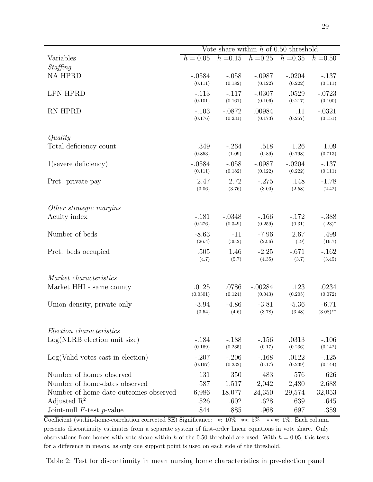|                                       | Vote share within $h$ of 0.50 threshold |                     |                   |                  |                     |  |
|---------------------------------------|-----------------------------------------|---------------------|-------------------|------------------|---------------------|--|
| Variables                             | $h = 0.05$                              | $h = 0.15$          | $h = 0.25$        | $h = 0.35$       | $h = 0.50$          |  |
| Staffing                              |                                         |                     |                   |                  |                     |  |
| <b>NA HPRD</b>                        | $-.0584$                                | $-.058$             | $-.0987$          | $-.0204$         | $-.137$             |  |
|                                       | (0.111)                                 | (0.182)             | (0.122)           | (0.222)          | (0.111)             |  |
| <b>LPN HPRD</b>                       | $-.113$                                 | $-.117$             | $-.0307$          | .0529            | $-.0723$            |  |
|                                       | (0.101)                                 | (0.161)             | (0.106)           | (0.217)          | (0.100)             |  |
| RN HPRD                               | $-.103$<br>(0.176)                      | $-.0872$<br>(0.231) | .00984<br>(0.173) | .11<br>(0.257)   | $-.0321$<br>(0.151) |  |
|                                       |                                         |                     |                   |                  |                     |  |
| Quality                               |                                         |                     |                   |                  |                     |  |
| Total deficiency count                | .349                                    | $-.264$             | .518              | 1.26             | 1.09                |  |
|                                       | (0.853)                                 | (1.09)              | (0.89)            | (0.798)          | (0.713)             |  |
| $1$ (severe deficiency)               | $-.0584$                                | $-.058$             | $-.0987$          | $-.0204$         | $-.137$             |  |
|                                       | (0.111)                                 | (0.182)             | (0.122)           | (0.222)          | (0.111)             |  |
| Prct. private pay                     | 2.47                                    | 2.72                | $-.275$           | .148             | $-1.78$             |  |
|                                       | (3.06)                                  | (3.76)              | (3.00)            | (2.58)           | (2.42)              |  |
|                                       |                                         |                     |                   |                  |                     |  |
| Other strategic margins               |                                         |                     |                   |                  |                     |  |
| Acuity index                          | $-.181$                                 | $-.0348$            | $-.166$           | $-.172$          | $-.388$             |  |
|                                       | (0.276)                                 | (0.349)             | (0.259)           | (0.31)           | $(.23)^*$           |  |
| Number of beds                        | $-8.63$                                 | $-11$               | $-7.96$           | 2.67             | .499                |  |
|                                       | (26.4)                                  | (30.2)              | (22.6)            | (19)             | (16.7)              |  |
| Prct. beds occupied                   | .505<br>(4.7)                           | 1.46<br>(5.7)       | $-2.25$<br>(4.35) | $-.671$<br>(3.7) | $-.162$<br>(3.45)   |  |
|                                       |                                         |                     |                   |                  |                     |  |
| Market characteristics                |                                         |                     |                   |                  |                     |  |
| Market HHI - same county              | .0125                                   | .0786               | $-.00284$         | .123             | .0234               |  |
|                                       | (0.0301)                                | (0.124)             | (0.043)           | (0.205)          | (0.072)             |  |
| Union density, private only           | $-3.94$                                 | $-4.86$             | $-3.81$           | $-5.36$          | $-6.71$             |  |
|                                       | (3.54)                                  | (4.6)               | (3.78)            | (3.48)           | $(3.08)$ **         |  |
|                                       |                                         |                     |                   |                  |                     |  |
| Election characteristics              |                                         |                     |                   |                  |                     |  |
| $Log(NLRB)$ election unit size)       | $-.184$                                 | $-.188$             | $-.156$           | .0313            | $-.106$             |  |
|                                       | (0.169)                                 | (0.235)             | (0.17)            | (0.236)          | (0.142)             |  |
| Log(Valid votes cast in election)     | $-.207$                                 | $-.206$             | $-.168$           | .0122            | $-.125$             |  |
|                                       | (0.167)                                 | (0.232)             | (0.17)            | (0.239)          | (0.144)             |  |
| Number of homes observed              | 131                                     | 350                 | 483               | 576              | 626                 |  |
| Number of home-dates observed         | 587                                     | 1,517               | 2,042             | 2,480            | 2,688               |  |
| Number of home-date-outcomes observed | 6,986                                   | 18,077              | 24,350            | 29,574           | 32,053              |  |
| Adjusted $\mathbb{R}^2$               | .526                                    | .602                | .628              | .639             | .645                |  |
| Joint-null $F$ -test $p$ -value       | .844                                    | .885                | .968              | .697             | .359                |  |

Coefficient (within-home-correlation corrected SE) Significance: ∗: 10% ∗∗: 5% ∗ ∗ ∗: 1%. Each column

presents discontinuity estimates from a separate system of first-order linear equations in vote share. Only observations from homes with vote share within h of the 0.50 threshold are used. With  $h = 0.05$ , this tests for a difference in means, as only one support point is used on each side of the threshold.

<span id="page-31-0"></span>Table 2: Test for discontinuity in mean nursing home characteristics in pre-election panel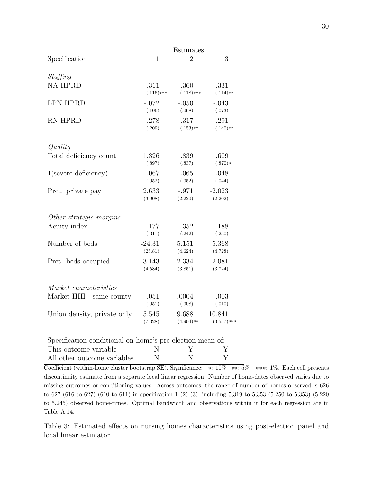<span id="page-32-1"></span>

|                             | Estimates      |                |                |  |  |
|-----------------------------|----------------|----------------|----------------|--|--|
| Specification               | $\overline{1}$ | $\overline{2}$ | $\overline{3}$ |  |  |
|                             |                |                |                |  |  |
| Staffing<br><b>NA HPRD</b>  | $-.311$        | $-.360$        | $-.331$        |  |  |
|                             | $(.116)$ ***   | $(.118)***$    | $(.114)**$     |  |  |
| <b>LPN HPRD</b>             | $-.072$        | $-.050$        | $-.043$        |  |  |
|                             | (.106)         | (.068)         | (.073)         |  |  |
| <b>RN HPRD</b>              | $-.278$        | $-.317$        | $-.291$        |  |  |
|                             | (.209)         | $(.153)**$     | $(.140)**$     |  |  |
|                             |                |                |                |  |  |
| Quality                     |                |                |                |  |  |
| Total deficiency count      | 1.326          | .839           | 1.609          |  |  |
|                             | (.897)         | (.837)         | $(.870)*$      |  |  |
| $1$ (severe deficiency)     | $-.067$        | $-.065$        | $-.048$        |  |  |
|                             | (.052)         | (.052)         | (.044)         |  |  |
| Prct. private pay           | 2.633          | $-.971$        | $-2.023$       |  |  |
|                             | (3.908)        | (2.220)        | (2.202)        |  |  |
| Other strategic margins     |                |                |                |  |  |
| Acuity index                | $-.177$        | $-.352$        | $-.188$        |  |  |
|                             | (.311)         | (.242)         | (.230)         |  |  |
| Number of beds              | $-24.31$       | 5.151          | 5.368          |  |  |
|                             | (25.81)        | (4.624)        | (4.728)        |  |  |
| Prct. beds occupied         | 3.143          | 2.334          | 2.081          |  |  |
|                             | (4.584)        | (3.851)        | (3.724)        |  |  |
|                             |                |                |                |  |  |
| Market characteristics      |                |                |                |  |  |
| Market HHI - same county    | .051           | $-.0004$       | .003           |  |  |
|                             | (.051)         | (.008)         | (.010)         |  |  |
| Union density, private only | 5.545          | 9.688          | 10.841         |  |  |
|                             | (7.328)        | $(4.904)**$    | $(3.557)***$   |  |  |

| Specification conditional on home's pre-election mean of: |   |  |
|-----------------------------------------------------------|---|--|
| This outcome variable                                     | Y |  |
| All other outcome variables                               | N |  |

Coefficient (within-home cluster bootstrap SE). Significance: ∗: 10% ∗∗: 5% ∗∗∗: 1%. Each cell presents discontinuity estimate from a separate local linear regression. Number of home-dates observed varies due to missing outcomes or conditioning values. Across outcomes, the range of number of homes observed is 626 to 627 (616 to 627) (610 to 611) in specification 1 (2) (3), including 5,319 to 5,353 (5,250 to 5,353) (5,220 to 5,245) observed home-times. Optimal bandwidth and observations within it for each regression are in Table [A.14.](#page-58-0)

<span id="page-32-0"></span>Table 3: Estimated effects on nursing homes characteristics using post-election panel and local linear estimator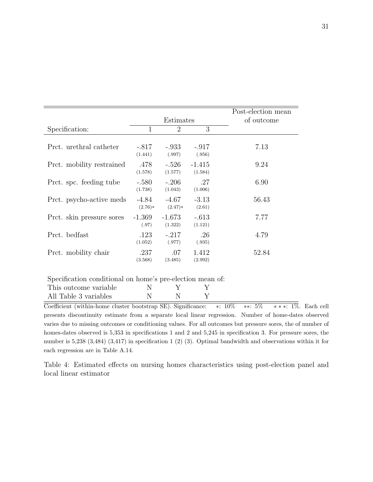|                           |                    |                     |                     | Post-election mean |
|---------------------------|--------------------|---------------------|---------------------|--------------------|
|                           |                    | Estimates           |                     | of outcome         |
| Specification:            | 1                  | $\overline{2}$      | 3                   |                    |
| Prct. urethral catheter   | $-.817$<br>(1.441) | -.933<br>(.997)     | $-.917$<br>(.956)   | 7.13               |
| Prct. mobility restrained | .478<br>(1.578)    | $-.526$<br>(1.577)  | $-1.415$<br>(1.584) | 9.24               |
| Prct. spc. feeding tube   | $-.580$<br>(1.738) | $-.206$<br>(1.043)  | .27<br>(1.006)      | 6.90               |
| Prct. psycho-active meds  | -4.84<br>$(2.76)*$ | -4.67<br>$(2.47)*$  | $-3.13$<br>(2.61)   | 56.43              |
| Prct. skin pressure sores | $-1.369$<br>(.97)  | $-1.673$<br>(1.322) | $-.613$<br>(1.121)  | 7.77               |
| Prct. bedfast             | .123<br>(1.052)    | $-.217$<br>(.977)   | .26<br>(.935)       | 4.79               |
| Prct. mobility chair      | .237<br>(3.568)    | .07<br>(3.485)      | 1.412<br>(2.992)    | 52.84              |

| Specification conditional on home's pre-election mean of: |  |  |
|-----------------------------------------------------------|--|--|
| This outcome variable                                     |  |  |
| All Table 3 variables                                     |  |  |

Coefficient (within-home cluster bootstrap SE). Significance: ∗: 10% ∗∗: 5% ∗ ∗ ∗: 1%. Each cell presents discontinuity estimate from a separate local linear regression. Number of home-dates observed varies due to missing outcomes or conditioning values. For all outcomes but pressure sores, the of number of homes-dates observed is  $5,353$  in specifications 1 and 2 and  $5,245$  in specification 3. For pressure sores, the number is 5,238 (3,484) (3,417) in specification 1 (2) (3). Optimal bandwidth and observations within it for each regression are in Table [A.14.](#page-58-0)

<span id="page-33-0"></span>Table 4: Estimated effects on nursing homes characteristics using post-election panel and local linear estimator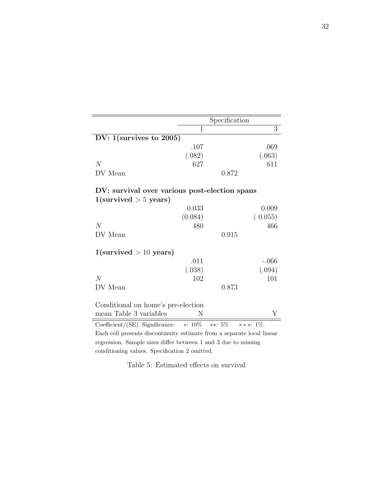|                                                                        |         | Specification |                |
|------------------------------------------------------------------------|---------|---------------|----------------|
|                                                                        | 1       |               | $\overline{3}$ |
| DV: $1$ (survives to 2005)                                             |         |               |                |
|                                                                        | .107    |               | .069           |
|                                                                        | (.082)  |               | (.063)         |
| $\overline{N}$                                                         | 627     |               | 611            |
| DV Mean                                                                |         | 0.872         |                |
| DV: survival over various post-election spans                          |         |               |                |
| $1$ (survived $> 5$ years)                                             |         |               |                |
|                                                                        | 0.033   |               | 0.009          |
|                                                                        | (0.084) |               | (0.055)        |
| N                                                                      | 480     |               | 466            |
| DV Mean                                                                |         | 0.915         |                |
| $1$ (survived $> 10$ years)                                            |         |               |                |
|                                                                        | .011    |               | $-.066$        |
|                                                                        | (.038)  |               | (.094)         |
| N                                                                      | 102     |               | 101            |
| DV Mean                                                                |         | 0.873         |                |
| Conditional on home's pre-election                                     |         |               |                |
| mean Table 3 variables                                                 | Ν       |               | Y              |
|                                                                        |         |               |                |
| Coefficient/(SE). Significance: $*: 10\%$                              |         | $**: 5\%$     | * * *: $1\%$ . |
| Each cell presents discontinuity estimate from a separate local linear |         |               |                |

regression. Sample sizes differ between 1 and 3 due to missing conditioning values. Specification 2 omitted.

<span id="page-34-0"></span>Table 5: Estimated effects on survival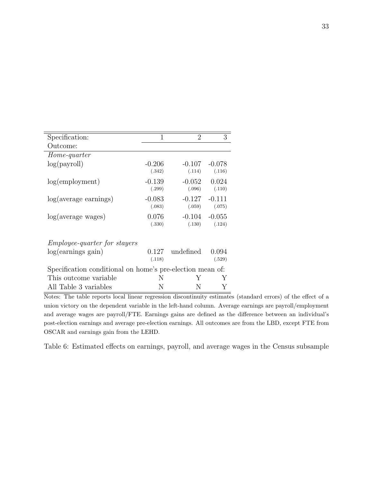| $\mathbf{1}$                                              | $\overline{2}$ | 3        |  |  |  |
|-----------------------------------------------------------|----------------|----------|--|--|--|
|                                                           |                |          |  |  |  |
|                                                           |                |          |  |  |  |
| $-0.206$                                                  | $-0.107$       | $-0.078$ |  |  |  |
| (.342)                                                    | (.114)         | (.116)   |  |  |  |
| $-0.139$                                                  | $-0.052$       | 0.024    |  |  |  |
| (.299)                                                    | (.096)         | (.110)   |  |  |  |
| $-0.083$                                                  | $-0.127$       | $-0.111$ |  |  |  |
| (.083)                                                    | (.059)         | (.075)   |  |  |  |
| 0.076                                                     | $-0.104$       | $-0.055$ |  |  |  |
| (.330)                                                    | (.130)         | (.124)   |  |  |  |
|                                                           |                |          |  |  |  |
|                                                           |                |          |  |  |  |
| 0.127                                                     | undefined      | 0.094    |  |  |  |
| (.118)                                                    |                | (.529)   |  |  |  |
| Specification conditional on home's pre-election mean of: |                |          |  |  |  |
| N                                                         | Y              | Y        |  |  |  |
| N                                                         | N              |          |  |  |  |
|                                                           |                |          |  |  |  |

Notes: The table reports local linear regression discontinuity estimates (standard errors) of the effect of a union victory on the dependent variable in the left-hand column. Average earnings are payroll/employment and average wages are payroll/FTE. Earnings gains are defined as the difference between an individual's post-election earnings and average pre-election earnings. All outcomes are from the LBD, except FTE from OSCAR and earnings gain from the LEHD.

<span id="page-35-0"></span>Table 6: Estimated effects on earnings, payroll, and average wages in the Census subsample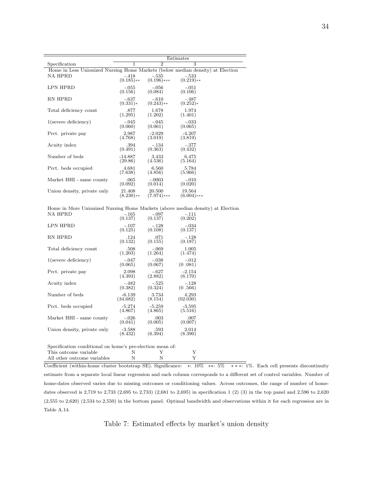|                                                                                | Estimates    |                |               |  |  |  |
|--------------------------------------------------------------------------------|--------------|----------------|---------------|--|--|--|
| Specification                                                                  | 1            | $\mathfrak{D}$ | 3             |  |  |  |
| Home in Less Unionized Nursing Home Markets (below median density) at Election |              |                |               |  |  |  |
| NA HPRD                                                                        | $-.418$      | $-.535$        | $-.533$       |  |  |  |
|                                                                                | $(0.185)$ ** | $(0.196)$ ***  | $(0.219)$ **  |  |  |  |
| LPN HPRD                                                                       | $-.055$      | $-.056$        | $-.051$       |  |  |  |
|                                                                                | (0.156)      | (0.084)        | (0.106)       |  |  |  |
| RN HPRD                                                                        | $-.637$      | $-.610$        | $-.487$       |  |  |  |
|                                                                                | $(0.331)*$   | $(0.243)$ **   | $(0.252)*$    |  |  |  |
| Total deficiency count                                                         | .877         | 1.678          | 1.974         |  |  |  |
|                                                                                | (1.295)      | (1.202)        | (1.401)       |  |  |  |
| $1$ (severe deficiency)                                                        | $-.045$      | $-.045$        | $-.033$       |  |  |  |
|                                                                                | (0.060)      | (0.061)        | (0.065)       |  |  |  |
| Prct. private pay                                                              | 2.987        | $-2.029$       | $-4.207$      |  |  |  |
|                                                                                | (4.768)      | (3.019)        | (3.819)       |  |  |  |
| Acuity index                                                                   | .394         | $-.134$        | $-.377$       |  |  |  |
|                                                                                | (0.491)      | (0.363)        | (0.432)       |  |  |  |
| Number of beds                                                                 | $-14.887$    | 3.433          | 6.475         |  |  |  |
|                                                                                | (29.86)      | (4.536)        | (5.164)       |  |  |  |
| Prct. beds occupied                                                            | 4.681        | 6.560          | 5.784         |  |  |  |
|                                                                                | (7.638)      | (4.856)        | (5.966)       |  |  |  |
| Market HHI - same county                                                       | .065         | $-.0003$       | $-.010$       |  |  |  |
|                                                                                | (0.092)      | (0.014)        | (0.020)       |  |  |  |
| Union density, private only                                                    | 21.408       | 20.500         | 19.564        |  |  |  |
|                                                                                | $(8.230)**$  | (7.974)***     | $(6.004)$ *** |  |  |  |

Home in More Unionized Nursing Home Markets (above median density) at Election NA HPRD

| 1111 111 1UD                                              | - 100    | . vv.    | .        |
|-----------------------------------------------------------|----------|----------|----------|
|                                                           | (0.137)  | (0.137)  | (0.202)  |
| LPN HPRD                                                  | $-.107$  | $-.128$  | $-.034$  |
|                                                           | (0.125)  | (0.108)  | (0.137)  |
| RN HPRD                                                   | .124     | .071     | $-.128$  |
|                                                           | (0.132)  | (0.155)  | (0.187)  |
| Total deficiency count                                    | .508     | $-.069$  | 1.005    |
|                                                           | (1.203)  | (1.264)  | (1.474)  |
| $1$ (severe deficiency)                                   | $-.047$  | $-.038$  | $-.012$  |
|                                                           | (0.065)  | (0.067)  | (0.081)  |
| Prct. private pay                                         | 2.098    | $-.627$  | $-2.154$ |
|                                                           | (4.393)  | (2.882)  | (6.170)  |
| Acuity index                                              | $-.482$  | $-.525$  | $-.128$  |
|                                                           | (0.382)  | (0.324)  | (0.566)  |
| Number of beds                                            | $-6.139$ | 3.734    | 4.293    |
|                                                           | (34.682) | (8.154)  | (02.030) |
| Prct. beds occupied                                       | $-5.274$ | $-5.259$ | $-3.595$ |
|                                                           | (4.867)  | (4.865)  | (5.516)  |
| Market HHI - same county                                  | $-.026$  | .003     | .007     |
|                                                           | (0.041)  | (0.005)  | (0.007)  |
| Union density, private only                               | $-3.588$ | .593     | 2.014    |
|                                                           | (8.432)  | (6.394)  | (8.390)  |
| Specification conditional on home's pre-election mean of: |          |          |          |
| This outcome variable                                     | N        | Y        | Y        |
| All other outcome variables                               | N        | N        | Υ        |

Coefficient (within-home cluster bootstrap SE). Significance: ∗: 10% ∗∗: 5% ∗ ∗ ∗: 1%. Each cell presents discontinuity estimate from a separate local linear regression and each column corresponds to a different set of control variables. Number of home-dates observed varies due to missing outcomes or conditioning values. Across outcomes, the range of number of homedates observed is 2,719 to 2,733 (2,695 to 2,733) (2,681 to 2,695) in specification 1 (2) (3) in the top panel and 2,596 to 2,620 (2,555 to 2,620) (2,534 to 2,550) in the bottom panel. Optimal bandwidth and observations within it for each regression are in Table [A.14.](#page-58-0)

<span id="page-36-0"></span>Table 7: Estimated effects by market's union density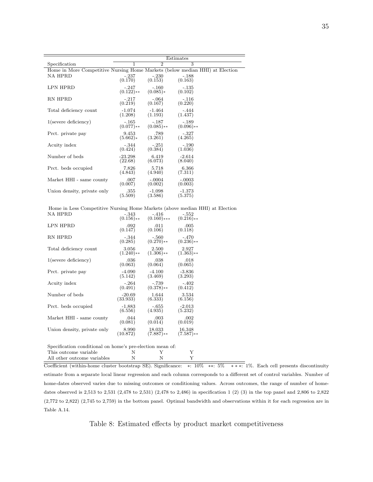|                                                                              | Estimates              |                         |                         |  |  |  |
|------------------------------------------------------------------------------|------------------------|-------------------------|-------------------------|--|--|--|
| Specification                                                                | 1                      | $\overline{2}$          | 3                       |  |  |  |
| Home in More Competitive Nursing Home Markets (below median HHI) at Election |                        |                         |                         |  |  |  |
| NA HPRD                                                                      | $-.237$<br>(0.170)     | $-.230$<br>(0.153)      | $-.188$<br>(0.163)      |  |  |  |
| LPN HPRD                                                                     | $-.247$<br>$(0.122)**$ | $-.160$<br>$(0.085)*$   | $-135$<br>(0.102)       |  |  |  |
| RN HPRD                                                                      | $-.217$<br>(0.219)     | $-.064$<br>(0.167)      | $-.116$<br>(0.220)      |  |  |  |
| Total deficiency count                                                       | $-1.074$<br>(1.208)    | $-1.464$<br>(1.193)     | $-.444$<br>(1.437)      |  |  |  |
| $1$ (severe deficiency)                                                      | $-.165$<br>$(0.077)**$ | $-.187$<br>$(0.085)$ ** | $-.189$<br>$(0.096)$ ** |  |  |  |
| Prct. private pay                                                            | 9.453<br>$(5.662)*$    | .789<br>(3.261)         | $-.327$<br>(4.265)      |  |  |  |
| Acuity index                                                                 | $-.344$<br>(0.424)     | $-.251$<br>(0.384)      | $-.190$<br>(1.036)      |  |  |  |
| Number of beds                                                               | $-23.298$<br>(22.68)   | 6.419<br>(6.073)        | $-2.614$<br>(8.040)     |  |  |  |
| Prct. beds occupied                                                          | 7.826<br>(4.843)       | 5.718<br>(4.940)        | 6.366<br>(7.311)        |  |  |  |
| Market HHI - same county                                                     | .007<br>(0.007)        | $-.0004$<br>(0.002)     | $-.0003$<br>(0.003)     |  |  |  |
| Union density, private only                                                  | .355<br>(5.509)        | $-1.098$<br>(3.586)     | $-1.373$<br>(5.375)     |  |  |  |

Home in Less Competitive Nursing Home Markets (above median HHI) at Election NA HPRD  $-.343$  -.416  $-.552$ NA HPRD

|                                                                                                 | $(0.156)$ ** | $(0.160)$ *** | $(0.216)$ ** |
|-------------------------------------------------------------------------------------------------|--------------|---------------|--------------|
| LPN HPRD                                                                                        | .092         | .011          | .005         |
|                                                                                                 | (0.147)      | (0.106)       | (0.118)      |
| RN HPRD                                                                                         | $-.344$      | $-.560$       | $-.470$      |
|                                                                                                 | (0.285)      | $(0.270)$ **  | $(0.236)$ ** |
| Total deficiency count                                                                          | 3.056        | 2.500         | 2.927        |
|                                                                                                 | $(1.240)**$  | $(1.306)$ **  | $(1.363)$ ** |
| $1$ (severe deficiency)                                                                         | .036         | .038          | .018         |
|                                                                                                 | (0.063)      | (0.064)       | (0.065)      |
| Prct. private pay                                                                               | $-4.090$     | $-4.100$      | $-3.836$     |
|                                                                                                 | (5.142)      | (3.469)       | (3.293)      |
| Acuity index                                                                                    | $-.264$      | $-.739$       | $-.402$      |
|                                                                                                 | (0.491)      | $(0.378)$ **  | (0.412)      |
| Number of beds                                                                                  | $-20.69$     | 1.644         | 3.534        |
|                                                                                                 | (33.933)     | (6.333)       | (6.156)      |
| Prct. beds occupied                                                                             | $-1.883$     | $-.655$       | $-2.013$     |
|                                                                                                 | (6.556)      | (4.935)       | (5.232)      |
| Market HHI - same county                                                                        | .044         | .003          | .002         |
|                                                                                                 | (0.081)      | (0.014)       | (0.019)      |
| Union density, private only                                                                     | 8.990        | 18.033        | 16.348       |
|                                                                                                 | (10.872)     | $(7.887)$ **  | $(7.587)$ ** |
| Specification conditional on home's pre-election mean of:                                       |              |               |              |
| $\mathbf{m}$ , $\mathbf{v}$ and $\mathbf{v}$ and $\mathbf{v}$ and $\mathbf{v}$ are $\mathbf{v}$ |              |               |              |

This outcome variable  $\begin{array}{ccc} \text{N} & \text{Y} & \text{Y} \ \text{All other outcome variables} & \text{N} & \text{N} & \text{Y} \end{array}$ All other outcome variables

Coefficient (within-home cluster bootstrap SE). Significance: ∗: 10% ∗∗: 5% ∗ ∗ ∗: 1%. Each cell presents discontinuity estimate from a separate local linear regression and each column corresponds to a different set of control variables. Number of home-dates observed varies due to missing outcomes or conditioning values. Across outcomes, the range of number of homedates observed is 2,513 to 2,531 (2,478 to 2,531) (2,478 to 2,486) in specification 1 (2) (3) in the top panel and 2,806 to 2,822 (2,772 to 2,822) (2,745 to 2,759) in the bottom panel. Optimal bandwidth and observations within it for each regression are in Table [A.14.](#page-58-0)

<span id="page-37-0"></span>Table 8: Estimated effects by product market competitiveness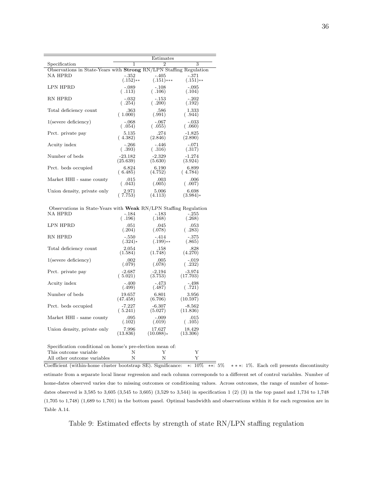|                                                                           |            | Estimates    |                           |
|---------------------------------------------------------------------------|------------|--------------|---------------------------|
| Specification                                                             | 1          | 2            | $\overline{\overline{3}}$ |
| Observations in State-Years with <b>Strong</b> RN/LPN Staffing Regulation |            |              |                           |
| <b>NA HPRD</b>                                                            | $-.352$    | $-.405$      | $-.371$                   |
|                                                                           | $(.152)**$ | $(.151)$ *** | $(.151)**$                |
| LPN HPRD                                                                  | $-.089$    | $-.108$      | $-.095$                   |
|                                                                           | (.113)     | (.106)       | (.104)                    |
| RN HPRD                                                                   | $-.032$    | $-.153$      | $-.202$                   |
|                                                                           | (.254)     | (.200)       | (.192)                    |
| Total deficiency count                                                    | .363       | .586         | 1.333                     |
|                                                                           | (1.000)    | (.991)       | (.944)                    |
| $1$ (severe deficiency)                                                   | $-.068$    | $-.067$      | $-.033$                   |
|                                                                           | (.054)     | (.055)       | (.060)                    |
| Prct. private pay                                                         | 5.135      | .274         | $-1.825$                  |
|                                                                           | (4.382)    | (2.846)      | (2.890)                   |
| Acuity index                                                              | $-.266$    | $-.446$      | $-.071$                   |
|                                                                           | (.393)     | (.316)       | (.317)                    |
| Number of beds                                                            | $-23.182$  | $-2.329$     | $-1.274$                  |
|                                                                           | (25.639)   | (5.630)      | (3.924)                   |
| Prct. beds occupied                                                       | 6.824      | 6.190        | 6.899                     |
|                                                                           | (6.485)    | (4.752)      | (4.784)                   |
| Market HHI - same county                                                  | .015       | .003         | .006                      |
|                                                                           | (.043)     | (.005)       | (.007)                    |
| Union density, private only                                               | 2.971      | 5.006        | 6.698                     |
|                                                                           | (.7.753)   | (4.113)      | $(3.984)*$                |
|                                                                           |            |              |                           |

Observations in State-Years with **Weak** RN/LPN Staffing Regulation<br>NA HPRD -184 -183 -255 NA HPRD

|                                                             |           | $-100$      | $ -$     |
|-------------------------------------------------------------|-----------|-------------|----------|
|                                                             | (.196)    | (.168)      | (.268)   |
| <b>LPN HPRD</b>                                             | .051      | .045        | .053     |
|                                                             | (.204)    | (.078)      | (.283)   |
| RN HPRD                                                     | $-.550$   | $-.414$     | $-.375$  |
|                                                             | $(.324)*$ | $(.199)$ ** | (.865)   |
| Total deficiency count                                      | 2.054     | .158        | .828     |
|                                                             | (1.584)   | (1.748)     | (4.270)  |
| $1$ (severe deficiency)                                     | .002      | .005        | $-.019$  |
|                                                             | (.079)    | (.078)      | (.232)   |
| Prct. private pay                                           | $-2.687$  | $-2.194$    | $-3.974$ |
|                                                             | (.5.021)  | (3.753)     | (17.703) |
| Acuity index                                                | $-.400$   | -.473       | $-.498$  |
|                                                             | (.499)    | (.487)      | (.721)   |
| Number of beds                                              | 19.657    | 6.801       | 3.956    |
|                                                             | (47.458)  | (6.706)     | (10.597) |
| Prct. beds occupied                                         | $-7.227$  | $-6.307$    | $-8.562$ |
|                                                             | (.5.241)  | (5.027)     | (11.836) |
| Market HHI - same county                                    | .095      | $-.009$     | .015     |
|                                                             | (.102)    | (.019)      | (.105)   |
| Union density, private only                                 | 7.996     | 17.627      | 18.429   |
|                                                             | (13.836)  | $(10.088)*$ | (13.306) |
| Construction and literature language and characteristic and |           |             |          |

Specification conditional on home's pre-election mean of: This outcome variable N Y Y All other outcome variables  $\hskip1cm {\bf N}$   $\hskip1.6cm {\bf N}$ 

Coefficient (within-home cluster bootstrap SE). Significance: ∗: 10% ∗∗: 5% ∗ ∗ ∗: 1%. Each cell presents discontinuity estimate from a separate local linear regression and each column corresponds to a different set of control variables. Number of home-dates observed varies due to missing outcomes or conditioning values. Across outcomes, the range of number of homedates observed is 3,585 to 3,605 (3,545 to 3,605) (3,529 to 3,544) in specification 1 (2) (3) in the top panel and 1,734 to 1,748 (1,705 to 1,748) (1,689 to 1,701) in the bottom panel. Optimal bandwidth and observations within it for each regression are in Table [A.14.](#page-58-0)

<span id="page-38-0"></span>Table 9: Estimated effects by strength of state RN/LPN staffing regulation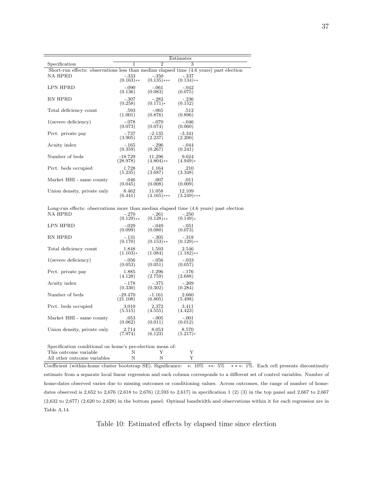|                                                                                         |                         |                             | Estimates               |  |
|-----------------------------------------------------------------------------------------|-------------------------|-----------------------------|-------------------------|--|
| Specification                                                                           | 1                       | $\mathcal{D}_{\mathcal{L}}$ | 3                       |  |
| Short-run effects: observations less than median elapsed time (4.6 years) past election |                         |                             |                         |  |
| NA HPRD                                                                                 | $-.333$<br>$(0.163)$ ** | $-.350$<br>$(0.135)$ ***    | -.337<br>$(0.134)$ **   |  |
| LPN HPRD                                                                                | $-.090$<br>(0.136)      | $-.061$<br>(0.083)          | $-.042$<br>(0.075)      |  |
| RN HPRD                                                                                 | $-.307$<br>(0.258)      | $-.282$<br>$(0.171)*$       | $-.236$<br>(0.152)      |  |
| Total deficiency count                                                                  | .593<br>(1.001)         | $-.065$<br>(0.876)          | .512<br>(0.896)         |  |
| $1$ (severe deficiency)                                                                 | $-.078$<br>(0.073)      | $-.070$<br>(0.074)          | $-.046$<br>(0.060)      |  |
| Prct. private pay                                                                       | $-.737$<br>(3.905)      | $-2.135$<br>(2.237)         | $-3.341$<br>(2.200)     |  |
| Acuity index                                                                            | $-165$<br>(0.359)       | $-.296$<br>(0.267)          | $-.044$<br>(0.241)      |  |
| Number of beds                                                                          | $-18.729$<br>(28.978)   | 11.296<br>$(4.804)$ **      | 9.624<br>$(4.949)*$     |  |
| Prct. beds occupied                                                                     | 1.728<br>(5.235)        | 1.164<br>(3.687)            | .210<br>(3.348)         |  |
| Market HHI - same county                                                                | .046<br>(0.045)         | .007<br>(0.008)             | .011<br>(0.009)         |  |
| Union density, private only                                                             | 8.462<br>(6.441)        | 11.058<br>$(4.165)$ ***     | 12.109<br>$(3.249)$ *** |  |

Long-run effects: observations more than median elapsed time  $(4.6 \text{ years})$  past election<br>NA HPRD  $-270 -261 -250$ NA HPRD

| ,,,, ,,, , <b>,</b> ,                                     | $-10$        | ۰∠⊔۰         | $-00$        |
|-----------------------------------------------------------|--------------|--------------|--------------|
|                                                           | $(0.129)$ ** | $(0.128)$ ** | $(0.149)*$   |
| <b>LPN HPRD</b>                                           | $-.029$      | $-.049$      | $-.051$      |
|                                                           | (0.099)      | (0.080)      | (0.073)      |
| RN HPRD                                                   | $-.131$      | $-.305$      | $-.318$      |
|                                                           | (0.170)      | $(0.153)$ ** | $(0.129)$ ** |
| Total deficiency count                                    | 1.848        | 1.593        | 2.546        |
|                                                           | $(1.103)*$   | (1.084)      | $(1.182)**$  |
| $1$ (severe deficiency)                                   | $-.056$      | $-.056$      | $-.033$      |
|                                                           | (0.053)      | (0.051)      | (0.057)      |
| Prct. private pay                                         | 1.885        | $-1.296$     | $-.176$      |
|                                                           | (4.128)      | (2.759)      | (2.688)      |
| Acuity index                                              | $-.178$      | $-.375$      | $-.269$      |
|                                                           | (0.330)      | (0.302)      | (0.284)      |
| Number of beds                                            | $-29.470$    | $-1.161$     | 2.660        |
|                                                           | (21.108)     | (6.805)      | (5.498)      |
| Prct. beds occupied                                       | 3.010        | 2.372        | 3.411        |
|                                                           | (5.515)      | (4.555)      | (4.423)      |
| Market HHI - same county                                  | .053         | $-.005$      | $-.001$      |
|                                                           | (0.062)      | (0.011)      | (0.012)      |
| Union density, private only                               | 2.714        | 8.053        | 8.570        |
|                                                           | (7.974)      | (6.123)      | $(5.217)*$   |
| Specification conditional on home's pre-election mean of: |              |              |              |
| This outcome variable                                     | Ν            | Y            | Υ            |

All other outcome variables  $N$  N N Y

Coefficient (within-home cluster bootstrap SE). Significance: ∗: 10% ∗∗: 5% ∗ ∗ ∗: 1%. Each cell presents discontinuity estimate from a separate local linear regression and each column corresponds to a different set of control variables. Number of home-dates observed varies due to missing outcomes or conditioning values. Across outcomes, the range of number of homedates observed is 2,652 to 2,676 (2,618 to 2,676) (2,593 to 2,617) in specification 1 (2) (3) in the top panel and 2,667 to 2,667 (2,632 to 2,677) (2,620 to 2,628) in the bottom panel. Optimal bandwidth and observations within it for each regression are in Table [A.14.](#page-58-0)

<span id="page-39-0"></span>Table 10: Estimated effects by elapsed time since election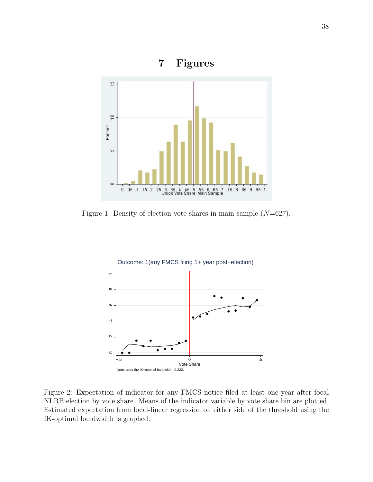

<span id="page-40-0"></span>Figure 1: Density of election vote shares in main sample  $(N=627)$ .



<span id="page-40-1"></span>Figure 2: Expectation of indicator for any FMCS notice filed at least one year after focal NLRB election by vote share. Means of the indicator variable by vote share bin are plotted. Estimated expectation from local-linear regression on either side of the threshold using the IK-optimal bandwidth is graphed.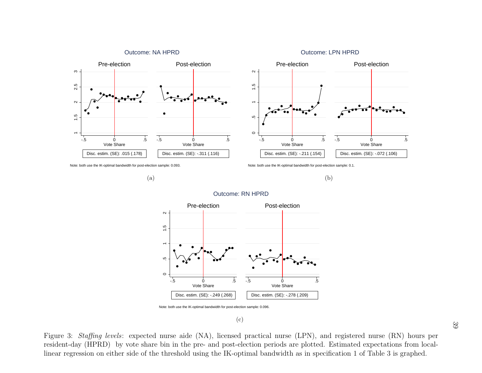

<span id="page-41-1"></span>

Note: both use the IK-optimal bandwidth for post-election sample: 0.093.

(a)

Note: both use the IK-optimal bandwidth for post-election sample: 0.1.





#### Outcome: RN HPRD

Note: both use the IK-optimal bandwidth for post-election sample: 0.096.

(c)

<span id="page-41-0"></span>5 Vote Share<br>Disc. estim. (SE): -.249 (.268)<br>h use the IK-optimal bandwidth for post-e<br>e aide (NA), license<br>in the pre- and post-<br>shold using the IK-c <sup>5</sup><br>
Vote Share<br>
Disc. estim. (SE): -.278 (.209)<br>
ample: 0.096.<br>
Tractical nurse (LPN),<br>
tion periods are plotte<br>
mal bandwidth as in sp Figure 3: Staffing levels: expected nurse aide (NA), licensed practical nurse (LPN), and registered nurse (RN) hours per resident-day (HPRD) by vote share bin in the pre- and post-election periods are <sup>p</sup>lotted. Estimated expectations from locallinear regression on either side of the threshold using the IK-optimal bandwidth as in specification 1 of Table [3](#page-32-1) is graphed.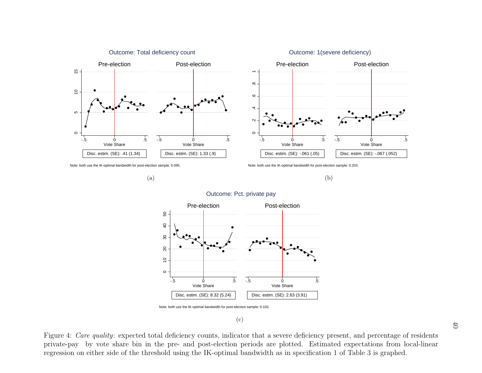

<span id="page-42-1"></span>

Note: both use the IK-optimal bandwidth for post-election sample: 0.095.

Note: both use the IK-optimal bandwidth for post-election sample: 0.203.



#### Outcome: Pct. private pay

<span id="page-42-0"></span>Note: both use the IK-optimal bandwidth for post-election sample: 0.102.

#### (c)

<sup>0</sup><br>
Disc. estim. (SE): .41 (1.34)<br>
h use the IK-optimal bandwidth for post-e<br>
either side of the the the side of the the there is the side of the the there is the side of the the there is the side of the the theorem. <sup>0</sup><br>
Disc. estim. (SE): -.067 (.052)<br>
ample: 0.203.<br>
Sent, and percentage of<br>
of Table 3 is graphed. 5 Vote Share<br>Disc. estim. (SE): 8.32 (5.24)<br>h use the IK-optimal bandwidth for post-e<br>ficiency counts, indic<br>re- and post-election<br>using the IK-optima <sup>5</sup><br>
Vote Share<br>
Disc. estim. (SE): 2.63 (3.91)<br>
ample: 0.102.<br>
<br>
That a severe deficience iods are plotted. Est<br>
Indwidth as in specifica Figure 4: *Care quality*: expected total deficiency counts, indicator that a severe deficiency present, and percentage of residents private-pay by vote share bin in the pre- and post-election periods are <sup>p</sup>lotted. Estimated expectations from local-linearregression on either side of the threshold using the IK-optimal bandwidth as in specification 1 of Table [3](#page-32-1) is graphed.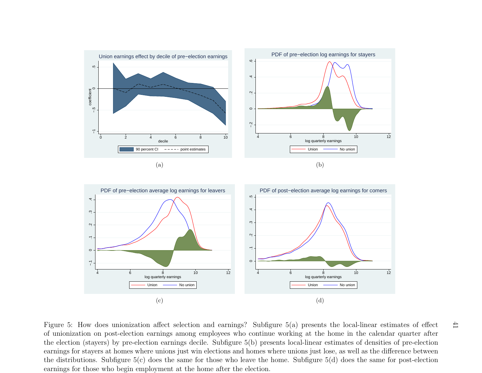<span id="page-43-7"></span><span id="page-43-5"></span><span id="page-43-4"></span><span id="page-43-3"></span><span id="page-43-1"></span>

<span id="page-43-6"></span><span id="page-43-2"></span><span id="page-43-0"></span>Figure 5: How does unionization affect selection and earnings? Subfigure [5\(a\)](#page-43-4) presents the local-linear estimates of effect of unionization on post-election earnings among employees who continue working at the home in the calendar quarter after the election (stayers) by pre-election earnings decile. Subfigure [5\(b\)](#page-43-5) presents local-linear estimates of densities of pre-election earnings for stayers at homes where unions just win elections and homes where unions just lose, as well as the difference between the distributions. Subfigure [5\(c\)](#page-43-6) does the same for those who leave the home. Subfigure [5\(d\)](#page-43-7) does the same for post-electionearnings for those who begin employment at the home after the election.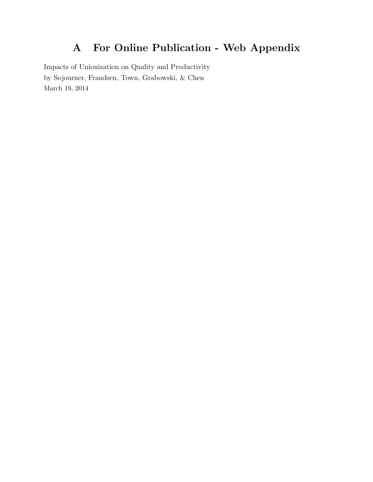# A For Online Publication - Web Appendix

Impacts of Unionization on Quality and Productivity by Sojourner, Frandsen, Town, Grabowski, & Chen March 19, 2014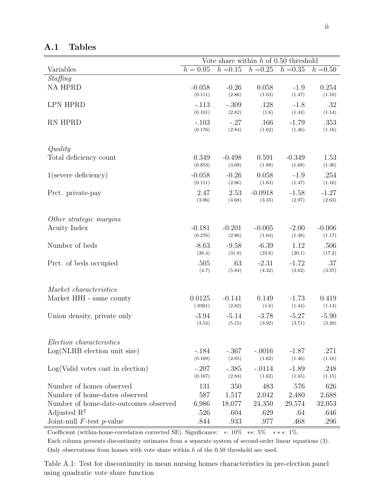|                                       |            | Vote share within $h$ of 0.50 threshold |            |            |            |
|---------------------------------------|------------|-----------------------------------------|------------|------------|------------|
| Variables                             | $h = 0.05$ | $h = 0.15$                              | $h = 0.25$ | $h = 0.35$ | $h = 0.50$ |
| Staffing                              |            |                                         |            |            |            |
| <b>NA HPRD</b>                        | $-0.058$   | $-0.26$                                 | 0.058      | $-1.9$     | 0.254      |
|                                       | (0.111)    | (2.86)                                  | (1.63)     | (1.47)     | (1.16)     |
| <b>LPN HPRD</b>                       | $-.113$    | $-.309$                                 | .128       | $-1.8$     | .32        |
|                                       | (0.101)    | (2.82)                                  | (1.6)      | (1.44)     | (1.14)     |
| RN HPRD                               | $-.103$    | $-.27$                                  | .166       | $-1.79$    | .353       |
|                                       | (0.176)    | (2.84)                                  | (1.62)     | (1.46)     | (1.16)     |
|                                       |            |                                         |            |            |            |
| Quality                               |            |                                         |            |            |            |
| Total deficiency count                | 0.349      | $-0.498$                                | 0.591      | $-0.349$   | 1.53       |
|                                       | (0.853)    | (3.09)                                  | (1.89)     | (1.68)     | (1.36)     |
| $1$ (severe deficiency)               | $-0.058$   | $-0.26$                                 | 0.058      | $-1.9$     | .254       |
|                                       | (0.111)    | (2.86)                                  | (1.63)     | (1.47)     | (1.16)     |
| Prct. private-pay                     | 2.47       | 2.53                                    | $-0.0918$  | $-1.58$    | $-1.27$    |
|                                       | (3.06)     | (4.68)                                  | (3.35)     | (2.97)     | (2.63)     |
|                                       |            |                                         |            |            |            |
| Other strategic margins               |            |                                         |            |            |            |
| <b>Acuity Index</b>                   | $-0.181$   | $-0.201$                                | $-0.005$   | $-2.00$    | $-0.006$   |
|                                       | (0.276)    | (2.86)                                  | (1.64)     | (1.48)     | (1.17)     |
| Number of beds                        | $-8.63$    | $-9.58$                                 | $-6.39$    | 1.12       | .506       |
|                                       | (26.4)     | (31.8)                                  | (23.6)     | (20.1)     | (17.2)     |
| Prct. of beds occupied                | .505       | .63                                     | $-2.31$    | $-1.72$    | .37        |
|                                       | (4.7)      | (5.84)                                  | (4.32)     | (3.62)     | (3.37)     |
|                                       |            |                                         |            |            |            |
| Market characteristics                |            |                                         |            |            |            |
| Market HHI - same county              | 0.0125     | $-0.141$                                | 0.149      | $-1.73$    | 0.419      |
|                                       | (.0301)    | (2.82)                                  | (1.6)      | (1.44)     | (1.14)     |
| Union density, private only           | $-3.94$    | $-5.14$                                 | $-3.78$    | $-5.27$    | $-5.90$    |
|                                       | (3.54)     | (5.15)                                  | (3.92)     | (3.71)     | (3.20)     |
|                                       |            |                                         |            |            |            |
| Election characteristics              |            |                                         |            |            |            |
| $Log(NLRB)$ election unit size)       | $-.184$    | $-.367$                                 | $-.0016$   | $-1.87$    | .271       |
|                                       | (0.169)    | (2.85)                                  | (1.62)     | (1.46)     | (1.16)     |
| Log(Valid votes cast in election)     | $-.207$    | $-.385$                                 | $-.0114$   | $-1.89$    | .248       |
|                                       | (0.167)    | (2.84)                                  | (1.62)     | (1.45)     | (1.15)     |
| Number of homes observed              | 131        | 350                                     | 483        | 576        | 626        |
| Number of home-dates observed         | 587        | 1,517                                   | 2,042      | 2,480      | 2,688      |
| Number of home-date-outcomes observed | 6,986      | 18,077                                  | 24,350     | 29,574     | 32,053     |
| Adjusted $\mathbb{R}^2$               | .526       | .604                                    | .629       | .64        | .646       |
| Joint-null $F$ -test $p$ -value       | .844       | .933                                    | .977       | .468       | .296       |

A.1 Tables

Coefficient (within-home-correlation corrected SE). Significance: ∗: 10% ∗∗: 5% ∗ ∗ ∗: 1%.

Each column presents discontinuity estimates from a separate system of second-order linear equations [\(3\)](#page-13-0). Only observations from homes with vote share within  $h$  of the 0.50 threshold are used.

Table A.1: Test for discontinuity in mean nursing homes characteristics in pre-election panel using quadratic vote share function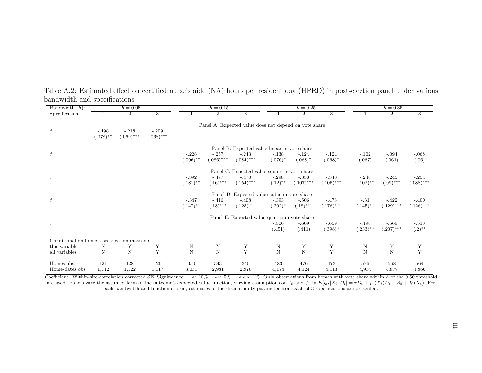| Bandwidth $(h)$ :                           |                        | $h = 0.05$              |                         |                        | $h = 0.15$              |                                                       |                       | $h = 0.25$              |                         |                        | $h = 0.35$              |                         |
|---------------------------------------------|------------------------|-------------------------|-------------------------|------------------------|-------------------------|-------------------------------------------------------|-----------------------|-------------------------|-------------------------|------------------------|-------------------------|-------------------------|
| Specification:                              |                        | $\overline{2}$          | $\overline{3}$          |                        | $\overline{2}$          | $\overline{3}$                                        |                       | $\overline{2}$          | 3                       |                        | $\overline{2}$          | $\overline{\mathbf{3}}$ |
| $\hat{\tau}$                                | $-.198$<br>$(.078)$ ** | $-.218$<br>$(.069)$ *** | $-.209$<br>$(.068)$ *** |                        |                         | Panel A: Expected value does not depend on vote share |                       |                         |                         |                        |                         |                         |
|                                             |                        |                         |                         |                        |                         | Panel B: Expected value linear in vote share          |                       |                         |                         |                        |                         |                         |
| $\hat{\tau}$                                |                        |                         |                         | $-.228$<br>$(.096)$ ** | $-.257$<br>$(.086)$ *** | $-.243$<br>$(.084)$ ***                               | $-.138$<br>$(.076)^*$ | $-.124$<br>$(.068)*$    | $-.124$<br>$(.068)*$    | $-.102$<br>(.067)      | $-.094$<br>(.061)       | $-.068$<br>(.06)        |
|                                             |                        |                         |                         |                        |                         | Panel C: Expected value square in vote share          |                       |                         |                         |                        |                         |                         |
| $\hat{\tau}$                                |                        |                         |                         | $-.392$<br>$(.181)$ ** | $-.477$<br>$(.16)$ ***  | $-.470$<br>$(.154)$ ***                               | $-.298$<br>$(.12)$ ** | $-.358$<br>$(.107)$ *** | $-.340$<br>$(.105)$ *** | $-.248$<br>$(.102)$ ** | $-.245$<br>$(.09)$ ***  | $-.254$<br>$(.088)***$  |
|                                             |                        |                         |                         |                        |                         | Panel D: Expected value cubic in vote share           |                       |                         |                         |                        |                         |                         |
| $\hat{\tau}$                                |                        |                         |                         | $-.347$<br>$(.147)$ ** | $-.416$<br>$(.13)$ ***  | $-.408$<br>$(.125)***$                                | $-.393$<br>$(.202)^*$ | $-.506$<br>$(.18)$ ***  | $-.478$<br>$(.176)$ *** | $-.31$<br>$(.145)$ **  | $-.422$<br>$(.129)$ *** | $-.400$<br>$(.126)$ *** |
|                                             |                        |                         |                         |                        |                         | Panel E: Expected value quartic in vote share         |                       |                         |                         |                        |                         |                         |
| $\hat{\tau}$                                |                        |                         |                         |                        |                         |                                                       | $-.506$<br>(.451)     | $-.609$<br>(.411)       | $-.659$<br>$(.398)^*$   | $-.498$<br>$(.233)$ ** | $-.569$<br>$(.207)$ *** | $-.513$<br>$(.2)$ **    |
| Conditional on home's pre-election mean of: |                        |                         |                         |                        |                         |                                                       |                       |                         |                         |                        |                         |                         |
| this variable                               | N                      | Y                       | Υ                       | N                      | Υ                       | Y                                                     | N                     | Υ                       | Υ                       | N                      | Υ                       | Y                       |
| all variables                               | N                      | $\mathbf N$             | Y                       | $\mathbf N$            | $\mathbf N$             | $\mathbf Y$                                           | $\mathbf N$           | $\overline{N}$          | $\mathbf Y$             | $\mathbf N$            | $\mathbf N$             | $\mathbf Y$             |
| Homes obs.                                  | 131                    | 128                     | 126                     | 350                    | 343                     | 340                                                   | 483                   | 476                     | 473                     | 576                    | 568                     | 564                     |
| Home-dates obs.                             | 1,142                  | 1,122                   | 1,117                   | 3,031                  | 2,981                   | 2,970                                                 | 4,174                 | 4,124                   | 4,113                   | 4,934                  | 4,879                   | 4,860                   |

Table A.2: Estimated effect on certified nurse's aide (NA) hours per resident day (HPRD) in post-election pane<sup>l</sup> under variousbandwidth and specifications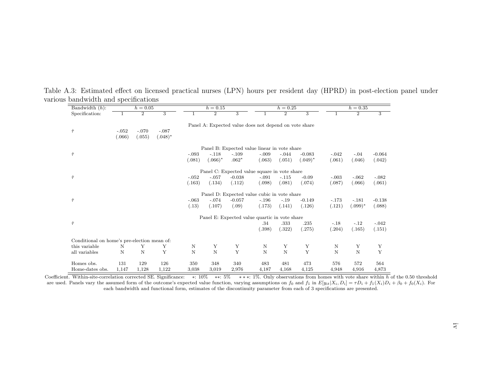| $\overline{\text{Bandwidth}}(h)$ :          |         |                | $h = 0.05$     |         | $h = 0.15$     |                                                       |         | $h = 0.25$         |              | $h = 0.35$ |                |             |  |
|---------------------------------------------|---------|----------------|----------------|---------|----------------|-------------------------------------------------------|---------|--------------------|--------------|------------|----------------|-------------|--|
| Specification:                              |         | $\overline{2}$ | $\overline{3}$ |         | $\overline{2}$ | $\overline{3}$                                        |         | $\overline{2}$     | 3            |            | $\overline{2}$ | 3           |  |
|                                             |         |                |                |         |                | Panel A: Expected value does not depend on vote share |         |                    |              |            |                |             |  |
| $\hat{\tau}$                                | $-.052$ | $-.070$        | $-.087$        |         |                |                                                       |         |                    |              |            |                |             |  |
|                                             | (.066)  | (.055)         | $(.048)^*$     |         |                |                                                       |         |                    |              |            |                |             |  |
|                                             |         |                |                |         |                | Panel B: Expected value linear in vote share          |         |                    |              |            |                |             |  |
| $\hat{\tau}$                                |         |                |                | $-.093$ | $-.118$        | $-.109$                                               | $-.009$ | $-.044$            | $-0.083$     | $-.042$    | $-.04$         | $-0.064$    |  |
|                                             |         |                |                | (.081)  | $(.066)^*$     | $.062*$                                               | (.063)  | (.051)             | $(.049)^*$   | (.061)     | (.046)         | (.042)      |  |
|                                             |         |                |                |         |                | Panel C: Expected value square in vote share          |         |                    |              |            |                |             |  |
| $\hat{\tau}$                                |         |                |                | $-.052$ | $-.057$        | $-0.038$                                              | $-.091$ | $-.115$            | $-0.09$      | $-.003$    | $-.062$        | $-.082$     |  |
|                                             |         |                |                | (.163)  | (.134)         | (.112)                                                | (.098)  | (.081)             | (.074)       | (.087)     | (.066)         | (.061)      |  |
|                                             |         |                |                |         |                | Panel D: Expected value cubic in vote share           |         |                    |              |            |                |             |  |
| $\hat{\tau}$                                |         |                |                | $-.063$ | $-.074$        | $-0.057$                                              | $-.196$ | $-.19$             | $-0.149$     | $-.173$    | $-.181$        | $-0.138$    |  |
|                                             |         |                |                | (.13)   | (.107)         | (.09)                                                 | (.173)  | (.141)             | (.126)       | (.121)     | $(.099)*$      | (.088)      |  |
|                                             |         |                |                |         |                | Panel E: Expected value quartic in vote share         |         |                    |              |            |                |             |  |
| $\hat{\tau}$                                |         |                |                |         |                |                                                       | .34     | .333               | .235         | $-.18$     | $-.12$         | $-.042$     |  |
|                                             |         |                |                |         |                |                                                       | (.398)  | (.322)             | (.275)       | (.204)     | (.165)         | (.151)      |  |
| Conditional on home's pre-election mean of: |         |                |                |         |                |                                                       |         |                    |              |            |                |             |  |
| this variable                               | N       | Y              | Υ              | N       | Y              | Υ                                                     | N       | Y                  | Υ            | N          | Υ              | Y           |  |
| all variables                               | N       | $\mathbf N$    | Y              | N       | $\mathbf N$    | $\mathbf Y$                                           | N       | $\overline{\rm N}$ | $\mathbf{Y}$ | N          | $\mathbf N$    | $\mathbf Y$ |  |
| Homes obs.                                  | 131     | 129            | 126            | 350     | 348            | 340                                                   | 483     | 481                | 473          | 576        | 572            | 564         |  |
| Home-dates obs.                             | 1,147   | 1,128          | 1,122          | 3,038   | 3,019          | 2,976                                                 | 4,187   | 4,168              | 4,125        | 4,948      | 4,916          | 4,873       |  |

Table A.3: Estimated effect on licensed practical nurses (LPN) hours per resident day (HPRD) in post-election pane<sup>l</sup> undervarious bandwidth and specifications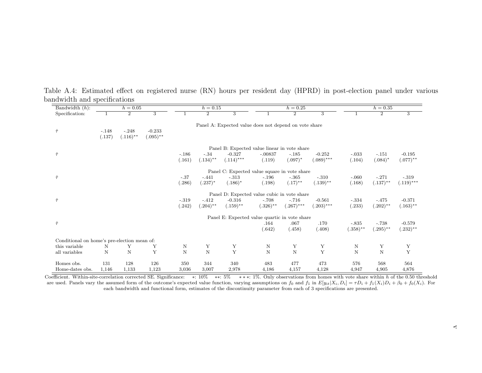| Bandwidth $(h)$ :                           |         | $h = 0.05$     |             |             | $h = 0.15$  |                                                       |             | $h = 0.25$     |              |             | $h = 0.35$     |              |
|---------------------------------------------|---------|----------------|-------------|-------------|-------------|-------------------------------------------------------|-------------|----------------|--------------|-------------|----------------|--------------|
| Specification:                              |         | $\overline{2}$ | 3           |             | 2           | 3                                                     |             | $\overline{2}$ | 3            |             | $\overline{2}$ | 3            |
|                                             |         |                |             |             |             | Panel A: Expected value does not depend on vote share |             |                |              |             |                |              |
| $\hat{\tau}$                                | $-.148$ | $-.248$        | $-0.233$    |             |             |                                                       |             |                |              |             |                |              |
|                                             | (.137)  | $(.116)$ **    | $(.095)$ ** |             |             |                                                       |             |                |              |             |                |              |
|                                             |         |                |             |             |             | Panel B: Expected value linear in vote share          |             |                |              |             |                |              |
| $\hat{\tau}$                                |         |                |             | $-.186$     | $-.34$      | $-0.327$                                              | $-.00837$   | $-.185$        | $-0.252$     | $-.033$     | $-.151$        | $-0.195$     |
|                                             |         |                |             | (.161)      | $(.134)$ ** | $(.114)$ ***                                          | (.119)      | $(.097)^*$     | $(.089)$ *** | (.104)      | $(.084)*$      | $(.077)$ **  |
|                                             |         |                |             |             |             | Panel C: Expected value square in vote share          |             |                |              |             |                |              |
| $\hat{\tau}$                                |         |                |             | $-.37$      | $-.441$     | $-.313$                                               | $-.196$     | $-.365$        | $-.310$      | $-.060$     | $-.271$        | $-.319$      |
|                                             |         |                |             | (.286)      | $(.237)^*$  | $(.186)^*$                                            | (.198)      | $(.17)$ **     | $(.139)$ **  | (.168)      | $(.137)$ **    | $(.119)$ *** |
|                                             |         |                |             |             |             | Panel D: Expected value cubic in vote share           |             |                |              |             |                |              |
| $\hat{\tau}$                                |         |                |             | $-.319$     | $-.412$     | $-0.316$                                              | $-.708$     | $-.716$        | $-0.561$     | $-.334$     | $-.475$        | $-0.371$     |
|                                             |         |                |             | (.242)      | $(.204)$ ** | $(.159)$ **                                           | $(.326)$ ** | $(.267)$ ***   | $(.203)$ *** | (.233)      | $(.202)$ **    | $(.163)$ **  |
|                                             |         |                |             |             |             | Panel E: Expected value quartic in vote share         |             |                |              |             |                |              |
| $\hat{\tau}$                                |         |                |             |             |             |                                                       | .164        | .067           | .170         | $-.835$     | $-.738$        | $-0.579$     |
|                                             |         |                |             |             |             |                                                       | (.642)      | (.458)         | (.408)       | $(.358)$ ** | $(.295)$ **    | $(.232)$ **  |
| Conditional on home's pre-election mean of: |         |                |             |             |             |                                                       |             |                |              |             |                |              |
| this variable                               | N       | Υ              | Υ           | N           | Υ           | Υ                                                     | Ν           | Υ              | Y            | N           | Y              | Y            |
| all variables                               | N       | $\mathbf N$    | Y           | $\mathbf N$ | $\mathbf N$ | $\mathbf{Y}$                                          | $\mathbf N$ | $\mathbf N$    | Y            | $\mathbf N$ | $\overline{N}$ | $\mathbf Y$  |
| Homes obs.                                  | 131     | 128            | 126         | 350         | 344         | 340                                                   | 483         | 477            | 473          | 576         | 568            | 564          |
| Home-dates obs.                             | 1,146   | 1,133          | 1,123       | 3,036       | 3,007       | 2,978                                                 | 4,186       | 4,157          | 4,128        | 4,947       | 4,905          | 4,876        |

Table A.4: Estimated effect on registered nurse (RN) hours per resident day (HPRD) in post-election pane<sup>l</sup> under variousbandwidth and specifications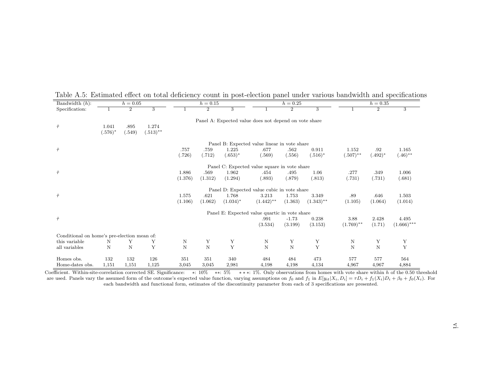| Bandwidth $(n)$ :                           |                     | $n = 0.05$     |                      |         | $n = 0.15$     |                |                                                       | $n = 0.25$     |                    |              | $n = 0.35$     |                         |
|---------------------------------------------|---------------------|----------------|----------------------|---------|----------------|----------------|-------------------------------------------------------|----------------|--------------------|--------------|----------------|-------------------------|
| Specification:                              |                     | $\overline{2}$ | $\overline{3}$       |         | $\overline{2}$ | $\overline{3}$ |                                                       | $\overline{2}$ | $\overline{3}$     |              | $\overline{2}$ | $\overline{\mathbf{3}}$ |
| $\hat{\tau}$                                | 1.041<br>$(.576)^*$ | .895<br>(.549) | 1.274<br>$(.513)$ ** |         |                |                | Panel A: Expected value does not depend on vote share |                |                    |              |                |                         |
|                                             |                     |                |                      |         |                |                | Panel B: Expected value linear in vote share          |                |                    |              |                |                         |
| $\hat{\tau}$                                |                     |                |                      | .757    | .759           | 1.225          | .677                                                  | .562           | 0.911              | 1.152        | .92            | 1.165                   |
|                                             |                     |                |                      | (.726)  | (.712)         | $(.653)^*$     | (.569)                                                | (.556)         | $(.516)^*$         | $(.507)$ **  | $(.492)^*$     | $(.46)$ **              |
|                                             |                     |                |                      |         |                |                | Panel C: Expected value square in vote share          |                |                    |              |                |                         |
| $\hat{\tau}$                                |                     |                |                      | 1.886   | .569           | 1.962          | .454                                                  | .495           | 1.06               | .277         | .349           | 1.006                   |
|                                             |                     |                |                      | (1.376) | (1.312)        | (1.294)        | (.893)                                                | (.879)         | (.813)             | (.731)       | (.731)         | (.681)                  |
|                                             |                     |                |                      |         |                |                | Panel D: Expected value cubic in vote share           |                |                    |              |                |                         |
| $\hat{\tau}$                                |                     |                |                      | 1.575   | .621           | 1.768          | 3.213                                                 | 1.753          | 3.349              | .89          | .646           | 1.503                   |
|                                             |                     |                |                      | (1.106) | (1.062)        | $(1.034)^*$    | $(1.442)$ **                                          | (1.363)        | $(1.343)$ **       | (1.105)      | (1.064)        | (1.014)                 |
|                                             |                     |                |                      |         |                |                | Panel E: Expected value quartic in vote share         |                |                    |              |                |                         |
| $\hat{\tau}$                                |                     |                |                      |         |                |                | .991                                                  | $-1.73$        | 0.238              | 3.88         | 2.428          | 4.495                   |
|                                             |                     |                |                      |         |                |                | (3.534)                                               | (3.199)        | (3.153)            | $(1.769)$ ** | (1.71)         | $(1.666)$ ***           |
| Conditional on home's pre-election mean of: |                     |                |                      |         |                |                |                                                       |                |                    |              |                |                         |
| this variable                               | N                   | Y              | Υ                    | Ν       | Υ              | Υ              | N                                                     | Υ              | $_{\rm Y}^{\rm Y}$ | N            | Υ              | Υ                       |
| all variables                               | N                   | N              | Y                    | N       | $\overline{N}$ | $\mathbf Y$    | $\mathbf N$                                           | $\mathbf N$    |                    | N            | N              | Y                       |
| Homes obs.                                  | 132                 | 132            | 126                  | 351     | 351            | 340            | 484                                                   | 484            | 473                | 577          | 577            | 564                     |
| Home-dates obs.                             | 1,151               | 1,151          | 1,125                | 3,045   | 3,045          | 2,981          | 4,198                                                 | 4,198          | 4,134              | 4,967        | 4,967          | 4,884                   |

Table A.5: Estimated effect on total deficiency count in post-election panel under various bandwidth and specifications<br>Bandwidth (h):  $h = 0.05$  h = 0.15 h = 0.25 h = 0.25 h = 0.35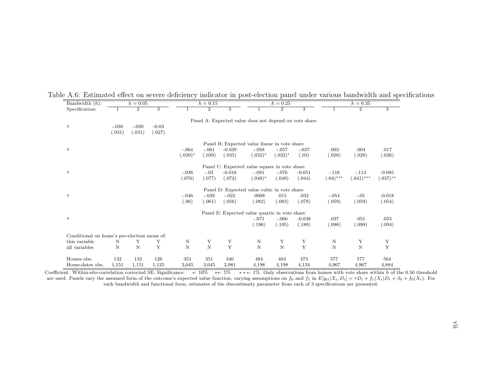| Bandwidth $(h)$ :                           |         | $h = 0.05$     |                |           | $h = 0.15$     |          |                                                       | $h = 0.25$     |          |             | $h = 0.35$     |             |  |  |
|---------------------------------------------|---------|----------------|----------------|-----------|----------------|----------|-------------------------------------------------------|----------------|----------|-------------|----------------|-------------|--|--|
| Specification:                              |         | $\overline{2}$ | $\overline{3}$ |           | $\overline{2}$ | 3        |                                                       | $\overline{2}$ | 3        |             | $\overline{2}$ | 3           |  |  |
|                                             |         |                |                |           |                |          | Panel A: Expected value does not depend on vote share |                |          |             |                |             |  |  |
| $\hat{\tau}$                                | $-.038$ | $-.039$        | $-0.03$        |           |                |          |                                                       |                |          |             |                |             |  |  |
|                                             | (.031)  | (.031)         | (.027)         |           |                |          |                                                       |                |          |             |                |             |  |  |
|                                             |         |                |                |           |                |          |                                                       |                |          |             |                |             |  |  |
|                                             |         |                |                |           |                |          | Panel B: Expected value linear in vote share          |                |          |             |                |             |  |  |
| $\hat{\tau}$                                |         |                |                | $-.064$   | $-.061$        | $-0.039$ | $-.058$                                               | $-.057$        | $-.037$  | .003        | .004           | .017        |  |  |
|                                             |         |                |                | $(.039)*$ | (.039)         | (.035)   | $(.032)*$                                             | $(.032)^*$     | (.03)    | (.028)      | (.028)         | (.026)      |  |  |
|                                             |         |                |                |           |                |          | Panel C: Expected value square in vote share          |                |          |             |                |             |  |  |
| $\hat{\tau}$                                |         |                |                | $-.038$   | $-.03$         | $-0.016$ | $-.081$                                               | $-.076$        | $-0.051$ | $-.116$     | $-.113$        | $-0.085$    |  |  |
|                                             |         |                |                | (.076)    | (.077)         | (.072)   | $(.048)^*$                                            | (.048)         | (.044)   | $(.04)$ *** | $(.041)$ ***   | $(.037)$ ** |  |  |
|                                             |         |                |                |           |                |          | Panel D: Expected value cubic in vote share           |                |          |             |                |             |  |  |
| $\hat{\tau}$                                |         |                |                | $-.046$   | $-.039$        | $-.022$  | .0008                                                 | .015           | .032     | $-.054$     | $-.05$         | $-0.018$    |  |  |
|                                             |         |                |                | (.06)     | (.061)         | (.056)   | (.082)                                                | (.083)         | (.078)   | (.059)      | (.059)         | (.054)      |  |  |
|                                             |         |                |                |           |                |          | Panel E: Expected value quartic in vote share         |                |          |             |                |             |  |  |
| $\hat{\tau}$                                |         |                |                |           |                |          | $-.071$                                               | $-.066$        | $-0.038$ | .037        | .051           | .055        |  |  |
|                                             |         |                |                |           |                |          | (.196)                                                | (.195)         | (.189)   | (.098)      | (.099)         | (.094)      |  |  |
| Conditional on home's pre-election mean of: |         |                |                |           |                |          |                                                       |                |          |             |                |             |  |  |
| this variable                               | N       | Y              | Y              | N         | Υ              | Υ        | N                                                     | Υ              | Υ        | Ν           | Υ              | Υ           |  |  |
| all variables                               | N       | N              | Y              | N         | $\mathbf N$    | Y        | N                                                     | $\mathbf N$    | Y        | N           | $\mathbf N$    | Y           |  |  |
| Homes obs.                                  | 132     | 132            | 126            | 351       | 351            | 340      | 484                                                   | 484            | 473      | 577         | 577            | 564         |  |  |
| Home-dates obs.                             | 1,151   | 1,151          | 1,125          | 3,045     | 3,045          | 2,981    | 4,198                                                 | 4,198          | 4,134    | 4,967       | 4,967          | 4,884       |  |  |

Table A.6: Estimated effect on severe deficiency indicator in post-election panel under various bandwidth and specifications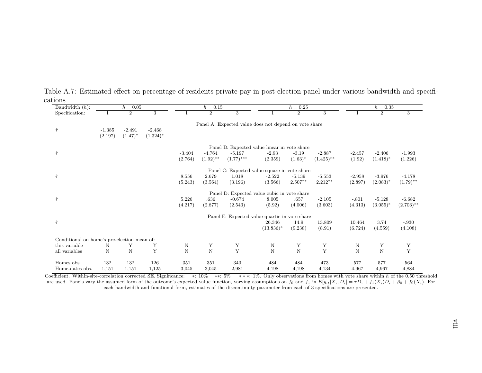| Bandwidth $(h)$ :                           |          | $h = 0.05$     |                | $h = 0.25$<br>$h = 0.15$<br>$h = 0.35$ |                |                                                       |              |                |              |          |                |                |
|---------------------------------------------|----------|----------------|----------------|----------------------------------------|----------------|-------------------------------------------------------|--------------|----------------|--------------|----------|----------------|----------------|
| Specification:                              |          | $\overline{2}$ | $\overline{3}$ |                                        | $\overline{2}$ | 3                                                     |              | $\overline{2}$ | 3            |          | $\overline{2}$ | $\overline{3}$ |
|                                             |          |                |                |                                        |                | Panel A: Expected value does not depend on vote share |              |                |              |          |                |                |
| $\hat{\tau}$                                | $-1.385$ | $-2.491$       | $-2.468$       |                                        |                |                                                       |              |                |              |          |                |                |
|                                             | (2.197)  | $(1.47)^*$     | $(1.324)^*$    |                                        |                |                                                       |              |                |              |          |                |                |
|                                             |          |                |                |                                        |                | Panel B: Expected value linear in vote share          |              |                |              |          |                |                |
| $\hat{\tau}$                                |          |                |                | $-3.404$                               | $-4.764$       | $-5.197$                                              | $-2.93$      | $-3.19$        | $-2.887$     | $-2.457$ | $-2.406$       | $-1.993$       |
|                                             |          |                |                | (2.764)                                | $(1.92)$ **    | $(1.77)$ ***                                          | (2.359)      | $(1.63)^*$     | $(1.425)$ ** | (1.92)   | $(1.418)^*$    | (1.226)        |
|                                             |          |                |                |                                        |                | Panel C: Expected value square in vote share          |              |                |              |          |                |                |
| $\hat{\tau}$                                |          |                |                | 8.556                                  | 2.679          | 1.018                                                 | $-2.522$     | $-5.139$       | $-5.553$     | $-2.958$ | $-3.976$       | $-4.178$       |
|                                             |          |                |                | (5.243)                                | (3.564)        | (3.196)                                               | (3.566)      | $2.507**$      | $2.212**$    | (2.897)  | $(2.083)^*$    | $(1.79)$ **    |
|                                             |          |                |                |                                        |                | Panel D: Expected value cubic in vote share           |              |                |              |          |                |                |
| $\hat{\tau}$                                |          |                |                | 5.226                                  | .636           | $-0.674$                                              | 8.005        | .657           | $-2.105$     | $-.801$  | $-5.128$       | $-6.682$       |
|                                             |          |                |                | (4.217)                                | (2.877)        | (2.543)                                               | (5.92)       | (4.006)        | (3.603)      | (4.313)  | $(3.055)^*$    | $(2.703)$ **   |
|                                             |          |                |                |                                        |                | Panel E: Expected value quartic in vote share         |              |                |              |          |                |                |
| $\hat{\tau}$                                |          |                |                |                                        |                |                                                       | 26.346       | 14.9           | 13.809       | 10.464   | 3.74           | $-.930$        |
|                                             |          |                |                |                                        |                |                                                       | $(13.836)^*$ | (9.238)        | (8.91)       | (6.724)  | (4.559)        | (4.108)        |
| Conditional on home's pre-election mean of: |          |                |                |                                        |                |                                                       |              |                |              |          |                |                |
| this variable                               | Ν        | Y              | Y              | N                                      | Y              | Y                                                     | $\mathbf N$  | Y              | Y            | N        | Y              | Y              |
| all variables                               | N        | $\mathbf N$    | Y              | N                                      | $\overline{N}$ | Y                                                     | $\mathbf N$  | $\overline{N}$ | $\mathbf Y$  | N        | $\overline{N}$ | $\mathbf Y$    |
| Homes obs.                                  | 132      | 132            | 126            | 351                                    | 351            | 340                                                   | 484          | 484            | 473          | 577      | 577            | 564            |
| Home-dates obs.                             | 1,151    | 1,151          | 1,125          | 3,045                                  | 3,045          | 2,981                                                 | 4,198        | 4,198          | 4,134        | 4,967    | 4,967          | 4,884          |

Table A.7: Estimated effect on percentage of residents private-pay in post-election panel under various bandwidth and specifications

Coefficient. Within-site-correlation corrected SE. Significance: \*: 10% \*\*: 5% \*\*\*: 1%. Only observations from homes with vote share within h of the 0.5 Coefficient. Within-site-correlation corrected SE. Significance: \*: 10% \*\*: 5% \*\*\*: 1%. Only observations from homes with vote share within h of the 0.50 threshold<br>are used. Panels vary the assumed form of the outcome's e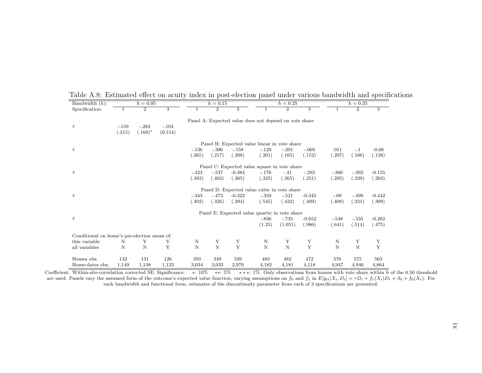| Bandwidth $(h)$ :                           |         | $h = 0.05$     |                |         | $h = 0.15$     |                |                                                       | $h = 0.25$     |          |         | $h = 0.35$     |                |
|---------------------------------------------|---------|----------------|----------------|---------|----------------|----------------|-------------------------------------------------------|----------------|----------|---------|----------------|----------------|
| Specification:                              |         | $\overline{2}$ | $\overline{3}$ |         | $\overline{2}$ | $\overline{3}$ |                                                       | $\overline{2}$ | 3        |         | $\overline{2}$ | $\overline{3}$ |
|                                             |         |                |                |         |                |                | Panel A: Expected value does not depend on vote share |                |          |         |                |                |
| $\hat{\tau}$                                | $-.159$ | $-.283$        | $-.103$        |         |                |                |                                                       |                |          |         |                |                |
|                                             | (.215)  | $(.168)*$      | (0.154)        |         |                |                |                                                       |                |          |         |                |                |
|                                             |         |                |                |         |                |                |                                                       |                |          |         |                |                |
|                                             |         |                |                |         |                |                | Panel B: Expected value linear in vote share          |                |          |         |                |                |
| $\hat{\tau}$                                |         |                |                | $-.136$ | $-.306$        | $-.158$        | $-.129$                                               | $-.201$        | $-.069$  | .011    | $-.1$          | $-0.06$        |
|                                             |         |                |                | (.265)  | (.217)         | (.208)         | (.201)                                                | (.165)         | (.152)   | (.207)  | (.166)         | (.138)         |
|                                             |         |                |                |         |                |                | Panel C. Expected value square in vote share          |                |          |         |                |                |
| $\hat{\tau}$                                |         |                |                | $-.423$ | $-.537$        | $-0.384$       | $-.176$                                               | $-.41$         | $-.292$  | $-.306$ | $-.392$        | $-0.155$       |
|                                             |         |                |                | (.493)  | (.402)         | (.365)         | (.325)                                                | (.265)         | (.251)   | (.295)  | (.239)         | (.203)         |
|                                             |         |                |                |         |                |                | Panel D: Expected value cubic in vote share           |                |          |         |                |                |
| $\hat{\tau}$                                |         |                |                | $-.343$ | $-.473$        | $-0.322$       | $-.359$                                               | $-.521$        | $-0.345$ | $-.09$  | $-.499$        | $-0.442$       |
|                                             |         |                |                | (.402)  | (.326)         | (.294)         | (.545)                                                | (.432)         | (.409)   | (.408)  | (.331)         | (.309)         |
|                                             |         |                |                |         |                |                | Panel E: Expected value quartic in vote share         |                |          |         |                |                |
| $\hat{\tau}$                                |         |                |                |         |                |                | $-.836$                                               | $-.735$        | $-0.652$ | $-.548$ | $-.535$        | $-0.262$       |
|                                             |         |                |                |         |                |                | (1.25)                                                | (1.051)        | (.986)   | (.641)  | (.514)         | (.475)         |
| Conditional on home's pre-election mean of: |         |                |                |         |                |                |                                                       |                |          |         |                |                |
| this variable                               | N       | Υ              | Υ              | N       | Υ              | Υ              | N                                                     | Y              | Υ        | N       | Υ              | Υ              |
| all variables                               | N       | N              | Υ              | N       | N              | Y              | $\mathbf N$                                           | N              | Y        | N       | N              | Y              |
|                                             |         |                |                |         |                |                |                                                       |                |          |         |                |                |
| Homes obs.                                  | 132     | 131            | 126            | 350     | 349            | 339            | 483                                                   | 482            | 472      | 576     | 575            | 563            |
| Home-dates obs.                             | 1,149   | 1,148          | 1,123          | 3,034   | 3,033          | 2,970          | 4,182                                                 | 4,181          | 4,118    | 4,947   | 4,946          | 4,864          |
|                                             |         |                |                |         |                |                |                                                       |                |          |         |                |                |

Table A.8: Estimated effect on acuity index in post-election panel under various bandwidth and specifications<br>Bandwidth (h):  $h = 0.05$  h = 0.15 h = 0.25 h = 0.35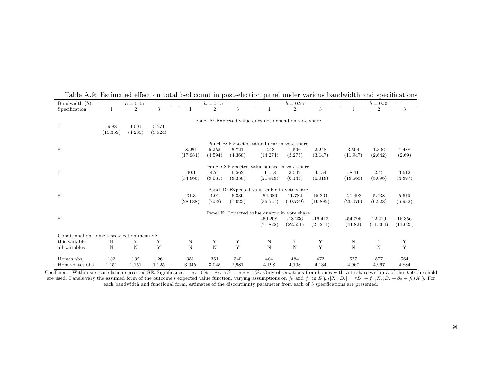| Bandwidth $(h)$ :<br>$h = 0.05$<br>$h = 0.15$<br>$h = 0.25$                                                                          | $h = 0.35$                                |
|--------------------------------------------------------------------------------------------------------------------------------------|-------------------------------------------|
| $\overline{2}$<br>$\overline{2}$<br>$\overline{2}$<br>$\overline{3}$<br>$\overline{3}$<br>Specification:<br>3                        | $\overline{2}$<br>$\overline{\mathbf{3}}$ |
| Panel A: Expected value does not depend on vote share<br>$\hat{\tau}$<br>4.001<br>$-9.88$<br>5.571<br>(15.359)<br>(4.285)<br>(3.824) |                                           |
| Panel B: Expected value linear in vote share                                                                                         |                                           |
| $\hat{\tau}$<br>5.255<br>$-8.251$<br>5.721<br>$-.213$<br>1.596<br>2.248                                                              | 3.504<br>1.306<br>1.438                   |
| (17.984)<br>(14.274)<br>(3.275)<br>(3.147)<br>(4.594)<br>(4.368)                                                                     | (11.947)<br>(2.642)<br>(2.69)             |
| Panel C: Expected value square in vote share                                                                                         |                                           |
| $\hat{\tau}$<br>$-40.1$<br>4.77<br>6.562<br>$-11.18$<br>3.549<br>4.154                                                               | 2.45<br>3.612<br>$-8.41$                  |
| (34.866)<br>(9.031)<br>(8.338)<br>(21.948)<br>(6.145)<br>(6.018)                                                                     | (18.565)<br>(5.096)<br>(4.897)            |
| Panel D: Expected value cubic in vote share                                                                                          |                                           |
| $\hat{\tau}$<br>$-31.3$<br>4.91<br>6.339<br>$-54.989$<br>11.782<br>15.304                                                            | 5.438<br>5.679<br>$-21.493$               |
| (7.53)<br>(10.739)<br>(28.688)<br>(7.023)<br>(36.537)<br>(10.889)                                                                    | (26.079)<br>(6.928)<br>(6.932)            |
| Panel E: Expected value quartic in vote share                                                                                        |                                           |
| $\hat{\tau}$<br>$-18.236$<br>$-16.413$<br>$-50.208$                                                                                  | 12.229<br>16.356<br>$-54.796$             |
| (71.822)<br>(22.551)<br>(21.211)                                                                                                     | (41.82)<br>(11.364)<br>(11.625)           |
| Conditional on home's pre-election mean of:                                                                                          |                                           |
| Υ<br>N<br>Υ<br>Y<br>this variable<br>N<br>Υ<br>Υ<br>Υ<br>Ν                                                                           | Υ<br>Υ<br>N                               |
| $\mathbf N$<br>Y<br>Y<br>Y<br>$\mathbf N$<br>$\mathbf N$<br>N<br>N<br>all variables<br>N                                             | N<br>Y<br>N                               |
| 132<br>132<br>126<br>340<br>473<br>Homes obs.<br>351<br>351<br>484<br>484                                                            | 577<br>577<br>564                         |
| Home-dates obs.<br>1,151<br>1,151<br>1,125<br>3,045<br>3,045<br>2,981<br>4,198<br>4,198<br>4,134                                     | 4,967<br>4,884<br>4,967                   |

Table A.9: Estimated effect on total bed count in post-election panel under various bandwidth and specifications<br>Bandwidth (h):  $h = 0.05$  h = 0.15 h = 0.25 h = 0.35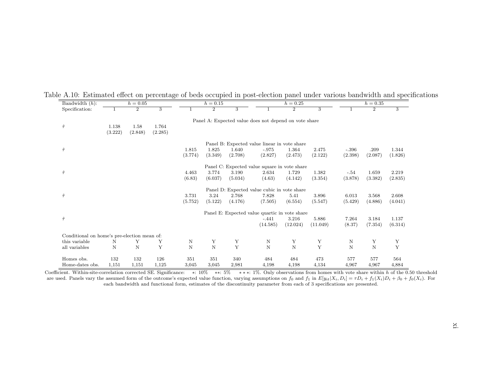| Bandwidth $(h)$ :                           |         | $h = 0.05$     |         |         | $h = 0.15$     |         |                                                       | $h = 0.25$     |          |         | $h = 0.35$     |             |
|---------------------------------------------|---------|----------------|---------|---------|----------------|---------|-------------------------------------------------------|----------------|----------|---------|----------------|-------------|
| Specification:                              |         | $\overline{2}$ | 3       |         | $\overline{2}$ | 3       |                                                       | $\overline{2}$ | 3        |         | $\overline{2}$ | 3           |
|                                             |         |                |         |         |                |         | Panel A: Expected value does not depend on vote share |                |          |         |                |             |
| $\hat{\tau}$                                | 1.138   | 1.58           | 1.764   |         |                |         |                                                       |                |          |         |                |             |
|                                             | (3.222) | (2.848)        | (2.285) |         |                |         |                                                       |                |          |         |                |             |
|                                             |         |                |         |         |                |         | Panel B: Expected value linear in vote share          |                |          |         |                |             |
| $\hat{\tau}$                                |         |                |         | 1.815   | 1.825          | 1.640   | $-.975$                                               | 1.364          | 2.475    | $-.396$ | .209           | 1.344       |
|                                             |         |                |         | (3.774) | (3.349)        | (2.708) | (2.827)                                               | (2.473)        | (2.122)  | (2.398) | (2.087)        | (1.826)     |
|                                             |         |                |         |         |                |         |                                                       |                |          |         |                |             |
|                                             |         |                |         |         |                |         | Panel C: Expected value square in vote share          |                |          |         |                |             |
| $\hat{\tau}$                                |         |                |         | 4.463   | 3.774          | 3.190   | 2.634                                                 | 1.729          | 1.382    | $-.54$  | 1.659          | 2.219       |
|                                             |         |                |         | (6.83)  | (6.037)        | (5.034) | (4.63)                                                | (4.142)        | (3.354)  | (3.878) | (3.382)        | (2.835)     |
|                                             |         |                |         |         |                |         | Panel D: Expected value cubic in vote share           |                |          |         |                |             |
| $\hat{\tau}$                                |         |                |         | 3.731   | 3.24           | 2.768   | 7.828                                                 | 5.41           | 3.896    | 6.013   | 3.568          | 2.608       |
|                                             |         |                |         | (5.752) | (5.122)        | (4.176) | (7.505)                                               | (6.554)        | (5.547)  | (5.429) | (4.886)        | (4.041)     |
|                                             |         |                |         |         |                |         | Panel E: Expected value quartic in vote share         |                |          |         |                |             |
| $\hat{\tau}$                                |         |                |         |         |                |         | $-.441$                                               | 3.216          | 5.886    | 7.264   | 3.184          | 1.137       |
|                                             |         |                |         |         |                |         | (14.585)                                              | (12.024)       | (11.049) | (8.37)  | (7.354)        | (6.314)     |
| Conditional on home's pre-election mean of: |         |                |         |         |                |         |                                                       |                |          |         |                |             |
| this variable                               | N       | Y              | Y       | N       | Υ              | Υ       | $\mathbf N$                                           | Υ              | Υ        | N       | Υ              | Y           |
| all variables                               | N       | $\mathbf N$    | Y       | $\rm N$ | $\mathbf N$    | Y       | $\mathbf N$                                           | $\mathbf N$    | Y        | N       | $\mathbf N$    | $\mathbf Y$ |
|                                             |         |                |         |         |                |         |                                                       |                |          |         |                |             |
| Homes obs.                                  | 132     | 132            | 126     | 351     | 351            | 340     | 484                                                   | 484            | 473      | 577     | 577            | 564         |
| Home-dates obs.                             | 1,151   | 1,151          | 1,125   | 3,045   | 3,045          | 2,981   | 4,198                                                 | 4,198          | 4,134    | 4,967   | 4,967          | 4,884       |

|  |  | Table A.10: Estimated effect on percentage of beds occupied in post-election panel under various bandwidth and specifications |  |  |  |  |  |
|--|--|-------------------------------------------------------------------------------------------------------------------------------|--|--|--|--|--|
|  |  |                                                                                                                               |  |  |  |  |  |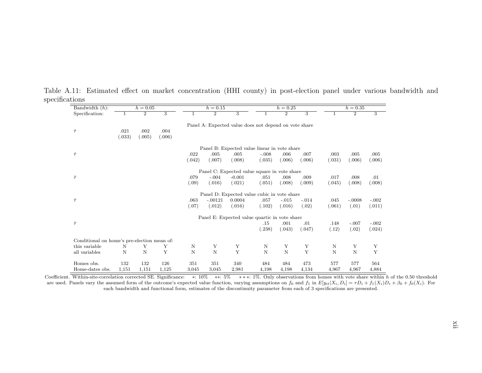| Bandwidth $(h)$ :                           |             | $h = 0.05$     |                |             | $h = 0.15$     |                                                       |             | $h = 0.25$     |             |        | $h = 0.35$     |                           |
|---------------------------------------------|-------------|----------------|----------------|-------------|----------------|-------------------------------------------------------|-------------|----------------|-------------|--------|----------------|---------------------------|
| Specification:                              |             | $\overline{2}$ | $\overline{3}$ |             | $\overline{2}$ | $\overline{3}$                                        |             | $\overline{2}$ | 3           |        | $\overline{2}$ | $\overline{\overline{3}}$ |
|                                             |             |                |                |             |                | Panel A: Expected value does not depend on vote share |             |                |             |        |                |                           |
| $\hat{\tau}$                                | .021        | .002           | .004           |             |                |                                                       |             |                |             |        |                |                           |
|                                             | (.033)      | (.005)         | (.006)         |             |                |                                                       |             |                |             |        |                |                           |
|                                             |             |                |                |             |                | Panel B: Expected value linear in vote share          |             |                |             |        |                |                           |
| $\hat{\tau}$                                |             |                |                | .022        | .005           | .005                                                  | $-.008$     | .006           | .007        | .003   | .005           | .005                      |
|                                             |             |                |                | (.042)      | (.007)         | (.008)                                                | (.035)      | (.006)         | (.006)      | (.031) | (.006)         | (.006)                    |
|                                             |             |                |                |             |                | Panel C: Expected value square in vote share          |             |                |             |        |                |                           |
| $\hat{\tau}$                                |             |                |                | .079        | $-.004$        | $-0.001$                                              | .051        | .008           | .009        | .017   | .008           | .01                       |
|                                             |             |                |                | (.09)       | (.016)         | (.021)                                                | (.051)      | (.008)         | (.009)      | (.045) | (.008)         | (.008)                    |
|                                             |             |                |                |             |                | Panel D: Expected value cubic in vote share           |             |                |             |        |                |                           |
| $\hat{\tau}$                                |             |                |                | .063        | $-.00121$      | 0.0004                                                | .057        | $-.015$        | $-.014$     | .045   | $-.0008$       | $-.002$                   |
|                                             |             |                |                | (.07)       | (.012)         | (.016)                                                | (.102)      | (.016)         | (.02)       | (.061) | (.01)          | (.011)                    |
|                                             |             |                |                |             |                | Panel E: Expected value quartic in vote share         |             |                |             |        |                |                           |
| $\hat{\tau}$                                |             |                |                |             |                |                                                       | .15         | .001           | .01         | .148   | $-.007$        | $-.002$                   |
|                                             |             |                |                |             |                |                                                       | (.238)      | (.043)         | (.047)      | (.12)  | (.02)          | (.024)                    |
| Conditional on home's pre-election mean of: |             |                |                |             |                |                                                       |             |                |             |        |                |                           |
| this variable                               | N           | Y              | Y              | N           | Υ              | Y                                                     | N           | Υ              | Y           | N      | Y              | Y                         |
| all variables                               | $\mathbf N$ | N              | Y              | $\mathbf N$ | $\mathbf N$    | $\mathbf Y$                                           | $\mathbf N$ | $\overline{N}$ | $\mathbf Y$ | N      | $\mathbf N$    | $\bar{Y}$                 |
| Homes obs.                                  | 132         | 132            | 126            | 351         | 351            | 340                                                   | 484         | 484            | 473         | 577    | 577            | 564                       |
| Home-dates obs.                             | 1,151       | 1,151          | 1,125          | 3,045       | 3,045          | 2,981                                                 | 4,198       | 4,198          | 4,134       | 4,967  | 4,967          | 4,884                     |

Table A.11: Estimated effect on market concentration (HHI county) in post-election pane<sup>l</sup> under various bandwidth andspecifications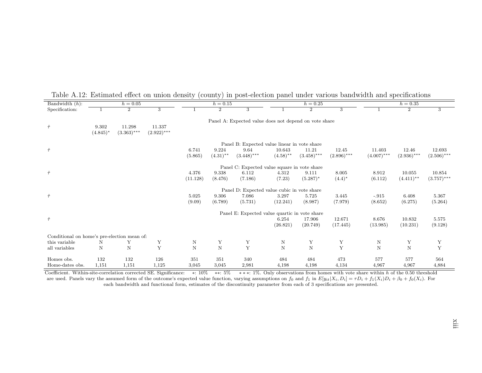| Bandwidth $(h)$ :                           |             | $h = 0.05$     |               |          | $h = 0.15$     |                                                       |             | $h = 0.25$     |               |               | $h = 0.35$     |               |
|---------------------------------------------|-------------|----------------|---------------|----------|----------------|-------------------------------------------------------|-------------|----------------|---------------|---------------|----------------|---------------|
| Specification:                              |             | $\overline{2}$ | 3             |          | $\overline{2}$ | 3                                                     |             | $\overline{2}$ | 3             |               | $\overline{2}$ | 3             |
|                                             |             |                |               |          |                | Panel A: Expected value does not depend on vote share |             |                |               |               |                |               |
| $\hat{\tau}$                                | 9.302       | 11.298         | 11.337        |          |                |                                                       |             |                |               |               |                |               |
|                                             | $(4.845)^*$ | $(3.363)$ ***  | $(2.922)$ *** |          |                |                                                       |             |                |               |               |                |               |
|                                             |             |                |               |          |                | Panel B: Expected value linear in vote share          |             |                |               |               |                |               |
| $\hat{\tau}$                                |             |                |               | 6.741    | 9.224          | 9.64                                                  | 10.643      | 11.21          | 12.45         | 11.403        | 12.46          | 12.693        |
|                                             |             |                |               | (5.865)  | $(4.31)$ **    | $(3.448)$ ***                                         | $(4.58)$ ** | $(3.458)$ ***  | $(2.896)$ *** | $(4.007)$ *** | $(2.936)$ ***  | $(2.506)$ *** |
|                                             |             |                |               |          |                | Panel C: Expected value square in vote share          |             |                |               |               |                |               |
| $\hat{\tau}$                                |             |                |               | 4.376    | 9.338          | 6.112                                                 | 4.312       | 9.111          | 8.005         | 8.912         | 10.055         | 10.854        |
|                                             |             |                |               | (11.128) | (8.476)        | (7.186)                                               | (7.23)      | $(5.287)^*$    | $(4.4)^*$     | (6.112)       | $(4.411)$ **   | $(3.757)$ *** |
|                                             |             |                |               |          |                | Panel D: Expected value cubic in vote share           |             |                |               |               |                |               |
| $\hat{\tau}$                                |             |                |               | 5.025    | 9.306          | 7.086                                                 | 3.297       | 5.725          | 3.445         | $-.915$       | 6.408          | 5.367         |
|                                             |             |                |               | (9.09)   | (6.789)        | (5.731)                                               | (12.241)    | (8.987)        | (7.979)       | (8.652)       | (6.275)        | (5.264)       |
|                                             |             |                |               |          |                | Panel E: Expected value quartic in vote share         |             |                |               |               |                |               |
| $\hat{\tau}$                                |             |                |               |          |                |                                                       | 6.254       | 17.906         | 12.671        | 8.676         | 10.832         | 5.575         |
|                                             |             |                |               |          |                |                                                       | (26.821)    | (20.749)       | (17.445)      | (13.985)      | (10.231)       | (9.128)       |
| Conditional on home's pre-election mean of: |             |                |               |          |                |                                                       |             |                |               |               |                |               |
| this variable                               | N           | Υ              | Y             | N        | Υ              | Y                                                     | $\mathbf N$ | Y              | Y             | N             | Y              | Y             |
| all variables                               | N           | N              | Y             | N        | $\mathbf N$    | Y                                                     | $\mathbf N$ | $\mathbf N$    | Y             | N             | $\mathbf N$    | Y             |
| Homes obs.                                  | 132         | 132            | 126           | 351      | 351            | 340                                                   | 484         | 484            | 473           | 577           | 577            | 564           |
| Home-dates obs.                             | 1,151       | 1,151          | 1,125         | 3,045    | 3,045          | 2,981                                                 | 4,198       | 4,198          | 4,134         | 4,967         | 4,967          | 4,884         |

<span id="page-56-0"></span>Table A.12: Estimated effect on union density (county) in post-election pane<sup>l</sup> under various bandwidth and specifications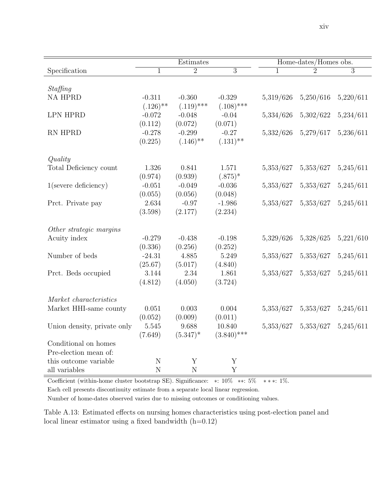|  | XlV |
|--|-----|
|  |     |
|  |     |

|                             |              | Estimates              |               |           | Home-dates/Homes obs. |                     |
|-----------------------------|--------------|------------------------|---------------|-----------|-----------------------|---------------------|
| Specification               | $\mathbf{1}$ | $\overline{2}$         | 3             | 1         | $\overline{2}$        | 3                   |
|                             |              |                        |               |           |                       |                     |
| Staffing                    |              |                        |               |           |                       |                     |
| NA HPRD                     | $-0.311$     | $-0.360$               | $-0.329$      | 5,319/626 | 5,250/616             | 5,220/611           |
|                             | $(.126)$ **  | $(.119)$ ***           | $(.108)$ ***  |           |                       |                     |
| <b>LPN HPRD</b>             | $-0.072$     | $-0.048$               | $-0.04$       | 5,334/626 | 5,302/622             | 5,234/611           |
|                             | (0.112)      | (0.072)                | (0.071)       |           |                       |                     |
| RN HPRD                     | $-0.278$     | $-0.299$               | $-0.27$       | 5,332/626 | 5,279/617             | 5,236/611           |
|                             | (0.225)      | $(.146)$ <sup>**</sup> | $(.131)$ **   |           |                       |                     |
| Quality                     |              |                        |               |           |                       |                     |
| Total Deficiency count      | 1.326        | 0.841                  | 1.571         | 5,353/627 | 5,353/627             | 5,245/611           |
|                             | (0.974)      | (0.939)                | $(.875)^*$    |           |                       |                     |
| $1$ (severe deficiency)     | $-0.051$     | $-0.049$               | $-0.036$      | 5,353/627 | 5,353/627             | 5,245/611           |
|                             | (0.055)      | (0.056)                | (0.048)       |           |                       |                     |
| Prct. Private pay           | 2.634        | $-0.97$                | $-1.986$      | 5,353/627 | 5,353/627             | 5,245/611           |
|                             | (3.598)      | (2.177)                | (2.234)       |           |                       |                     |
|                             |              |                        |               |           |                       |                     |
| Other strategic margins     |              |                        |               |           |                       |                     |
| Acuity index                | $-0.279$     | $-0.438$               | $-0.198$      | 5,329/626 | 5,328/625             | 5,221/610           |
|                             | (0.336)      | (0.256)                | (0.252)       |           |                       |                     |
| Number of beds              | $-24.31$     | 4.885                  | 5.249         | 5,353/627 | 5,353/627             | 5,245/611           |
|                             | (25.67)      | (5.017)                | (4.840)       |           |                       |                     |
| Prct. Beds occupied         | 3.144        | 2.34                   | 1.861         | 5,353/627 | 5,353/627             | 5,245/611           |
|                             | (4.812)      | (4.050)                | (3.724)       |           |                       |                     |
|                             |              |                        |               |           |                       |                     |
| Market characteristics      |              |                        |               |           |                       |                     |
| Market HHI-same county      | 0.051        | 0.003                  | 0.004         | 5,353/627 | 5,353/627             | 5,245/611           |
|                             | (0.052)      | (0.009)                | (0.011)       |           |                       |                     |
| Union density, private only | 5.545        | 9.688                  | 10.840        | 5,353/627 |                       | 5,353/627 5,245/611 |
|                             | (7.649)      | $(5.347)^*$            | $(3.840)$ *** |           |                       |                     |
| Conditional on homes        |              |                        |               |           |                       |                     |
| Pre-election mean of:       |              |                        |               |           |                       |                     |
| this outcome variable       | $\mathbf N$  | $\mathbf Y$            | Y             |           |                       |                     |
| all variables               | $\mathbf N$  | $\mathbf N$            | Y             |           |                       |                     |

Coefficient (within-home cluster bootstrap SE). Significance: ∗: 10% ∗∗: 5% ∗ ∗ ∗: 1%.

Each cell presents discontinuity estimate from a separate local linear regression.

<span id="page-57-0"></span>Number of home-dates observed varies due to missing outcomes or conditioning values.

Table A.13: Estimated effects on nursing homes characteristics using post-election panel and local linear estimator using a fixed bandwidth  $(h=0.12)$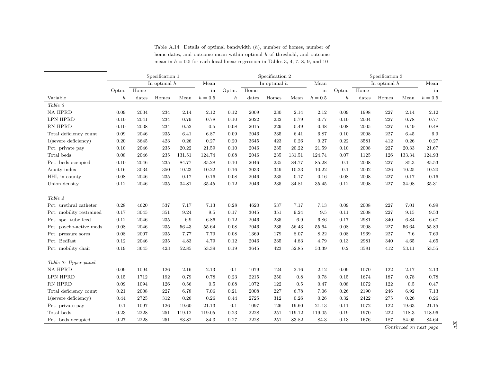|                          |                  |       | Specification 1 |        |           |                  |                | Specification 2 |          |         |                  |       | Specification 3 |        |         |
|--------------------------|------------------|-------|-----------------|--------|-----------|------------------|----------------|-----------------|----------|---------|------------------|-------|-----------------|--------|---------|
|                          |                  |       | In optimal $h$  |        | Mean      |                  |                | In optimal $h$  |          | Mean    |                  |       | In optimal $h$  |        | Mean    |
|                          | Optm.            | Home- |                 |        | in        | Optm.            | Home-          |                 |          | in      | Optm.            | Home- |                 |        | in      |
| Variable                 | $\boldsymbol{h}$ | dates | Homes           | Mean   | $h=0.5\,$ | $\boldsymbol{h}$ | $_{\rm dates}$ | Homes           | Mean     | $h=0.5$ | $\boldsymbol{h}$ | dates | Homes           | Mean   | $h=0.5$ |
| Table $\sqrt{3}$         |                  |       |                 |        |           |                  |                |                 |          |         |                  |       |                 |        |         |
| <b>NA HPRD</b>           | 0.09             | 2034  | 234             | 2.14   | 2.12      | 0.12             | 2009           | 230             | 2.14     | 2.12    | 0.09             | 1998  | 227             | 2.14   | 2.12    |
| LPN HPRD                 | 0.10             | 2041  | 234             | 0.79   | 0.78      | 0.10             | 2022           | 232             | 0.79     | 0.77    | 0.10             | 2004  | 227             | 0.78   | 0.77    |
| RN HPRD                  | 0.10             | 2038  | 234             | 0.52   | 0.5       | 0.08             | 2015           | 229             | 0.49     | 0.48    | 0.08             | 2005  | 227             | 0.49   | 0.48    |
| Total deficiency count   | 0.09             | 2046  | $\bf 235$       | 6.41   | 6.87      | 0.09             | 2046           | 235             | 6.41     | 6.87    | 0.10             | 2008  | 227             | 6.45   | 6.9     |
| $1$ (severe deficiency)  | 0.20             | 3645  | 423             | 0.26   | 0.27      | 0.20             | 3645           | 423             | 0.26     | 0.27    | 0.22             | 3581  | 412             | 0.26   | 0.27    |
| Pct. private pay         | 0.10             | 2046  | 235             | 20.22  | 21.59     | 0.10             | 2046           | 235             | 20.22    | 21.59   | 0.10             | 2008  | 227             | 20.33  | 21.67   |
| Total beds               | 0.08             | 2046  | $\bf 235$       | 131.51 | 124.74    | 0.08             | 2046           | 235             | 131.51   | 124.74  | 0.07             | 1125  | 126             | 133.34 | 124.93  |
| Pct. beds occupied       | 0.10             | 2046  | 235             | 84.77  | 85.28     | 0.10             | 2046           | 235             | 84.77    | 85.28   | 0.1              | 2008  | 227             | 85.3   | 85.53   |
| Acuity index             | 0.16             | 3034  | 350             | 10.23  | 10.22     | 0.16             | 3033           | 349             | 10.23    | 10.22   | 0.1              | 2002  | 226             | 10.25  | 10.20   |
| HHI, in county           | 0.08             | 2046  | $\bf 235$       | 0.17   | 0.16      | 0.08             | 2046           | 235             | 0.17     | 0.16    | 0.08             | 2008  | 227             | 0.17   | 0.16    |
| Union density            | 0.12             | 2046  | 235             | 34.81  | 35.45     | 0.12             | 2046           | 235             | 34.81    | 35.45   | 0.12             | 2008  | 227             | 34.98  | 35.31   |
|                          |                  |       |                 |        |           |                  |                |                 |          |         |                  |       |                 |        |         |
| Table 4                  |                  |       |                 |        |           |                  |                |                 |          |         |                  |       |                 |        |         |
| Pct. urethral catheter   | 0.28             | 4620  | 537             | 7.17   | 7.13      | 0.28             | 4620           | 537             | 7.17     | 7.13    | 0.09             | 2008  | 227             | 7.01   | 6.99    |
| Pct. mobility restrained | 0.17             | 3045  | 351             | 9.24   | $\,9.5$   | 0.17             | 3045           | 351             | 9.24     | 9.5     | 0.11             | 2008  | 227             | 9.15   | 9.53    |
| Pct. spc. tube feed      | 0.12             | 2046  | $\bf 235$       | 6.9    | 6.86      | 0.12             | 2046           | 235             | 6.9      | 6.86    | 0.17             | 2981  | 340             | 6.84   | 6.67    |
| Pct. psycho-active meds. | 0.08             | 2046  | 235             | 56.43  | 55.64     | 0.08             | 2046           | 235             | 56.43    | 55.64   | 0.08             | 2008  | 227             | 56.64  | 55.89   |
| Pct. pressure sores      | 0.08             | 2007  | $\bf 235$       | 7.77   | 7.79      | 0.08             | 1369           | 179             | 8.07     | 8.22    | 0.08             | 1969  | 227             | 7.6    | 7.69    |
| Pct. Bedfast             | 0.12             | 2046  | 235             | 4.83   | 4.79      | 0.12             | 2046           | 235             | 4.83     | 4.79    | 0.13             | 2981  | 340             | 4.65   | 4.65    |
| Pct. mobility chair      | 0.19             | 3645  | 423             | 52.85  | 53.39     | 0.19             | 3645           | 423             | 52.85    | 53.39   | 0.2              | 3581  | 412             | 53.11  | 53.55   |
|                          |                  |       |                 |        |           |                  |                |                 |          |         |                  |       |                 |        |         |
| Table 7: Upper panel     |                  |       |                 |        |           |                  |                |                 |          |         |                  |       |                 |        |         |
| <b>NA HPRD</b>           | 0.09             | 1094  | 126             | 2.16   | 2.13      | 0.1              | 1079           | 124             | $2.16\,$ | 2.12    | 0.09             | 1070  | 122             | 2.17   | 2.13    |
| LPN HPRD                 | 0.15             | 1712  | 192             | 0.79   | 0.78      | 0.23             | 2215           | 250             | 0.8      | 0.78    | 0.15             | 1674  | 187             | 0.78   | 0.78    |
| RN HPRD                  | 0.09             | 1094  | 126             | 0.56   | 0.5       | 0.08             | 1072           | 122             | 0.5      | 0.47    | 0.08             | 1072  | 122             | 0.5    | 0.47    |
| Total deficiency count   | 0.21             | 2008  | $227\,$         | 6.78   | 7.06      | 0.21             | 2008           | $227\,$         | 6.78     | 7.06    | 0.26             | 2190  | 246             | 6.92   | 7.13    |
| $1$ (severe deficiency)  | 0.44             | 2725  | 312             | 0.26   | 0.26      | 0.44             | 2725           | 312             | 0.26     | 0.26    | 0.32             | 2422  | 275             | 0.26   | 0.26    |
| Pct. private pay         | 0.1              | 1097  | 126             | 19.60  | 21.13     | 0.1              | 1097           | 126             | 19.60    | 21.13   | 0.11             | 1072  | 122             | 19.63  | 21.15   |
| Total beds               | 0.23             | 2228  | 251             | 119.12 | 119.05    | 0.23             | 2228           | 251             | 119.12   | 119.05  | 0.19             | 1970  | 222             | 118.3  | 118.96  |
| Pct. beds occupied       | 0.27             | 2228  | 251             | 83.82  | 84.3      | 0.27             | 2228           | 251             | 83.82    | 84.3    | 0.13             | 1676  | 187             | 84.95  | 84.64   |

Table A.14: Details of optimal bandwidth (h), number of homes, number ofhome-dates, and outcome mean within optimal  $h$  of threshold, and outcome mean in  $h = 0.5$  for each local linear regression in Tables 3, 4, 7, 8, 9, and 10

<span id="page-58-0"></span>Continued on next page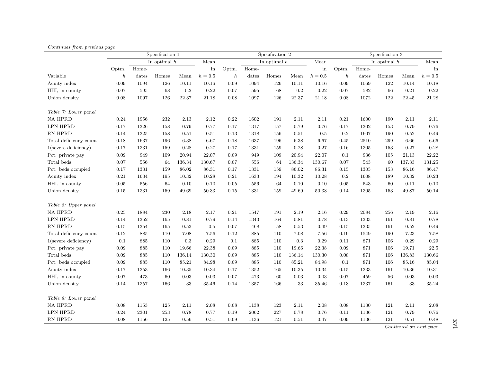|                         |                  |       | Specification 1 |           |           |                  |       | Specification 2 |           |         |                  |          | Specification 3 |            |           |
|-------------------------|------------------|-------|-----------------|-----------|-----------|------------------|-------|-----------------|-----------|---------|------------------|----------|-----------------|------------|-----------|
|                         |                  |       | In optimal $h$  |           | Mean      |                  |       | In optimal $h$  |           | Mean    |                  |          | In optimal $h$  |            | Mean      |
|                         | Optm.            | Home- |                 |           | in        | Optm.            | Home- |                 |           | in      | Optm.            | Home-    |                 |            | in        |
| Variable                | $\boldsymbol{h}$ | dates | Homes           | Mean      | $h=0.5$   | $\boldsymbol{h}$ | dates | Homes           | Mean      | $h=0.5$ | $\boldsymbol{h}$ | dates    | Homes           | Mean       | $h=0.5$   |
| Acuity index            | 0.09             | 1094  | 126             | 10.11     | $10.16\,$ | 0.09             | 1094  | 126             | 10.11     | 10.16   | 0.09             | 1069     | 122             | 10.14      | $10.18\,$ |
| HHI, in county          | 0.07             | 595   | 68              | 0.2       | 0.22      | 0.07             | 595   | 68              | $\rm 0.2$ | 0.22    | 0.07             | 582      | 66              | 0.21       | 0.22      |
| Union density           | 0.08             | 1097  | 126             | 22.37     | 21.18     | 0.08             | 1097  | 126             | 22.37     | 21.18   | 0.08             | $1072\,$ | 122             | $22.45\,$  | 21.28     |
| Table 7: Lower panel    |                  |       |                 |           |           |                  |       |                 |           |         |                  |          |                 |            |           |
| <b>NA HPRD</b>          | 0.24             | 1956  | 232             | 2.13      | 2.12      | 0.22             | 1602  | 191             | 2.11      | 2.11    | 0.21             | 1600     | 190             | 2.11       | 2.11      |
| <b>LPN HPRD</b>         | 0.17             | 1326  | 158             | 0.79      | 0.77      | 0.17             | 1317  | 157             | 0.79      | 0.76    | 0.17             | 1302     | 153             | 0.79       | 0.76      |
| RN HPRD                 | 0.14             | 1325  | 158             | 0.51      | 0.51      | 0.13             | 1318  | 156             | 0.51      | 0.5     | $\rm 0.2$        | 1607     | 190             | 0.52       | 0.49      |
| Total deficiency count  | 0.18             | 1637  | 196             | 6.38      | 6.67      | 0.18             | 1637  | 196             | 6.38      | 6.67    | 0.45             | 2510     | 299             | 6.66       | 6.66      |
| $1$ (severe deficiency) | 0.17             | 1331  | 159             | 0.28      | 0.27      | 0.17             | 1331  | 159             | 0.28      | 0.27    | 0.16             | 1305     | 153             | 0.27       | 0.28      |
| Pct. private pay        | 0.09             | 949   | 109             | 20.94     | 22.07     | 0.09             | 949   | 109             | 20.94     | 22.07   | 0.1              | 936      | 105             | 21.13      | 22.22     |
| Total beds              | 0.07             | 556   | 64              | 136.34    | 130.67    | 0.07             | 556   | 64              | 136.34    | 130.67  | 0.07             | 543      | 60              | 137.33     | 131.25    |
| Pct. beds occupied      | 0.17             | 1331  | 159             | 86.02     | 86.31     | 0.17             | 1331  | 159             | 86.02     | 86.31   | 0.15             | 1305     | 153             | 86.16      | 86.47     |
| Acuity index            | 0.21             | 1634  | 195             | $10.32\,$ | $10.28\,$ | $0.21\,$         | 1633  | 194             | 10.32     | 10.28   | 0.2              | 1608     | 189             | $10.32\,$  | 10.23     |
| HHI, in county          | 0.05             | 556   | 64              | 0.10      | 0.10      | 0.05             | 556   | 64              | 0.10      | 0.10    | 0.05             | 543      | 60              | 0.11       | $0.10\,$  |
| Union density           | 0.15             | 1331  | 159             | 49.69     | 50.33     | 0.15             | 1331  | 159             | 49.69     | 50.33   | 0.14             | 1305     | 153             | 49.87      | 50.14     |
| Table 8: Upper panel    |                  |       |                 |           |           |                  |       |                 |           |         |                  |          |                 |            |           |
| <b>NA HPRD</b>          | 0.25             | 1884  | $230\,$         | 2.18      | 2.17      | 0.21             | 1547  | 191             | 2.19      | 2.16    | 0.29             | 2084     | 256             | 2.19       | 2.16      |
| <b>LPN HPRD</b>         | 0.14             | 1352  | 165             | 0.81      | 0.79      | 0.14             | 1343  | 164             | 0.81      | 0.78    | 0.13             | 1333     | 161             | 0.81       | 0.78      |
| RN HPRD                 | 0.15             | 1354  | 165             | 0.53      | 0.5       | 0.07             | 468   | 58              | 0.53      | 0.49    | 0.15             | 1335     | 161             | $\rm 0.52$ | 0.49      |
| Total deficiency count  | 0.12             | 885   | 110             | 7.08      | 7.56      | 0.12             | 885   | 110             | 7.08      | 7.56    | 0.19             | 1549     | 190             | 7.23       | 7.58      |
| $1$ (severe deficiency) | 0.1              | 885   | 110             | 0.3       | 0.29      | 0.1              | 885   | 110             | 0.3       | 0.29    | 0.11             | 871      | 106             | 0.29       | 0.29      |
| Pct. private pay        | 0.09             | 885   | 110             | 19.66     | 22.38     | 0.09             | 885   | 110             | 19.66     | 22.38   | 0.09             | 871      | 106             | 19.71      | 22.5      |
| Total beds              | 0.09             | 885   | 110             | 136.14    | 130.30    | 0.09             | 885   | 110             | 136.14    | 130.30  | 0.08             | 871      | 106             | 136.83     | 130.66    |
| Pct. beds occupied      | 0.09             | 885   | 110             | 85.21     | 84.98     | 0.09             | 885   | 110             | 85.21     | 84.98   | 0.1              | 871      | 106             | $85.16\,$  | 85.04     |
| Acuity index            | 0.17             | 1353  | 166             | 10.35     | 10.34     | 0.17             | 1352  | 165             | 10.35     | 10.34   | 0.15             | 1333     | 161             | $10.36\,$  | 10.31     |
| HHI, in county          | 0.07             | 473   | 60              | 0.03      | 0.03      | 0.07             | 473   | 60              | 0.03      | 0.03    | 0.07             | 459      | 56              | 0.03       | $0.03\,$  |
| Union density           | 0.14             | 1357  | 166             | 33        | 35.46     | 0.14             | 1357  | 166             | 33        | 35.46   | 0.13             | 1337     | 161             | 33         | 35.24     |
| Table 8: Lower panel    |                  |       |                 |           |           |                  |       |                 |           |         |                  |          |                 |            |           |
| <b>NA HPRD</b>          | 0.08             | 1153  | 125             | $2.11\,$  | $2.08\,$  | 0.08             | 1138  | 123             | 2.11      | 2.08    | 0.08             | 1130     | 121             | 2.11       | 2.08      |
| <b>LPN HPRD</b>         | 0.24             | 2301  | $253\,$         | 0.78      | 0.77      | 0.19             | 2062  | 227             | 0.78      | 0.76    | 0.11             | 1136     | 121             | 0.79       | 0.76      |
| RN HPRD                 | 0.08             | 1156  | 125             | 0.56      | 0.51      | 0.09             | 1136  | 121             | 0.51      | 0.47    | 0.09             | 1136     | 121             | $0.51\,$   | 0.48      |

#### Continues from previous page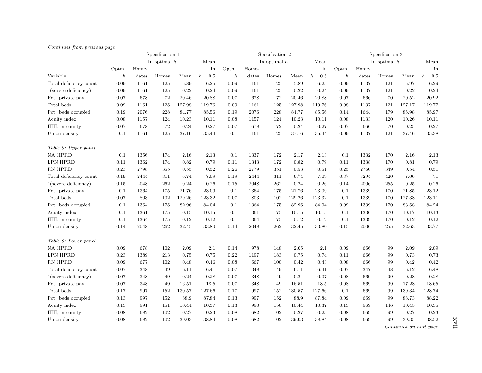|                         |                  |       | Specification 1 |        |           |                  |       | Specification 2 |            |                     |                  |       | Specification 3 |        |            |
|-------------------------|------------------|-------|-----------------|--------|-----------|------------------|-------|-----------------|------------|---------------------|------------------|-------|-----------------|--------|------------|
|                         |                  |       | In optimal $h$  |        | Mean      |                  |       | In optimal $h$  |            | Mean                |                  |       | In optimal $h$  |        | Mean       |
|                         | Optm.            | Home- |                 |        | in        | Optm.            | Home- |                 |            | $\operatorname{in}$ | Optm.            | Home- |                 |        | in         |
| Variable                | $\boldsymbol{h}$ | dates | Homes           | Mean   | $h = 0.5$ | $\boldsymbol{h}$ | dates | Homes           | Mean       | $h=0.5$             | $\boldsymbol{h}$ | dates | Homes           | Mean   | $h=0.5\,$  |
| Total deficiency count  | 0.09             | 1161  | 125             | 5.89   | 6.25      | 0.09             | 1161  | 125             | 5.89       | 6.25                | $\,0.09\,$       | 1137  | 121             | 5.97   | $6.29\,$   |
| $1$ (severe deficiency) | 0.09             | 1161  | 125             | 0.22   | 0.24      | 0.09             | 1161  | 125             | 0.22       | $\rm 0.24$          | 0.09             | 1137  | 121             | 0.22   | 0.24       |
| Pct. private pay        | 0.07             | 678   | 72              | 20.46  | 20.88     | 0.07             | 678   | 72              | 20.46      | 20.88               | 0.07             | 666   | 70              | 20.52  | $20.92\,$  |
| Total beds              | 0.09             | 1161  | 125             | 127.98 | 119.76    | 0.09             | 1161  | $125\,$         | 127.98     | 119.76              | 0.08             | 1137  | 121             | 127.17 | 119.77     |
| Pct. beds occupied      | 0.19             | 2076  | 228             | 84.77  | 85.56     | 0.19             | 2076  | 228             | 84.77      | 85.56               | 0.14             | 1644  | 179             | 85.98  | 85.97      |
| Acuity index            | 0.08             | 1157  | 124             | 10.23  | 10.11     | 0.08             | 1157  | 124             | 10.23      | 10.11               | 0.08             | 1133  | 120             | 10.26  | 10.11      |
| HHI, in county          | 0.07             | 678   | $\bf 72$        | 0.24   | 0.27      | 0.07             | 678   | 72              | $\rm 0.24$ | 0.27                | 0.07             | 666   | 70              | 0.25   | 0.27       |
| Union density           | 0.1              | 1161  | 125             | 37.16  | 35.44     | 0.1              | 1161  | 125             | 37.16      | 35.44               | 0.09             | 1137  | 121             | 37.46  | $35.38\,$  |
|                         |                  |       |                 |        |           |                  |       |                 |            |                     |                  |       |                 |        |            |
| Table 9: Upper panel    |                  |       |                 |        |           |                  |       |                 |            |                     |                  |       |                 |        |            |
| <b>NA HPRD</b>          | 0.1              | 1356  | 174             | 2.16   | 2.13      | 0.1              | 1337  | 172             | 2.17       | 2.13                | $0.1\,$          | 1332  | 170             | 2.16   | 2.13       |
| LPN HPRD                | 0.11             | 1362  | 174             | 0.82   | 0.79      | 0.11             | 1343  | 172             | 0.82       | 0.79                | 0.11             | 1338  | 170             | 0.81   | 0.79       |
| RN HPRD                 | $\rm 0.23$       | 2798  | 355             | 0.55   | 0.52      | 0.26             | 2779  | 351             | 0.53       | 0.51                | 0.25             | 2760  | 349             | 0.54   | 0.51       |
| Total deficiency count  | 0.19             | 2444  | 311             | 6.74   | 7.09      | 0.19             | 2444  | 311             | 6.74       | 7.09                | 0.37             | 3294  | 420             | 7.06   | 7.1        |
| $1$ (severe deficiency) | 0.15             | 2048  | 262             | 0.24   | 0.26      | 0.15             | 2048  | 262             | 0.24       | 0.26                | 0.14             | 2006  | 255             | 0.25   | $0.26\,$   |
| Pct. private pay        | 0.1              | 1364  | 175             | 21.76  | 23.09     | 0.1              | 1364  | 175             | 21.76      | 23.09               | 0.1              | 1339  | 170             | 21.85  | $23.12\,$  |
| Total beds              | 0.07             | 803   | 102             | 129.26 | 123.32    | 0.07             | 803   | 102             | 129.26     | 123.32              | 0.1              | 1339  | 170             | 127.38 | 123.11     |
| Pct. beds occupied      | 0.1              | 1364  | 175             | 82.96  | 84.04     | 0.1              | 1364  | 175             | 82.96      | 84.04               | 0.09             | 1339  | 170             | 83.58  | 84.24      |
| Acuity index            | 0.1              | 1361  | 175             | 10.15  | 10.15     | 0.1              | 1361  | 175             | 10.15      | 10.15               | 0.1              | 1336  | 170             | 10.17  | 10.13      |
| HHI, in county          | 0.1              | 1364  | 175             | 0.12   | 0.12      | 0.1              | 1364  | 175             | 0.12       | 0.12                | 0.1              | 1339  | 170             | 0.12   | 0.12       |
| Union density           | 0.14             | 2048  | 262             | 32.45  | 33.80     | 0.14             | 2048  | 262             | 32.45      | 33.80               | 0.15             | 2006  | 255             | 32.63  | 33.77      |
|                         |                  |       |                 |        |           |                  |       |                 |            |                     |                  |       |                 |        |            |
| Table 9: Lower panel    |                  |       |                 |        |           |                  |       |                 |            |                     |                  |       |                 |        |            |
| <b>NA HPRD</b>          | 0.09             | 678   | 102             | 2.09   | 2.1       | 0.14             | 978   | 148             | 2.05       | 2.1                 | 0.09             | 666   | 99              | 2.09   | 2.09       |
| LPN HPRD                | 0.23             | 1389  | 213             | 0.75   | 0.75      | 0.22             | 1197  | 183             | 0.75       | 0.74                | 0.11             | 666   | 99              | 0.73   | 0.73       |
| RN HPRD                 | 0.09             | 677   | 102             | 0.48   | 0.46      | 0.08             | 667   | 100             | 0.42       | 0.43                | 0.08             | 666   | 99              | 0.42   | $\rm 0.42$ |
| Total deficiency count  | 0.07             | 348   | 49              | 6.11   | 6.41      | 0.07             | 348   | $49\,$          | 6.11       | 6.41                | 0.07             | 347   | 48              | 6.12   | 6.48       |
| $1$ (severe deficiency) | 0.07             | 348   | 49              | 0.24   | 0.28      | 0.07             | 348   | 49              | 0.24       | 0.07                | 0.08             | 669   | 99              | 0.28   | 0.28       |
| Pct. private pay        | 0.07             | 348   | 49              | 16.51  | 18.5      | 0.07             | 348   | 49              | 16.51      | 18.5                | 0.08             | 669   | 99              | 17.28  | 18.65      |
| Total beds              | 0.17             | 997   | 152             | 130.57 | 127.66    | 0.17             | 997   | 152             | 130.57     | 127.66              | 0.1              | 669   | 99              | 139.34 | 128.74     |
| Pct. beds occupied      | 0.13             | 997   | 152             | 88.9   | 87.84     | 0.13             | 997   | 152             | 88.9       | 87.84               | 0.09             | 669   | 99              | 88.73  | 88.22      |
| Acuity index            | 0.13             | 991   | 151             | 10.44  | 10.37     | 0.13             | 990   | 150             | 10.44      | 10.37               | 0.13             | 969   | 146             | 10.45  | $10.35\,$  |
| HHI, in county          | 0.08             | 682   | 102             | 0.27   | 0.23      | 0.08             | 682   | 102             | 0.27       | 0.23                | 0.08             | 669   | 99              | 0.27   | 0.23       |
| Union density           | 0.08             | 682   | 102             | 39.03  | 38.84     | 0.08             | 682   | 102             | 39.03      | 38.84               | 0.08             | 669   | 99              | 39.35  | 38.52      |

#### Continues from previous page

Continued on next page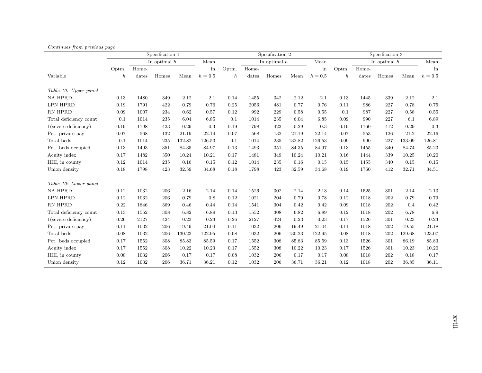|                         |       |       | Specification 1 |        |         |                  |       | Specification 2 |        |         |                  |       | Specification 3 |        |         |
|-------------------------|-------|-------|-----------------|--------|---------|------------------|-------|-----------------|--------|---------|------------------|-------|-----------------|--------|---------|
|                         |       |       | In optimal $h$  |        | Mean    |                  |       | In optimal $h$  |        | Mean    |                  |       | In optimal $h$  |        | Mean    |
|                         | Optm. | Home- |                 |        | in      | Optm.            | Home- |                 |        | in      | Optm.            | Home- |                 |        | in      |
| Variable                | h     | dates | Homes           | Mean   | $h=0.5$ | $\boldsymbol{h}$ | dates | Homes           | Mean   | $h=0.5$ | $\boldsymbol{h}$ | dates | Homes           | Mean   | $h=0.5$ |
|                         |       |       |                 |        |         |                  |       |                 |        |         |                  |       |                 |        |         |
| Table 10: Upper panel   |       |       |                 |        |         |                  |       |                 |        |         |                  |       |                 |        |         |
| <b>NA HPRD</b>          | 0.13  | 1480  | 349             | 2.12   | 2.1     | 0.14             | 1455  | 342             | 2.12   | 2.1     | 0.13             | 1445  | 339             | 2.12   | 2.1     |
| LPN HPRD                | 0.19  | 1791  | 422             | 0.79   | 0.76    | 0.25             | 2056  | 481             | 0.77   | 0.76    | 0.11             | 986   | 227             | 0.78   | 0.75    |
| RN HPRD                 | 0.09  | 1007  | 234             | 0.62   | 0.57    | 0.12             | 992   | 229             | 0.58   | 0.55    | 0.1              | 987   | 227             | 0.58   | 0.55    |
| Total deficiency count  | 0.1   | 1014  | 235             | 6.04   | 6.85    | 0.1              | 1014  | 235             | 6.04   | 6.85    | 0.09             | 990   | 227             | 6.1    | 6.89    |
| $1$ (severe deficiency) | 0.19  | 1798  | 423             | 0.29   | 0.3     | 0.19             | 1798  | 423             | 0.29   | 0.3     | 0.19             | 1760  | 412             | 0.29   | 0.3     |
| Pct. private pay        | 0.07  | 568   | 132             | 21.19  | 22.14   | 0.07             | 568   | 132             | 21.19  | 22.14   | 0.07             | 553   | 126             | 21.2   | 22.16   |
| Total beds              | 0.1   | 1014  | 235             | 132.82 | 126.53  | 0.1              | 1014  | 235             | 132.82 | 126.53  | 0.09             | 990   | 227             | 133.09 | 126.81  |
| Pct. beds occupied      | 0.13  | 1493  | 351             | 84.35  | 84.97   | 0.13             | 1493  | 351             | 84.35  | 84.97   | 0.13             | 1455  | 340             | 84.74  | 85.23   |
| Acuity index            | 0.17  | 1482  | 350             | 10.24  | 10.21   | 0.17             | 1481  | 349             | 10.24  | 10.21   | 0.16             | 1444  | 339             | 10.25  | 10.20   |
| HHI, in county          | 0.12  | 1014  | 235             | 0.16   | 0.15    | 0.12             | 1014  | 235             | 0.16   | 0.15    | 0.15             | 1455  | 340             | 0.15   | 0.15    |
| Union density           | 0.18  | 1798  | 423             | 32.59  | 34.68   | 0.18             | 1798  | 423             | 32.59  | 34.68   | 0.19             | 1760  | 412             | 32.71  | 34.51   |
|                         |       |       |                 |        |         |                  |       |                 |        |         |                  |       |                 |        |         |
| Table 10: Lower panel   |       |       |                 |        |         |                  |       |                 |        |         |                  |       |                 |        |         |
| <b>NA HPRD</b>          | 0.12  | 1032  | 206             | 2.16   | 2.14    | 0.14             | 1526  | 302             | 2.14   | 2.13    | 0.14             | 1525  | 301             | 2.14   | 2.13    |
| <b>LPN HPRD</b>         | 0.12  | 1032  | 206             | 0.79   | 0.8     | 0.12             | 1021  | 204             | 0.79   | 0.78    | 0.12             | 1018  | 202             | 0.79   | 0.79    |
| RN HPRD                 | 0.22  | 1846  | 369             | 0.46   | 0.44    | 0.14             | 1541  | 304             | 0.42   | 0.42    | 0.09             | 1018  | 202             | 0.4    | 0.42    |
| Total deficiency count  | 0.13  | 1552  | 308             | 6.82   | 6.89    | 0.13             | 1552  | 308             | 6.82   | 6.89    | 0.12             | 1018  | 202             | 6.78   | 6.9     |
| $1$ (severe deficiency) | 0.26  | 2127  | 424             | 0.23   | 0.23    | 0.26             | 2127  | 424             | 0.23   | 0.23    | 0.17             | 1526  | 301             | 0.23   | 0.23    |
| Pct. private pay        | 0.11  | 1032  | 206             | 19.49  | 21.04   | 0.11             | 1032  | 206             | 19.49  | 21.04   | 0.11             | 1018  | 202             | 19.55  | 21.18   |
| Total beds              | 0.08  | 1032  | 206             | 130.23 | 122.95  | 0.08             | 1032  | 206             | 130.23 | 122.95  | 0.08             | 1018  | 202             | 129.68 | 123.07  |
| Pct. beds occupied      | 0.17  | 1552  | 308             | 85.83  | 85.59   | 0.17             | 1552  | 308             | 85.83  | 85.59   | 0.13             | 1526  | 301             | 86.19  | 85.83   |
| Acuity index            | 0.17  | 1552  | 308             | 10.22  | 10.23   | 0.17             | 1552  | 308             | 10.22  | 10.23   | 0.17             | 1526  | 301             | 10.23  | 10.20   |
| HHI, in county          | 0.08  | 1032  | 206             | 0.17   | 0.17    | 0.08             | 1032  | 206             | 0.17   | 0.17    | 0.08             | 1018  | 202             | 0.18   | 0.17    |
| Union density           | 0.12  | 1032  | 206             | 36.71  | 36.21   | 0.12             | 1032  | 206             | 36.71  | 36.21   | 0.12             | 1018  | 202             | 36.85  | 36.11   |

#### Continues from previous page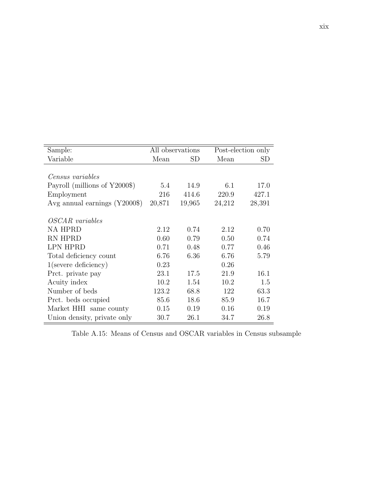| Sample:                       |        | All observations |        | Post-election only |
|-------------------------------|--------|------------------|--------|--------------------|
| Variable                      | Mean   | <b>SD</b>        | Mean   | SD                 |
|                               |        |                  |        |                    |
| Census variables              |        |                  |        |                    |
| Payroll (millions of Y2000\$) | 5.4    | 14.9             | 6.1    | 17.0               |
| Employment                    | 216    | 414.6            | 220.9  | 427.1              |
| Avg annual earnings $(Y2000\$ | 20,871 | 19,965           | 24,212 | 28,391             |
|                               |        |                  |        |                    |
| <i>OSCAR</i> variables        |        |                  |        |                    |
| <b>NA HPRD</b>                | 2.12   | 0.74             | 2.12   | 0.70               |
| RN HPRD                       | 0.60   | 0.79             | 0.50   | 0.74               |
| <b>LPN HPRD</b>               | 0.71   | 0.48             | 0.77   | 0.46               |
| Total deficiency count        | 6.76   | 6.36             | 6.76   | 5.79               |
| $1$ (severe deficiency)       | 0.23   |                  | 0.26   |                    |
| Prct. private pay             | 23.1   | 17.5             | 21.9   | 16.1               |
| Acuity index                  | 10.2   | 1.54             | 10.2   | 1.5                |
| Number of beds                | 123.2  | 68.8             | 122    | 63.3               |
| Prct. beds occupied           | 85.6   | 18.6             | 85.9   | 16.7               |
| Market HHI same county        | 0.15   | 0.19             | 0.16   | 0.19               |
| Union density, private only   | 30.7   | 26.1             | 34.7   | 26.8               |

<span id="page-62-0"></span>Table A.15: Means of Census and OSCAR variables in Census subsample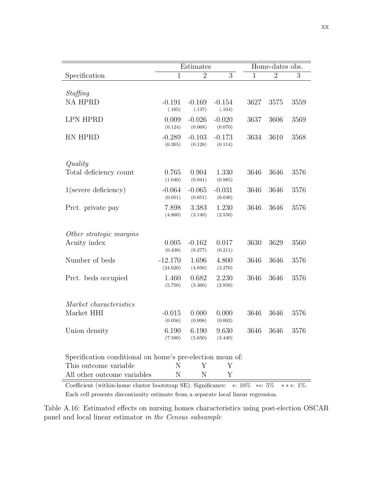|                                                           | Estimates             |                     |                     | Home-dates obs. |                |      |
|-----------------------------------------------------------|-----------------------|---------------------|---------------------|-----------------|----------------|------|
| Specification                                             | $\overline{1}$        | $\overline{2}$      | $\overline{3}$      | $\mathbf{1}$    | $\overline{2}$ | 3    |
| Staffing                                                  |                       |                     |                     |                 |                |      |
| <b>NA HPRD</b>                                            | $-0.191$<br>(.165)    | $-0.169$<br>(.137)  | $-0.154$<br>(.104)  | 3627            | 3575           | 3559 |
| <b>LPN HPRD</b>                                           | 0.009<br>(0.124)      | $-0.026$<br>(0.068) | $-0.020$<br>(0.070) | 3637            | 3606           | 3569 |
| <b>RN HPRD</b>                                            | $-0.289$<br>(0.265)   | $-0.103$<br>(0.128) | $-0.173$<br>(0.114) | 3634            | 3610           | 3568 |
| Quality                                                   |                       |                     |                     |                 |                |      |
| Total deficiency count                                    | 0.765<br>(1.040)      | 0.904<br>(0.941)    | 1.330<br>(0.985)    | 3646            | 3646           | 3576 |
| $1$ (severe deficiency)                                   | $-0.064$<br>(0.051)   | $-0.065$<br>(0.051) | $-0.031$<br>(0.036) | 3646            | 3646           | 3576 |
| Prct. private pay                                         | 7.898<br>(4.860)      | 3.383<br>(3.140)    | 1.230<br>(2.550)    | 3646            | 3646           | 3576 |
| Other strategic margins                                   |                       |                     |                     |                 |                |      |
| Acuity index                                              | 0.005<br>(0.438)      | $-0.162$<br>(0.277) | 0.017<br>(0.211)    | 3630            | 3629           | 3560 |
| Number of beds                                            | $-12.170$<br>(24.020) | 1.696<br>(4.850)    | 4.800<br>(3.270)    | 3646            | 3646           | 3576 |
| Prct. beds occupied                                       | 1.460<br>(5.750)      | 0.682<br>(3.360)    | 2.230<br>(2.950)    | 3646            | 3646           | 3576 |
| Market characteristics                                    |                       |                     |                     |                 |                |      |
| Market HHI                                                | $-0.015$<br>(0.056)   | 0.000<br>(0.008)    | 0.000<br>(0.003)    | 3646            | 3646           | 3576 |
| Union density                                             | 6.190<br>(7.580)      | 6.190<br>(5.650)    | 9.630<br>(3.440)    | 3646            | 3646           | 3576 |
| Specification conditional on home's pre-election mean of: |                       |                     |                     |                 |                |      |
| This outcome variable                                     | N                     | Y                   | Υ                   |                 |                |      |
| All other outcome variables                               | Ν                     | N                   | Y                   |                 |                |      |

<span id="page-63-0"></span>Coefficient (within-home cluster bootstrap SE). Significance: ∗: 10% ∗∗: 5% ∗ ∗ ∗: 1%. Each cell presents discontinuity estimate from a separate local linear regression.

Table A.16: Estimated effects on nursing homes characteristics using post-election OSCAR panel and local linear estimator in the Census subsample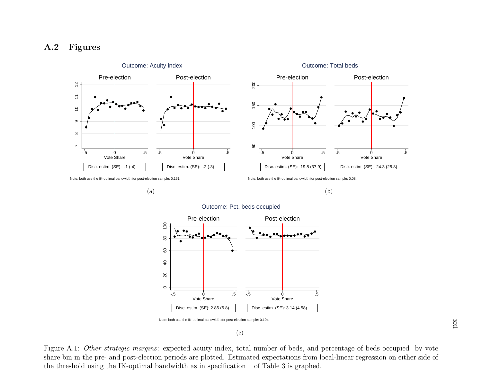## <span id="page-64-2"></span><span id="page-64-1"></span>A.2 Figures



Outcome: Acuity index

Outcome: Total bedsPre-electionPost-election200 150  $001$  $\overline{.5}$ -.5Vote ShareVote ShareDisc. estim. (SE): -24.3 (25.8)Disc. estim. (SE): -19.8 (37.9)

Note: both use the IK-optimal bandwidth for post-election sample: 0.161.

(a)

Note: both use the IK-optimal bandwidth for post-election sample: 0.08.

(b)



Outcome: Pct. beds occupied

<span id="page-64-0"></span>(c)

<sup>0</sup><br>
Vote Share<br>
Disc. estim. (SE): -.1 (.4)<br>
1 use the IK-optimal bandwidth for post-ele<br>
using the IK-optim 5 Vote Share<br>Disc. estim. (SE): -24.3 (25.8)<br>ample: 0.08.<br>Dimear regression on either the state of beds occupied<br>inear regression on either the state of the state of the state of the state of the state of the state of the Figure A.1: *Other strategic margins*: expected acuity index, total number of beds, and percentage of beds occupied by vote share bin in the pre- and post-election periods are <sup>p</sup>lotted. Estimated expectations from local-linear regression on either side ofthe threshold using the IK-optimal bandwidth as in specification 1 of Table [3](#page-32-1) is graphed.